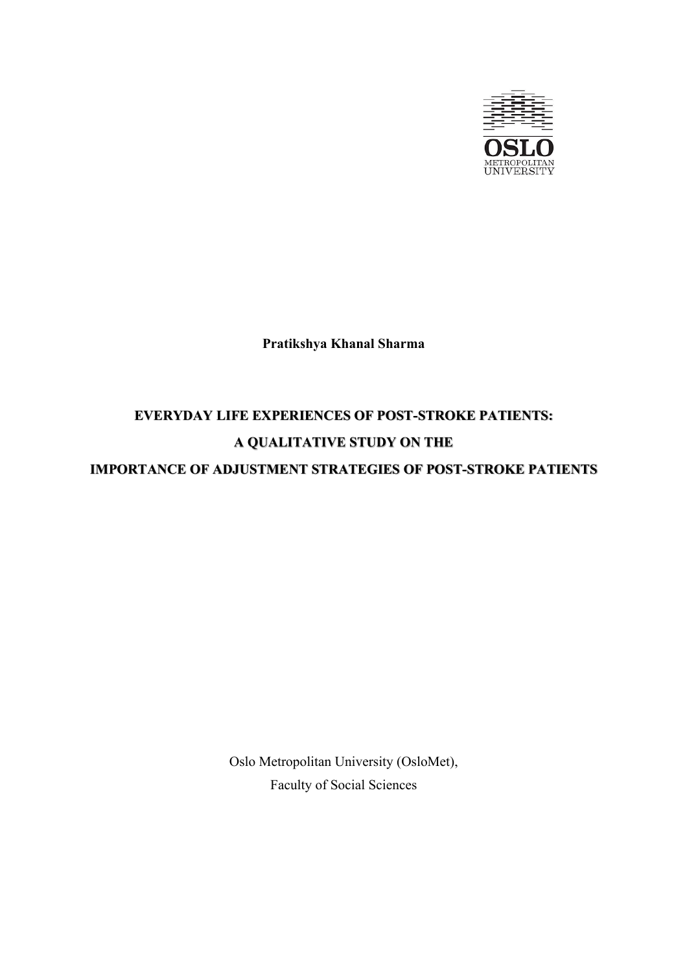

**Pratikshya Khanal Sharma** 

# **EVERYDAY LIFE EXPERIENCES OF POST-STROKE PATIENTS: A QUALITATIVE STUDY ON THE IMPORTANCE OF ADJUSTMENT STRATEGIES OF POST-STROKE PATIENTS**

Oslo Metropolitan University (OsloMet), Faculty of Social Sciences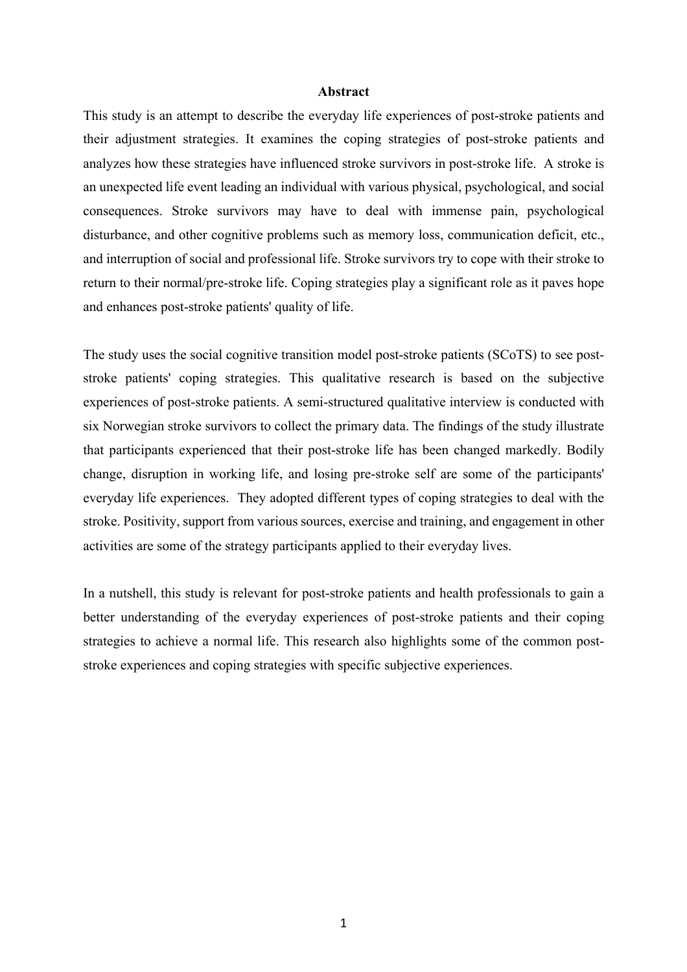#### **Abstract**

This study is an attempt to describe the everyday life experiences of post-stroke patients and their adjustment strategies. It examines the coping strategies of post-stroke patients and analyzes how these strategies have influenced stroke survivors in post-stroke life. A stroke is an unexpected life event leading an individual with various physical, psychological, and social consequences. Stroke survivors may have to deal with immense pain, psychological disturbance, and other cognitive problems such as memory loss, communication deficit, etc., and interruption of social and professional life. Stroke survivors try to cope with their stroke to return to their normal/pre-stroke life. Coping strategies play a significant role as it paves hope and enhances post-stroke patients' quality of life.

The study uses the social cognitive transition model post-stroke patients (SCoTS) to see poststroke patients' coping strategies. This qualitative research is based on the subjective experiences of post-stroke patients. A semi-structured qualitative interview is conducted with six Norwegian stroke survivors to collect the primary data. The findings of the study illustrate that participants experienced that their post-stroke life has been changed markedly. Bodily change, disruption in working life, and losing pre-stroke self are some of the participants' everyday life experiences. They adopted different types of coping strategies to deal with the stroke. Positivity, support from various sources, exercise and training, and engagement in other activities are some of the strategy participants applied to their everyday lives.

In a nutshell, this study is relevant for post-stroke patients and health professionals to gain a better understanding of the everyday experiences of post-stroke patients and their coping strategies to achieve a normal life. This research also highlights some of the common poststroke experiences and coping strategies with specific subjective experiences.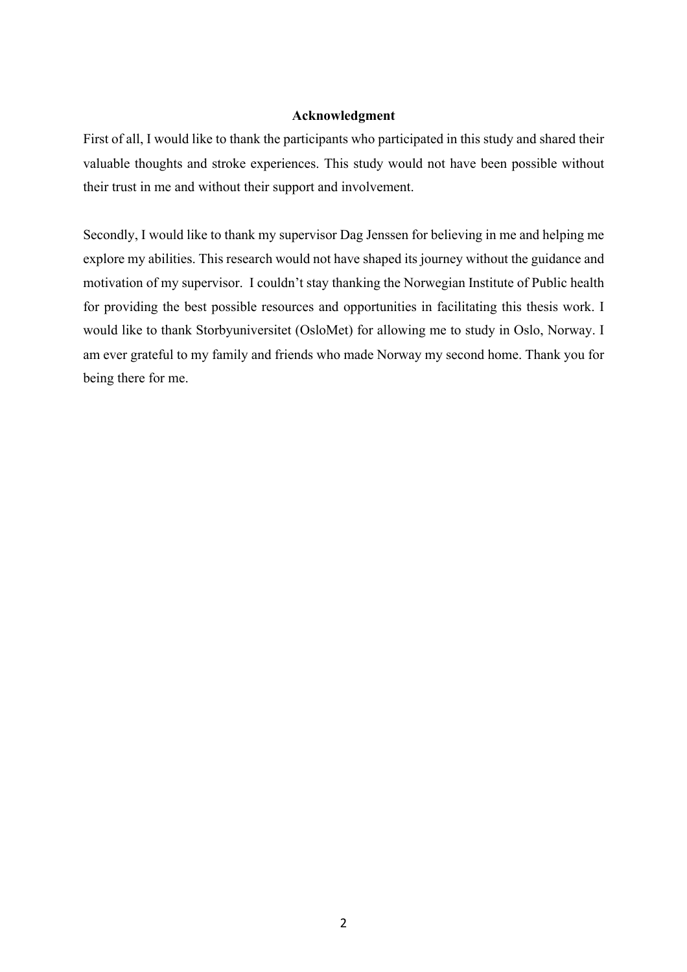#### **Acknowledgment**

First of all, I would like to thank the participants who participated in this study and shared their valuable thoughts and stroke experiences. This study would not have been possible without their trust in me and without their support and involvement.

Secondly, I would like to thank my supervisor Dag Jenssen for believing in me and helping me explore my abilities. This research would not have shaped its journey without the guidance and motivation of my supervisor. I couldn't stay thanking the Norwegian Institute of Public health for providing the best possible resources and opportunities in facilitating this thesis work. I would like to thank Storbyuniversitet (OsloMet) for allowing me to study in Oslo, Norway. I am ever grateful to my family and friends who made Norway my second home. Thank you for being there for me.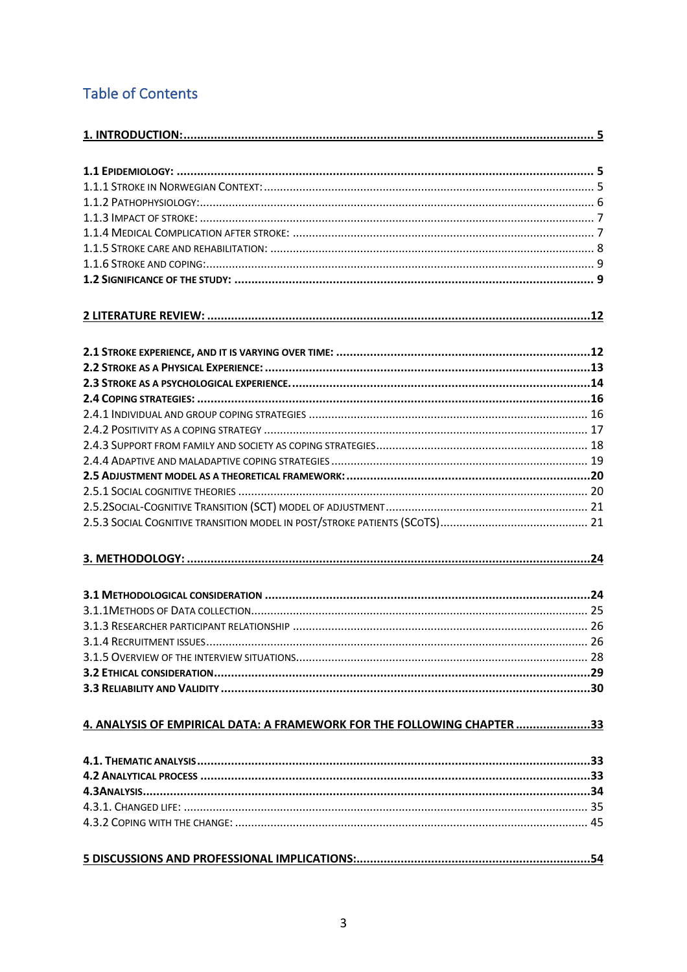# **Table of Contents**

| 4. ANALYSIS OF EMPIRICAL DATA: A FRAMEWORK FOR THE FOLLOWING CHAPTER 33 |  |
|-------------------------------------------------------------------------|--|
|                                                                         |  |
|                                                                         |  |
|                                                                         |  |
|                                                                         |  |
|                                                                         |  |
|                                                                         |  |
|                                                                         |  |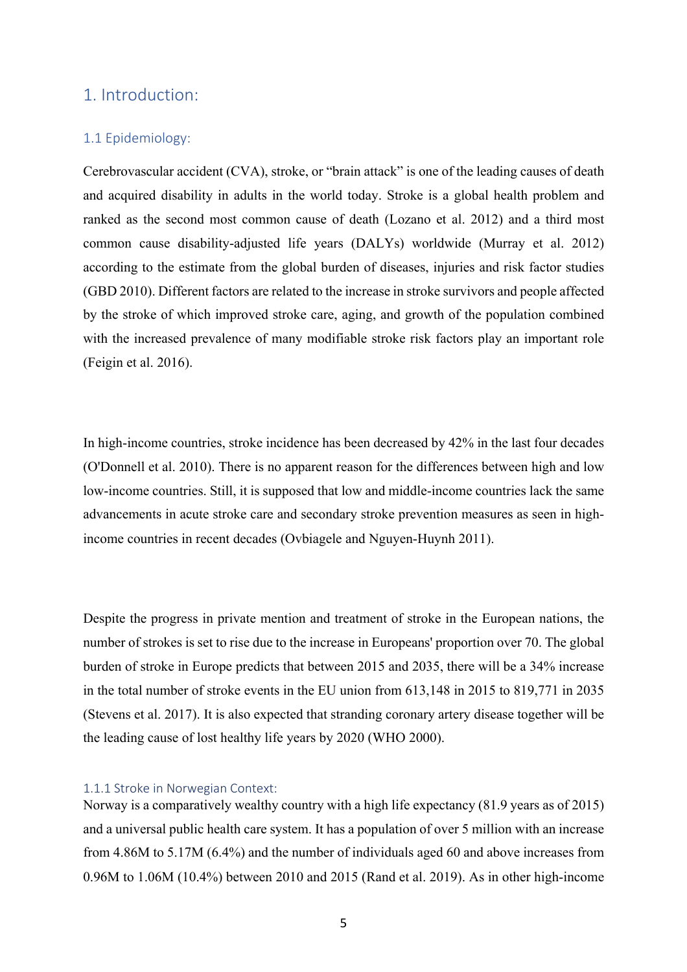# 1. Introduction:

# 1.1 Epidemiology:

Cerebrovascular accident (CVA), stroke, or "brain attack" is one of the leading causes of death and acquired disability in adults in the world today. Stroke is a global health problem and ranked as the second most common cause of death (Lozano et al. 2012) and a third most common cause disability-adjusted life years (DALYs) worldwide (Murray et al. 2012) according to the estimate from the global burden of diseases, injuries and risk factor studies (GBD 2010). Different factors are related to the increase in stroke survivors and people affected by the stroke of which improved stroke care, aging, and growth of the population combined with the increased prevalence of many modifiable stroke risk factors play an important role (Feigin et al. 2016).

In high-income countries, stroke incidence has been decreased by 42% in the last four decades (O'Donnell et al. 2010). There is no apparent reason for the differences between high and low low-income countries. Still, it is supposed that low and middle-income countries lack the same advancements in acute stroke care and secondary stroke prevention measures as seen in highincome countries in recent decades (Ovbiagele and Nguyen-Huynh 2011).

Despite the progress in private mention and treatment of stroke in the European nations, the number of strokes is set to rise due to the increase in Europeans' proportion over 70. The global burden of stroke in Europe predicts that between 2015 and 2035, there will be a 34% increase in the total number of stroke events in the EU union from 613,148 in 2015 to 819,771 in 2035 (Stevens et al. 2017). It is also expected that stranding coronary artery disease together will be the leading cause of lost healthy life years by 2020 (WHO 2000).

#### 1.1.1 Stroke in Norwegian Context:

Norway is a comparatively wealthy country with a high life expectancy (81.9 years as of 2015) and a universal public health care system. It has a population of over 5 million with an increase from 4.86M to 5.17M (6.4%) and the number of individuals aged 60 and above increases from 0.96M to 1.06M (10.4%) between 2010 and 2015 (Rand et al. 2019). As in other high-income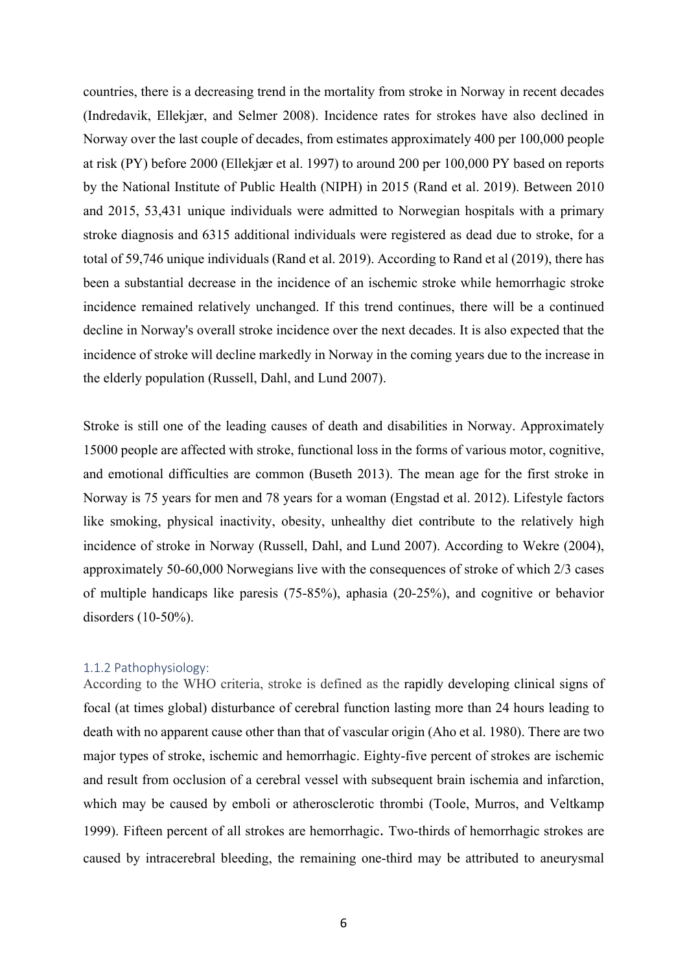countries, there is a decreasing trend in the mortality from stroke in Norway in recent decades (Indredavik, Ellekjær, and Selmer 2008). Incidence rates for strokes have also declined in Norway over the last couple of decades, from estimates approximately 400 per 100,000 people at risk (PY) before 2000 (Ellekjær et al. 1997) to around 200 per 100,000 PY based on reports by the National Institute of Public Health (NIPH) in 2015 (Rand et al. 2019). Between 2010 and 2015, 53,431 unique individuals were admitted to Norwegian hospitals with a primary stroke diagnosis and 6315 additional individuals were registered as dead due to stroke, for a total of 59,746 unique individuals (Rand et al. 2019). According to Rand et al (2019), there has been a substantial decrease in the incidence of an ischemic stroke while hemorrhagic stroke incidence remained relatively unchanged. If this trend continues, there will be a continued decline in Norway's overall stroke incidence over the next decades. It is also expected that the incidence of stroke will decline markedly in Norway in the coming years due to the increase in the elderly population (Russell, Dahl, and Lund 2007).

Stroke is still one of the leading causes of death and disabilities in Norway. Approximately 15000 people are affected with stroke, functional loss in the forms of various motor, cognitive, and emotional difficulties are common (Buseth 2013). The mean age for the first stroke in Norway is 75 years for men and 78 years for a woman (Engstad et al. 2012). Lifestyle factors like smoking, physical inactivity, obesity, unhealthy diet contribute to the relatively high incidence of stroke in Norway (Russell, Dahl, and Lund 2007). According to Wekre (2004), approximately 50-60,000 Norwegians live with the consequences of stroke of which 2/3 cases of multiple handicaps like paresis (75-85%), aphasia (20-25%), and cognitive or behavior disorders (10-50%).

#### 1.1.2 Pathophysiology:

According to the WHO criteria, stroke is defined as the rapidly developing clinical signs of focal (at times global) disturbance of cerebral function lasting more than 24 hours leading to death with no apparent cause other than that of vascular origin (Aho et al. 1980). There are two major types of stroke, ischemic and hemorrhagic. Eighty-five percent of strokes are ischemic and result from occlusion of a cerebral vessel with subsequent brain ischemia and infarction, which may be caused by emboli or atherosclerotic thrombi (Toole, Murros, and Veltkamp 1999). Fifteen percent of all strokes are hemorrhagic. Two-thirds of hemorrhagic strokes are caused by intracerebral bleeding, the remaining one-third may be attributed to aneurysmal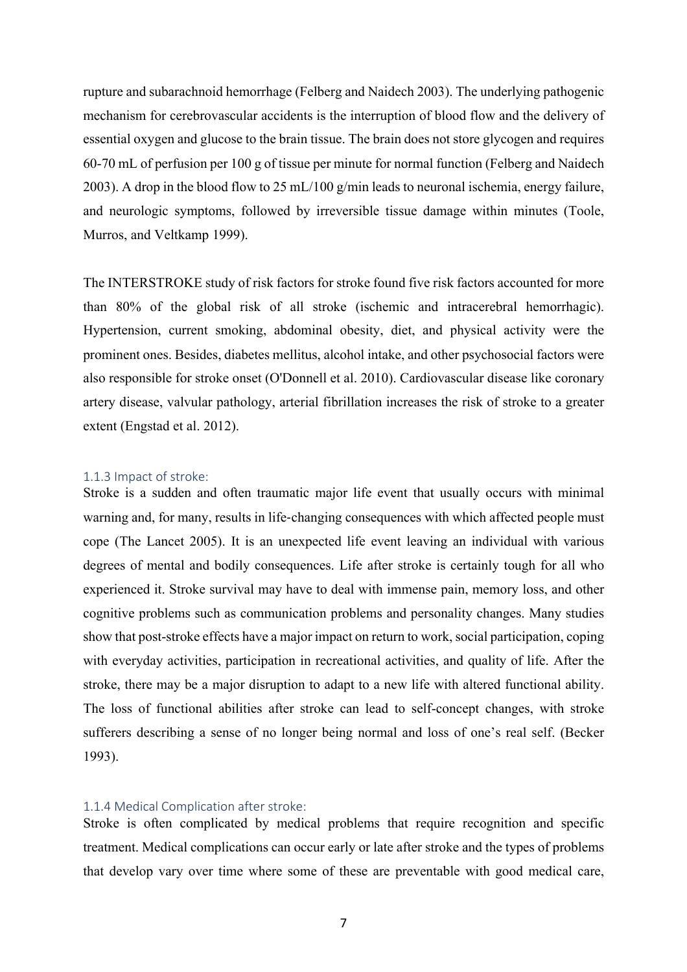rupture and subarachnoid hemorrhage (Felberg and Naidech 2003). The underlying pathogenic mechanism for cerebrovascular accidents is the interruption of blood flow and the delivery of essential oxygen and glucose to the brain tissue. The brain does not store glycogen and requires 60-70 mL of perfusion per 100 g of tissue per minute for normal function (Felberg and Naidech 2003). A drop in the blood flow to 25 mL/100 g/min leads to neuronal ischemia, energy failure, and neurologic symptoms, followed by irreversible tissue damage within minutes (Toole, Murros, and Veltkamp 1999).

The INTERSTROKE study of risk factors for stroke found five risk factors accounted for more than 80% of the global risk of all stroke (ischemic and intracerebral hemorrhagic). Hypertension, current smoking, abdominal obesity, diet, and physical activity were the prominent ones. Besides, diabetes mellitus, alcohol intake, and other psychosocial factors were also responsible for stroke onset (O'Donnell et al. 2010). Cardiovascular disease like coronary artery disease, valvular pathology, arterial fibrillation increases the risk of stroke to a greater extent (Engstad et al. 2012).

#### 1.1.3 Impact of stroke:

Stroke is a sudden and often traumatic major life event that usually occurs with minimal warning and, for many, results in life-changing consequences with which affected people must cope (The Lancet 2005). It is an unexpected life event leaving an individual with various degrees of mental and bodily consequences. Life after stroke is certainly tough for all who experienced it. Stroke survival may have to deal with immense pain, memory loss, and other cognitive problems such as communication problems and personality changes. Many studies show that post-stroke effects have a major impact on return to work, social participation, coping with everyday activities, participation in recreational activities, and quality of life. After the stroke, there may be a major disruption to adapt to a new life with altered functional ability. The loss of functional abilities after stroke can lead to self-concept changes, with stroke sufferers describing a sense of no longer being normal and loss of one's real self. (Becker 1993).

#### 1.1.4 Medical Complication after stroke:

Stroke is often complicated by medical problems that require recognition and specific treatment. Medical complications can occur early or late after stroke and the types of problems that develop vary over time where some of these are preventable with good medical care,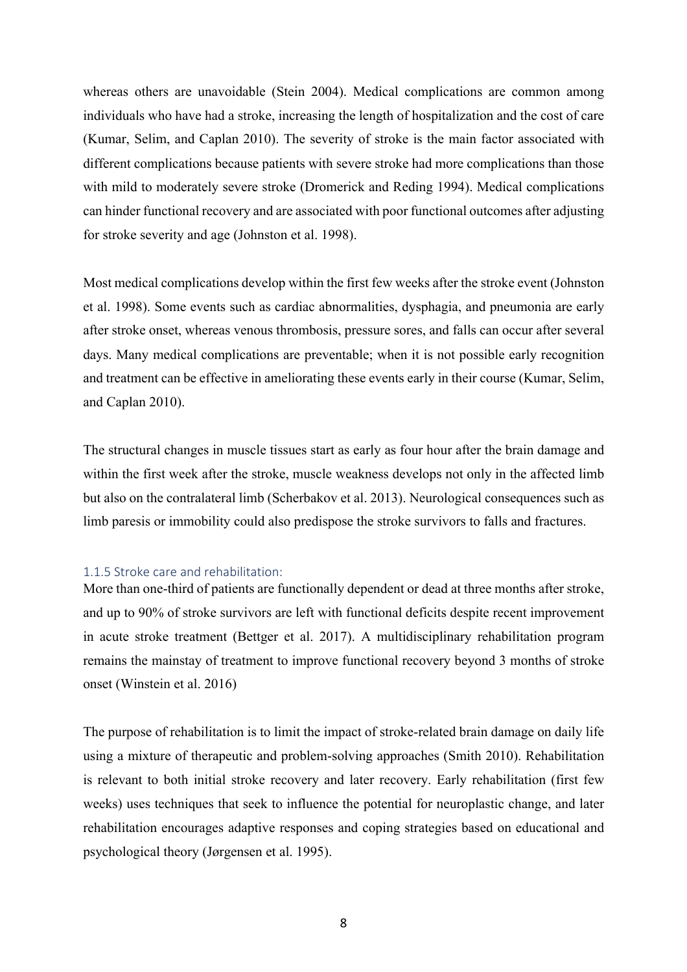whereas others are unavoidable (Stein 2004). Medical complications are common among individuals who have had a stroke, increasing the length of hospitalization and the cost of care (Kumar, Selim, and Caplan 2010). The severity of stroke is the main factor associated with different complications because patients with severe stroke had more complications than those with mild to moderately severe stroke (Dromerick and Reding 1994). Medical complications can hinder functional recovery and are associated with poor functional outcomes after adjusting for stroke severity and age (Johnston et al. 1998).

Most medical complications develop within the first few weeks after the stroke event (Johnston et al. 1998). Some events such as cardiac abnormalities, dysphagia, and pneumonia are early after stroke onset, whereas venous thrombosis, pressure sores, and falls can occur after several days. Many medical complications are preventable; when it is not possible early recognition and treatment can be effective in ameliorating these events early in their course (Kumar, Selim, and Caplan 2010).

The structural changes in muscle tissues start as early as four hour after the brain damage and within the first week after the stroke, muscle weakness develops not only in the affected limb but also on the contralateral limb (Scherbakov et al. 2013). Neurological consequences such as limb paresis or immobility could also predispose the stroke survivors to falls and fractures.

#### 1.1.5 Stroke care and rehabilitation:

More than one-third of patients are functionally dependent or dead at three months after stroke, and up to 90% of stroke survivors are left with functional deficits despite recent improvement in acute stroke treatment (Bettger et al. 2017). A multidisciplinary rehabilitation program remains the mainstay of treatment to improve functional recovery beyond 3 months of stroke onset (Winstein et al. 2016)

The purpose of rehabilitation is to limit the impact of stroke-related brain damage on daily life using a mixture of therapeutic and problem-solving approaches (Smith 2010). Rehabilitation is relevant to both initial stroke recovery and later recovery. Early rehabilitation (first few weeks) uses techniques that seek to influence the potential for neuroplastic change, and later rehabilitation encourages adaptive responses and coping strategies based on educational and psychological theory (Jørgensen et al. 1995).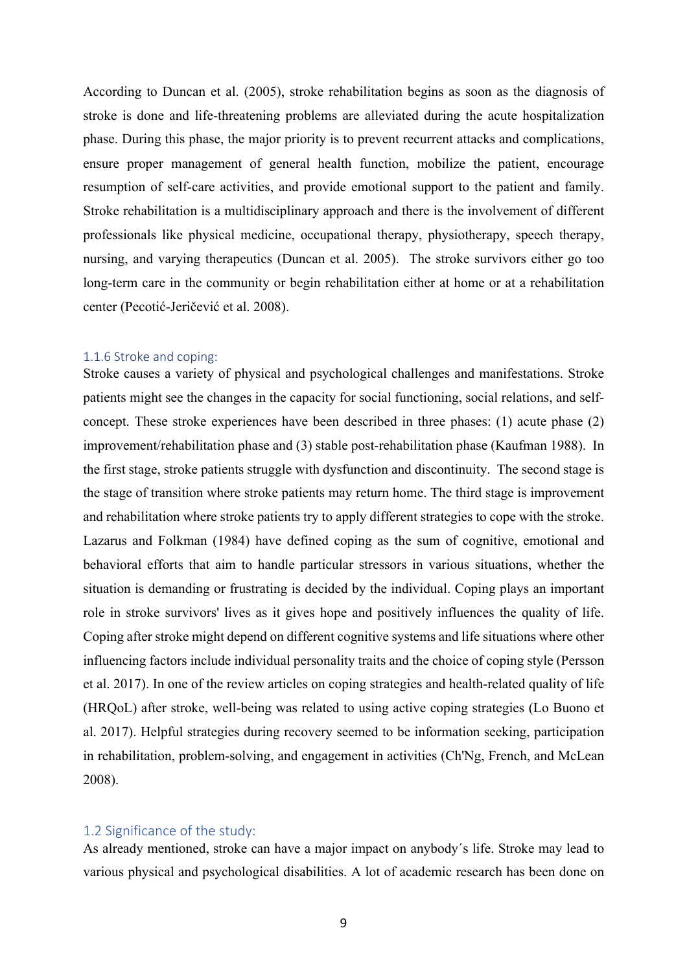According to Duncan et al. (2005), stroke rehabilitation begins as soon as the diagnosis of stroke is done and life-threatening problems are alleviated during the acute hospitalization phase. During this phase, the major priority is to prevent recurrent attacks and complications, ensure proper management of general health function, mobilize the patient, encourage resumption of self-care activities, and provide emotional support to the patient and family. Stroke rehabilitation is a multidisciplinary approach and there is the involvement of different professionals like physical medicine, occupational therapy, physiotherapy, speech therapy, nursing, and varying therapeutics (Duncan et al. 2005). The stroke survivors either go too long-term care in the community or begin rehabilitation either at home or at a rehabilitation center (Pecotić-Jeričević et al. 2008).

#### 1.1.6 Stroke and coping:

Stroke causes a variety of physical and psychological challenges and manifestations. Stroke patients might see the changes in the capacity for social functioning, social relations, and selfconcept. These stroke experiences have been described in three phases: (1) acute phase (2) improvement/rehabilitation phase and (3) stable post-rehabilitation phase (Kaufman 1988). In the first stage, stroke patients struggle with dysfunction and discontinuity. The second stage is the stage of transition where stroke patients may return home. The third stage is improvement and rehabilitation where stroke patients try to apply different strategies to cope with the stroke. Lazarus and Folkman (1984) have defined coping as the sum of cognitive, emotional and behavioral efforts that aim to handle particular stressors in various situations, whether the situation is demanding or frustrating is decided by the individual. Coping plays an important role in stroke survivors' lives as it gives hope and positively influences the quality of life. Coping after stroke might depend on different cognitive systems and life situations where other influencing factors include individual personality traits and the choice of coping style (Persson et al. 2017). In one of the review articles on coping strategies and health-related quality of life (HRQoL) after stroke, well-being was related to using active coping strategies (Lo Buono et al. 2017). Helpful strategies during recovery seemed to be information seeking, participation in rehabilitation, problem-solving, and engagement in activities (Ch'Ng, French, and McLean 2008).

#### 1.2 Significance of the study:

As already mentioned, stroke can have a major impact on anybody´s life. Stroke may lead to various physical and psychological disabilities. A lot of academic research has been done on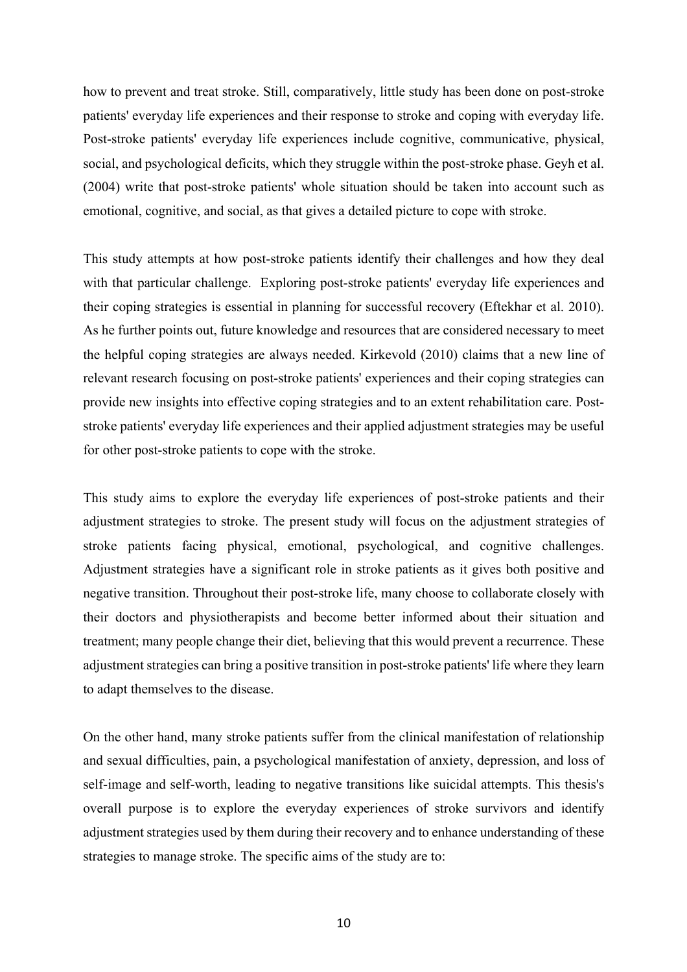how to prevent and treat stroke. Still, comparatively, little study has been done on post-stroke patients' everyday life experiences and their response to stroke and coping with everyday life. Post-stroke patients' everyday life experiences include cognitive, communicative, physical, social, and psychological deficits, which they struggle within the post-stroke phase. Geyh et al. (2004) write that post-stroke patients' whole situation should be taken into account such as emotional, cognitive, and social, as that gives a detailed picture to cope with stroke.

This study attempts at how post-stroke patients identify their challenges and how they deal with that particular challenge. Exploring post-stroke patients' everyday life experiences and their coping strategies is essential in planning for successful recovery (Eftekhar et al. 2010). As he further points out, future knowledge and resources that are considered necessary to meet the helpful coping strategies are always needed. Kirkevold (2010) claims that a new line of relevant research focusing on post-stroke patients' experiences and their coping strategies can provide new insights into effective coping strategies and to an extent rehabilitation care. Poststroke patients' everyday life experiences and their applied adjustment strategies may be useful for other post-stroke patients to cope with the stroke.

This study aims to explore the everyday life experiences of post-stroke patients and their adjustment strategies to stroke. The present study will focus on the adjustment strategies of stroke patients facing physical, emotional, psychological, and cognitive challenges. Adjustment strategies have a significant role in stroke patients as it gives both positive and negative transition. Throughout their post-stroke life, many choose to collaborate closely with their doctors and physiotherapists and become better informed about their situation and treatment; many people change their diet, believing that this would prevent a recurrence. These adjustment strategies can bring a positive transition in post-stroke patients' life where they learn to adapt themselves to the disease.

On the other hand, many stroke patients suffer from the clinical manifestation of relationship and sexual difficulties, pain, a psychological manifestation of anxiety, depression, and loss of self-image and self-worth, leading to negative transitions like suicidal attempts. This thesis's overall purpose is to explore the everyday experiences of stroke survivors and identify adjustment strategies used by them during their recovery and to enhance understanding of these strategies to manage stroke. The specific aims of the study are to: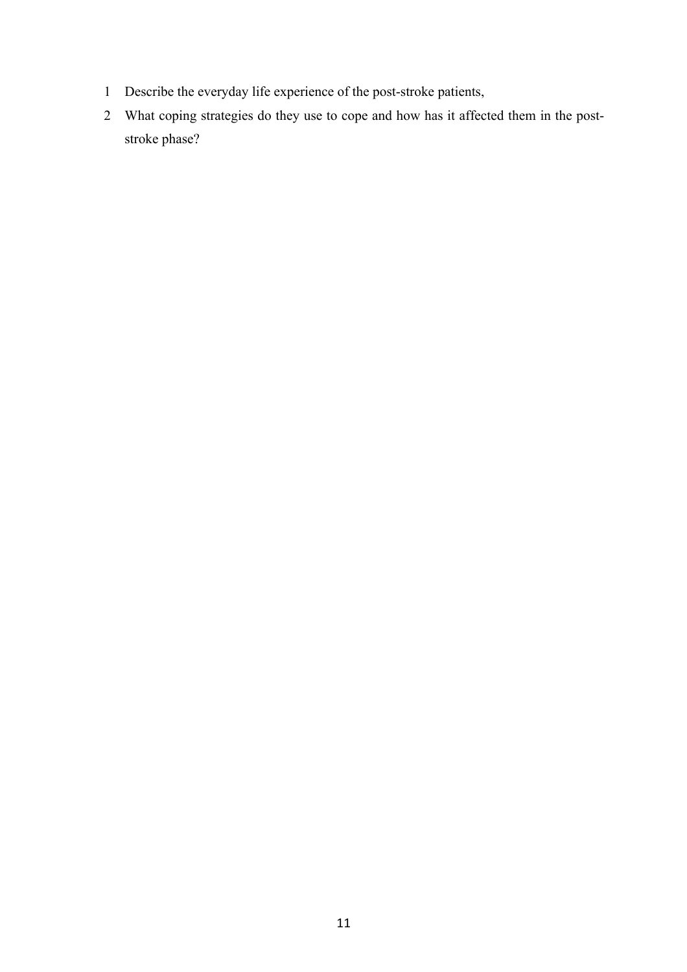- Describe the everyday life experience of the post-stroke patients,
- What coping strategies do they use to cope and how has it affected them in the poststroke phase?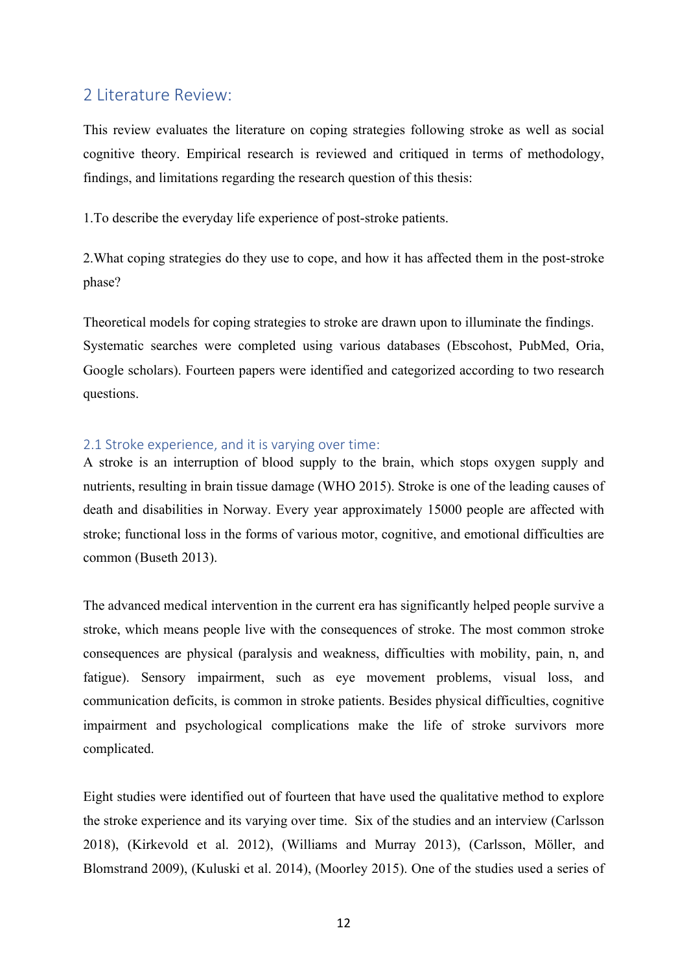# 2 Literature Review:

This review evaluates the literature on coping strategies following stroke as well as social cognitive theory. Empirical research is reviewed and critiqued in terms of methodology, findings, and limitations regarding the research question of this thesis:

1.To describe the everyday life experience of post-stroke patients.

2.What coping strategies do they use to cope, and how it has affected them in the post-stroke phase?

Theoretical models for coping strategies to stroke are drawn upon to illuminate the findings. Systematic searches were completed using various databases (Ebscohost, PubMed, Oria, Google scholars). Fourteen papers were identified and categorized according to two research questions.

# 2.1 Stroke experience, and it is varying over time:

A stroke is an interruption of blood supply to the brain, which stops oxygen supply and nutrients, resulting in brain tissue damage (WHO 2015). Stroke is one of the leading causes of death and disabilities in Norway. Every year approximately 15000 people are affected with stroke; functional loss in the forms of various motor, cognitive, and emotional difficulties are common (Buseth 2013).

The advanced medical intervention in the current era has significantly helped people survive a stroke, which means people live with the consequences of stroke. The most common stroke consequences are physical (paralysis and weakness, difficulties with mobility, pain, n, and fatigue). Sensory impairment, such as eye movement problems, visual loss, and communication deficits, is common in stroke patients. Besides physical difficulties, cognitive impairment and psychological complications make the life of stroke survivors more complicated.

Eight studies were identified out of fourteen that have used the qualitative method to explore the stroke experience and its varying over time. Six of the studies and an interview (Carlsson 2018), (Kirkevold et al. 2012), (Williams and Murray 2013), (Carlsson, Möller, and Blomstrand 2009), (Kuluski et al. 2014), (Moorley 2015). One of the studies used a series of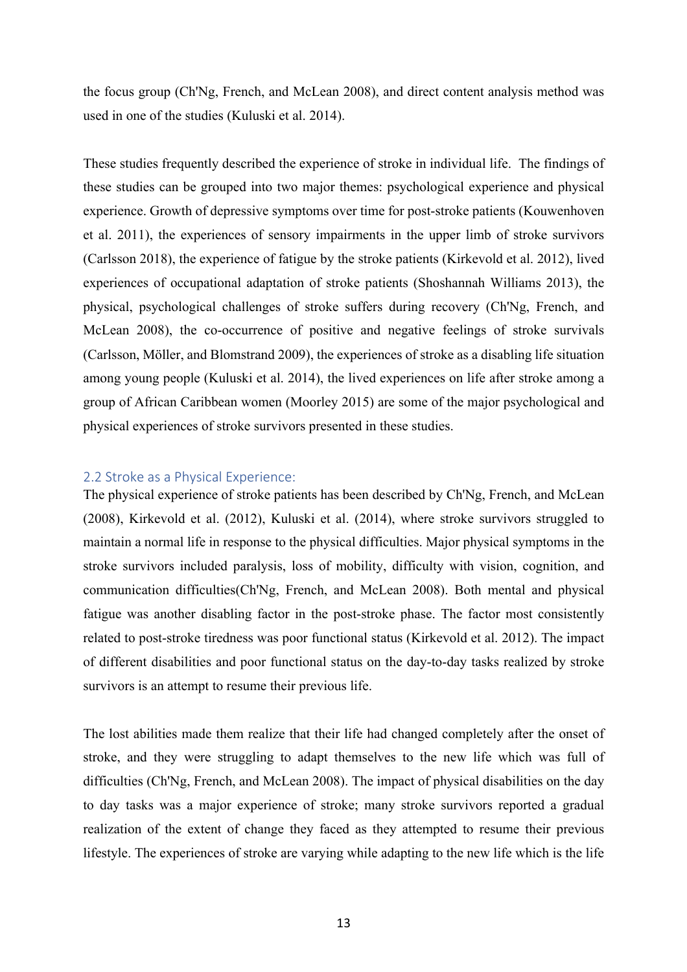the focus group (Ch'Ng, French, and McLean 2008), and direct content analysis method was used in one of the studies (Kuluski et al. 2014).

These studies frequently described the experience of stroke in individual life. The findings of these studies can be grouped into two major themes: psychological experience and physical experience. Growth of depressive symptoms over time for post-stroke patients (Kouwenhoven et al. 2011), the experiences of sensory impairments in the upper limb of stroke survivors (Carlsson 2018), the experience of fatigue by the stroke patients (Kirkevold et al. 2012), lived experiences of occupational adaptation of stroke patients (Shoshannah Williams 2013), the physical, psychological challenges of stroke suffers during recovery (Ch'Ng, French, and McLean 2008), the co-occurrence of positive and negative feelings of stroke survivals (Carlsson, Möller, and Blomstrand 2009), the experiences of stroke as a disabling life situation among young people (Kuluski et al. 2014), the lived experiences on life after stroke among a group of African Caribbean women (Moorley 2015) are some of the major psychological and physical experiences of stroke survivors presented in these studies.

# 2.2 Stroke as a Physical Experience:

The physical experience of stroke patients has been described by Ch'Ng, French, and McLean (2008), Kirkevold et al. (2012), Kuluski et al. (2014), where stroke survivors struggled to maintain a normal life in response to the physical difficulties. Major physical symptoms in the stroke survivors included paralysis, loss of mobility, difficulty with vision, cognition, and communication difficulties(Ch'Ng, French, and McLean 2008). Both mental and physical fatigue was another disabling factor in the post-stroke phase. The factor most consistently related to post-stroke tiredness was poor functional status (Kirkevold et al. 2012). The impact of different disabilities and poor functional status on the day-to-day tasks realized by stroke survivors is an attempt to resume their previous life.

The lost abilities made them realize that their life had changed completely after the onset of stroke, and they were struggling to adapt themselves to the new life which was full of difficulties (Ch'Ng, French, and McLean 2008). The impact of physical disabilities on the day to day tasks was a major experience of stroke; many stroke survivors reported a gradual realization of the extent of change they faced as they attempted to resume their previous lifestyle. The experiences of stroke are varying while adapting to the new life which is the life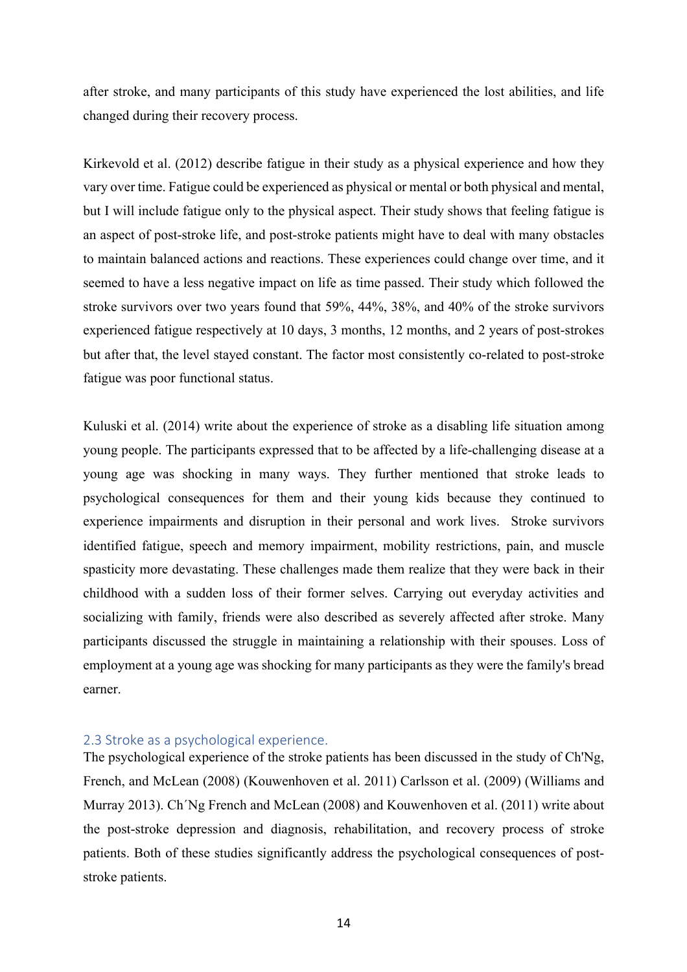after stroke, and many participants of this study have experienced the lost abilities, and life changed during their recovery process.

Kirkevold et al. (2012) describe fatigue in their study as a physical experience and how they vary over time. Fatigue could be experienced as physical or mental or both physical and mental, but I will include fatigue only to the physical aspect. Their study shows that feeling fatigue is an aspect of post-stroke life, and post-stroke patients might have to deal with many obstacles to maintain balanced actions and reactions. These experiences could change over time, and it seemed to have a less negative impact on life as time passed. Their study which followed the stroke survivors over two years found that 59%, 44%, 38%, and 40% of the stroke survivors experienced fatigue respectively at 10 days, 3 months, 12 months, and 2 years of post-strokes but after that, the level stayed constant. The factor most consistently co-related to post-stroke fatigue was poor functional status.

Kuluski et al. (2014) write about the experience of stroke as a disabling life situation among young people. The participants expressed that to be affected by a life-challenging disease at a young age was shocking in many ways. They further mentioned that stroke leads to psychological consequences for them and their young kids because they continued to experience impairments and disruption in their personal and work lives. Stroke survivors identified fatigue, speech and memory impairment, mobility restrictions, pain, and muscle spasticity more devastating. These challenges made them realize that they were back in their childhood with a sudden loss of their former selves. Carrying out everyday activities and socializing with family, friends were also described as severely affected after stroke. Many participants discussed the struggle in maintaining a relationship with their spouses. Loss of employment at a young age was shocking for many participants as they were the family's bread earner.

# 2.3 Stroke as a psychological experience.

The psychological experience of the stroke patients has been discussed in the study of Ch'Ng, French, and McLean (2008) (Kouwenhoven et al. 2011) Carlsson et al. (2009) (Williams and Murray 2013). Ch´Ng French and McLean (2008) and Kouwenhoven et al. (2011) write about the post-stroke depression and diagnosis, rehabilitation, and recovery process of stroke patients. Both of these studies significantly address the psychological consequences of poststroke patients.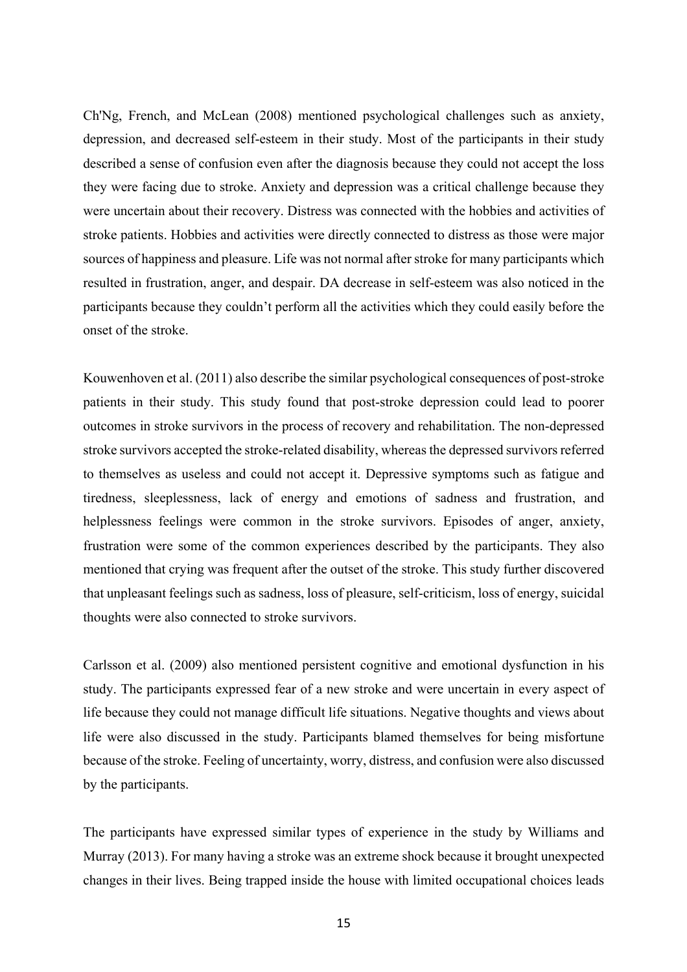Ch'Ng, French, and McLean (2008) mentioned psychological challenges such as anxiety, depression, and decreased self-esteem in their study. Most of the participants in their study described a sense of confusion even after the diagnosis because they could not accept the loss they were facing due to stroke. Anxiety and depression was a critical challenge because they were uncertain about their recovery. Distress was connected with the hobbies and activities of stroke patients. Hobbies and activities were directly connected to distress as those were major sources of happiness and pleasure. Life was not normal after stroke for many participants which resulted in frustration, anger, and despair. DA decrease in self-esteem was also noticed in the participants because they couldn't perform all the activities which they could easily before the onset of the stroke.

Kouwenhoven et al. (2011) also describe the similar psychological consequences of post-stroke patients in their study. This study found that post-stroke depression could lead to poorer outcomes in stroke survivors in the process of recovery and rehabilitation. The non-depressed stroke survivors accepted the stroke-related disability, whereas the depressed survivors referred to themselves as useless and could not accept it. Depressive symptoms such as fatigue and tiredness, sleeplessness, lack of energy and emotions of sadness and frustration, and helplessness feelings were common in the stroke survivors. Episodes of anger, anxiety, frustration were some of the common experiences described by the participants. They also mentioned that crying was frequent after the outset of the stroke. This study further discovered that unpleasant feelings such as sadness, loss of pleasure, self-criticism, loss of energy, suicidal thoughts were also connected to stroke survivors.

Carlsson et al. (2009) also mentioned persistent cognitive and emotional dysfunction in his study. The participants expressed fear of a new stroke and were uncertain in every aspect of life because they could not manage difficult life situations. Negative thoughts and views about life were also discussed in the study. Participants blamed themselves for being misfortune because of the stroke. Feeling of uncertainty, worry, distress, and confusion were also discussed by the participants.

The participants have expressed similar types of experience in the study by Williams and Murray (2013). For many having a stroke was an extreme shock because it brought unexpected changes in their lives. Being trapped inside the house with limited occupational choices leads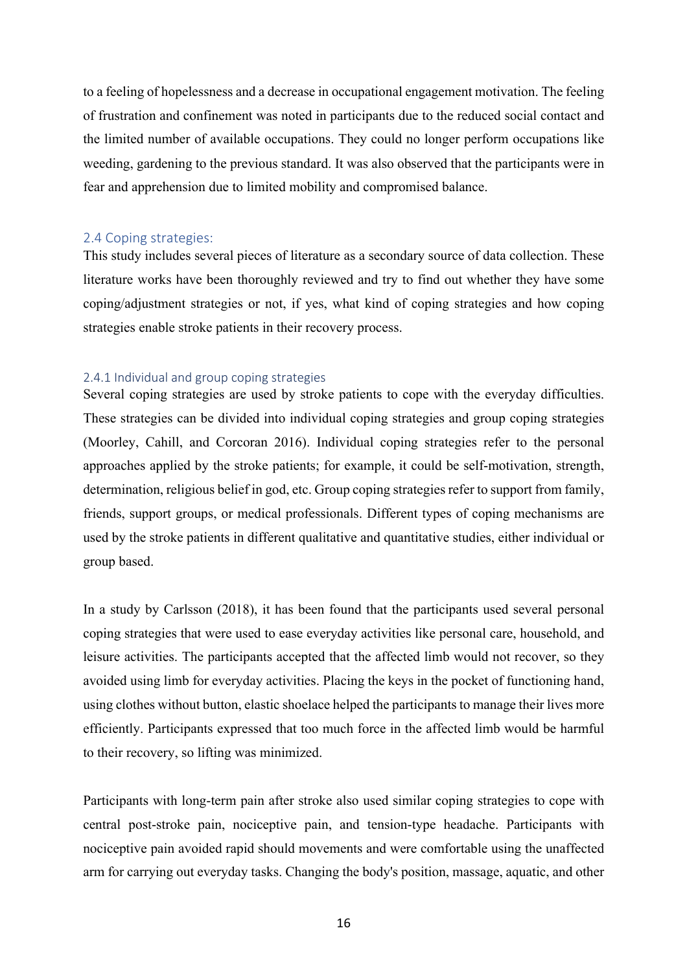to a feeling of hopelessness and a decrease in occupational engagement motivation. The feeling of frustration and confinement was noted in participants due to the reduced social contact and the limited number of available occupations. They could no longer perform occupations like weeding, gardening to the previous standard. It was also observed that the participants were in fear and apprehension due to limited mobility and compromised balance.

# 2.4 Coping strategies:

This study includes several pieces of literature as a secondary source of data collection. These literature works have been thoroughly reviewed and try to find out whether they have some coping/adjustment strategies or not, if yes, what kind of coping strategies and how coping strategies enable stroke patients in their recovery process.

# 2.4.1 Individual and group coping strategies

Several coping strategies are used by stroke patients to cope with the everyday difficulties. These strategies can be divided into individual coping strategies and group coping strategies (Moorley, Cahill, and Corcoran 2016). Individual coping strategies refer to the personal approaches applied by the stroke patients; for example, it could be self-motivation, strength, determination, religious belief in god, etc. Group coping strategies refer to support from family, friends, support groups, or medical professionals. Different types of coping mechanisms are used by the stroke patients in different qualitative and quantitative studies, either individual or group based.

In a study by Carlsson (2018), it has been found that the participants used several personal coping strategies that were used to ease everyday activities like personal care, household, and leisure activities. The participants accepted that the affected limb would not recover, so they avoided using limb for everyday activities. Placing the keys in the pocket of functioning hand, using clothes without button, elastic shoelace helped the participants to manage their lives more efficiently. Participants expressed that too much force in the affected limb would be harmful to their recovery, so lifting was minimized.

Participants with long-term pain after stroke also used similar coping strategies to cope with central post-stroke pain, nociceptive pain, and tension-type headache. Participants with nociceptive pain avoided rapid should movements and were comfortable using the unaffected arm for carrying out everyday tasks. Changing the body's position, massage, aquatic, and other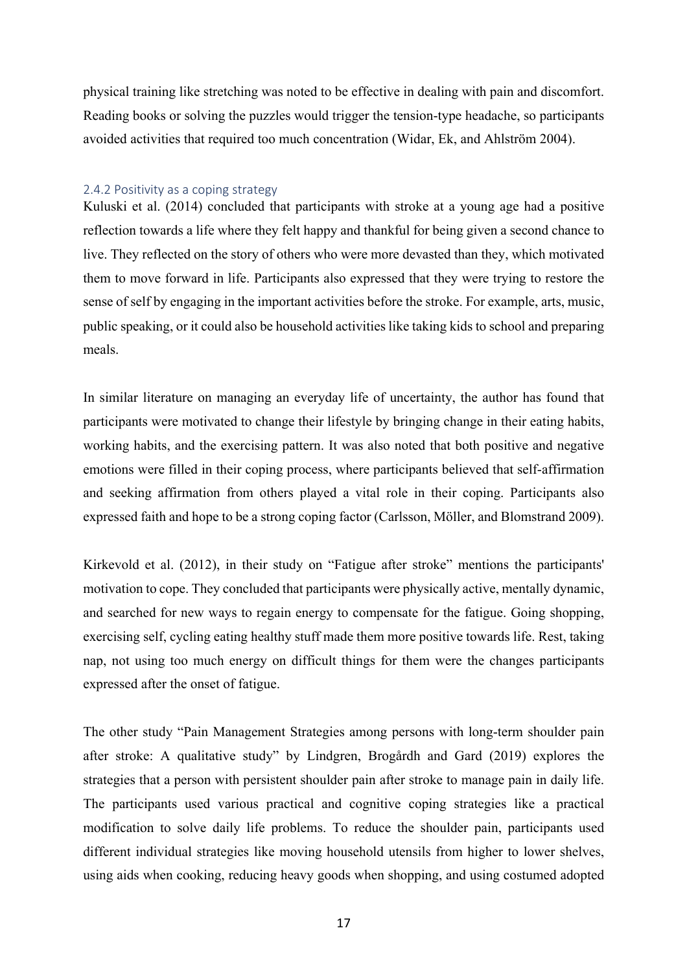physical training like stretching was noted to be effective in dealing with pain and discomfort. Reading books or solving the puzzles would trigger the tension-type headache, so participants avoided activities that required too much concentration (Widar, Ek, and Ahlström 2004).

#### 2.4.2 Positivity as a coping strategy

Kuluski et al. (2014) concluded that participants with stroke at a young age had a positive reflection towards a life where they felt happy and thankful for being given a second chance to live. They reflected on the story of others who were more devasted than they, which motivated them to move forward in life. Participants also expressed that they were trying to restore the sense of self by engaging in the important activities before the stroke. For example, arts, music, public speaking, or it could also be household activities like taking kids to school and preparing meals.

In similar literature on managing an everyday life of uncertainty, the author has found that participants were motivated to change their lifestyle by bringing change in their eating habits, working habits, and the exercising pattern. It was also noted that both positive and negative emotions were filled in their coping process, where participants believed that self-affirmation and seeking affirmation from others played a vital role in their coping. Participants also expressed faith and hope to be a strong coping factor (Carlsson, Möller, and Blomstrand 2009).

Kirkevold et al. (2012), in their study on "Fatigue after stroke" mentions the participants' motivation to cope. They concluded that participants were physically active, mentally dynamic, and searched for new ways to regain energy to compensate for the fatigue. Going shopping, exercising self, cycling eating healthy stuff made them more positive towards life. Rest, taking nap, not using too much energy on difficult things for them were the changes participants expressed after the onset of fatigue.

The other study "Pain Management Strategies among persons with long-term shoulder pain after stroke: A qualitative study" by Lindgren, Brogårdh and Gard (2019) explores the strategies that a person with persistent shoulder pain after stroke to manage pain in daily life. The participants used various practical and cognitive coping strategies like a practical modification to solve daily life problems. To reduce the shoulder pain, participants used different individual strategies like moving household utensils from higher to lower shelves, using aids when cooking, reducing heavy goods when shopping, and using costumed adopted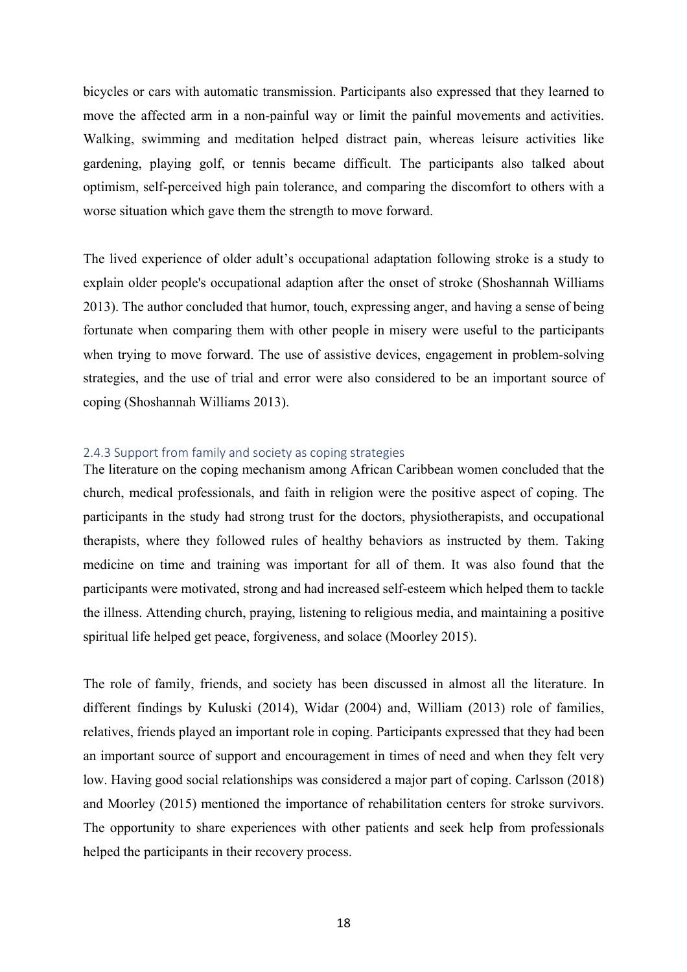bicycles or cars with automatic transmission. Participants also expressed that they learned to move the affected arm in a non-painful way or limit the painful movements and activities. Walking, swimming and meditation helped distract pain, whereas leisure activities like gardening, playing golf, or tennis became difficult. The participants also talked about optimism, self-perceived high pain tolerance, and comparing the discomfort to others with a worse situation which gave them the strength to move forward.

The lived experience of older adult's occupational adaptation following stroke is a study to explain older people's occupational adaption after the onset of stroke (Shoshannah Williams 2013). The author concluded that humor, touch, expressing anger, and having a sense of being fortunate when comparing them with other people in misery were useful to the participants when trying to move forward. The use of assistive devices, engagement in problem-solving strategies, and the use of trial and error were also considered to be an important source of coping (Shoshannah Williams 2013).

#### 2.4.3 Support from family and society as coping strategies

The literature on the coping mechanism among African Caribbean women concluded that the church, medical professionals, and faith in religion were the positive aspect of coping. The participants in the study had strong trust for the doctors, physiotherapists, and occupational therapists, where they followed rules of healthy behaviors as instructed by them. Taking medicine on time and training was important for all of them. It was also found that the participants were motivated, strong and had increased self-esteem which helped them to tackle the illness. Attending church, praying, listening to religious media, and maintaining a positive spiritual life helped get peace, forgiveness, and solace (Moorley 2015).

The role of family, friends, and society has been discussed in almost all the literature. In different findings by Kuluski (2014), Widar (2004) and, William (2013) role of families, relatives, friends played an important role in coping. Participants expressed that they had been an important source of support and encouragement in times of need and when they felt very low. Having good social relationships was considered a major part of coping. Carlsson (2018) and Moorley (2015) mentioned the importance of rehabilitation centers for stroke survivors. The opportunity to share experiences with other patients and seek help from professionals helped the participants in their recovery process.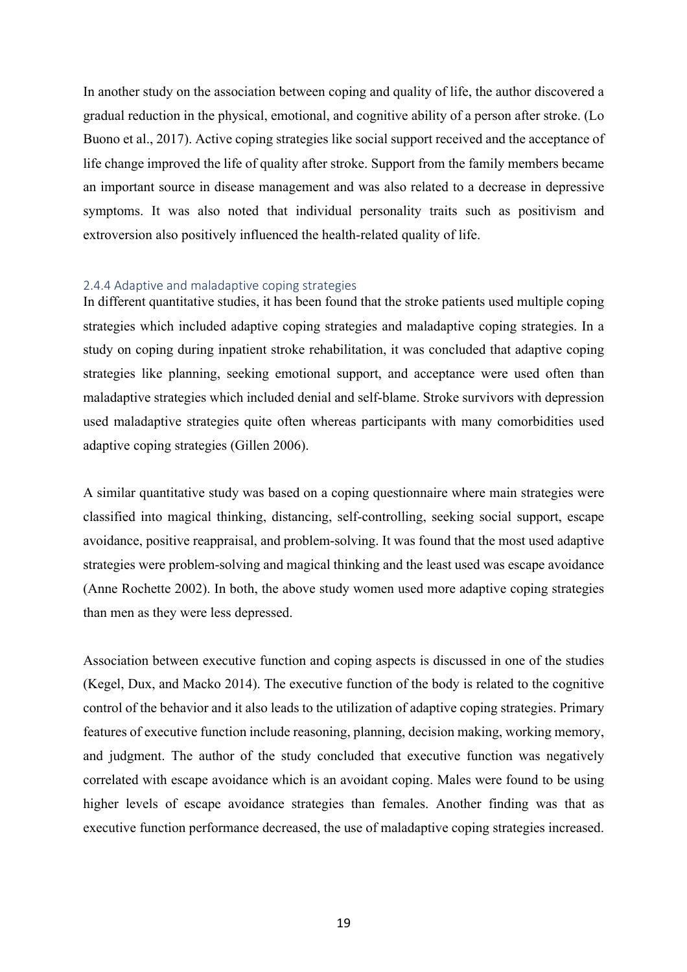In another study on the association between coping and quality of life, the author discovered a gradual reduction in the physical, emotional, and cognitive ability of a person after stroke. (Lo Buono et al., 2017). Active coping strategies like social support received and the acceptance of life change improved the life of quality after stroke. Support from the family members became an important source in disease management and was also related to a decrease in depressive symptoms. It was also noted that individual personality traits such as positivism and extroversion also positively influenced the health-related quality of life.

#### 2.4.4 Adaptive and maladaptive coping strategies

In different quantitative studies, it has been found that the stroke patients used multiple coping strategies which included adaptive coping strategies and maladaptive coping strategies. In a study on coping during inpatient stroke rehabilitation, it was concluded that adaptive coping strategies like planning, seeking emotional support, and acceptance were used often than maladaptive strategies which included denial and self-blame. Stroke survivors with depression used maladaptive strategies quite often whereas participants with many comorbidities used adaptive coping strategies (Gillen 2006).

A similar quantitative study was based on a coping questionnaire where main strategies were classified into magical thinking, distancing, self-controlling, seeking social support, escape avoidance, positive reappraisal, and problem-solving. It was found that the most used adaptive strategies were problem-solving and magical thinking and the least used was escape avoidance (Anne Rochette 2002). In both, the above study women used more adaptive coping strategies than men as they were less depressed.

Association between executive function and coping aspects is discussed in one of the studies (Kegel, Dux, and Macko 2014). The executive function of the body is related to the cognitive control of the behavior and it also leads to the utilization of adaptive coping strategies. Primary features of executive function include reasoning, planning, decision making, working memory, and judgment. The author of the study concluded that executive function was negatively correlated with escape avoidance which is an avoidant coping. Males were found to be using higher levels of escape avoidance strategies than females. Another finding was that as executive function performance decreased, the use of maladaptive coping strategies increased.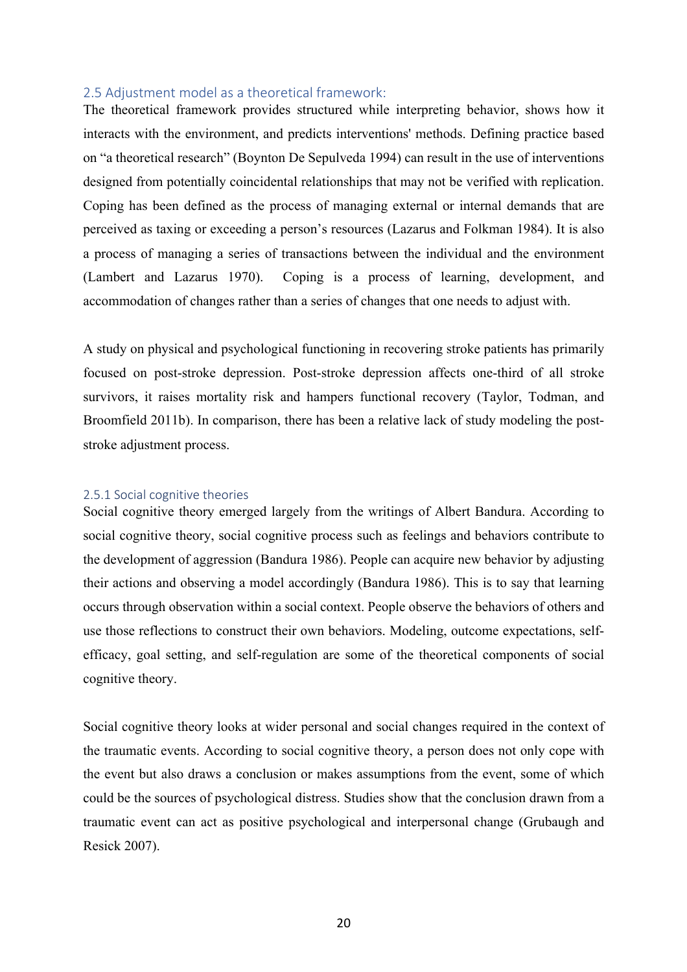# 2.5 Adjustment model as a theoretical framework:

The theoretical framework provides structured while interpreting behavior, shows how it interacts with the environment, and predicts interventions' methods. Defining practice based on "a theoretical research" (Boynton De Sepulveda 1994) can result in the use of interventions designed from potentially coincidental relationships that may not be verified with replication. Coping has been defined as the process of managing external or internal demands that are perceived as taxing or exceeding a person's resources (Lazarus and Folkman 1984). It is also a process of managing a series of transactions between the individual and the environment (Lambert and Lazarus 1970). Coping is a process of learning, development, and accommodation of changes rather than a series of changes that one needs to adjust with.

A study on physical and psychological functioning in recovering stroke patients has primarily focused on post-stroke depression. Post-stroke depression affects one-third of all stroke survivors, it raises mortality risk and hampers functional recovery (Taylor, Todman, and Broomfield 2011b). In comparison, there has been a relative lack of study modeling the poststroke adjustment process.

#### 2.5.1 Social cognitive theories

Social cognitive theory emerged largely from the writings of Albert Bandura. According to social cognitive theory, social cognitive process such as feelings and behaviors contribute to the development of aggression (Bandura 1986). People can acquire new behavior by adjusting their actions and observing a model accordingly (Bandura 1986). This is to say that learning occurs through observation within a social context. People observe the behaviors of others and use those reflections to construct their own behaviors. Modeling, outcome expectations, selfefficacy, goal setting, and self-regulation are some of the theoretical components of social cognitive theory.

Social cognitive theory looks at wider personal and social changes required in the context of the traumatic events. According to social cognitive theory, a person does not only cope with the event but also draws a conclusion or makes assumptions from the event, some of which could be the sources of psychological distress. Studies show that the conclusion drawn from a traumatic event can act as positive psychological and interpersonal change (Grubaugh and Resick 2007).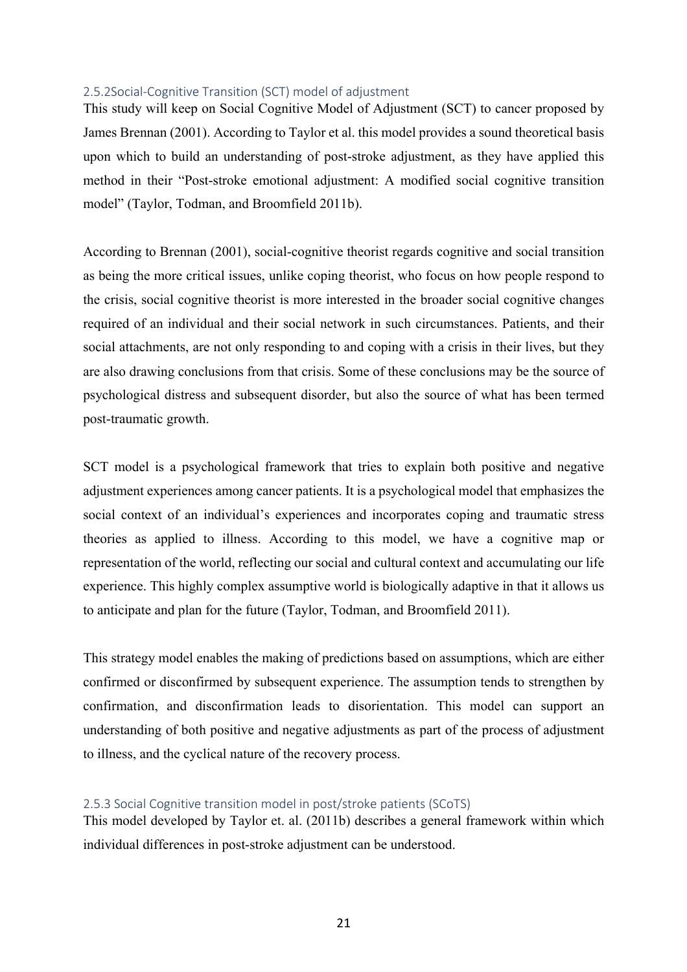#### 2.5.2Social-Cognitive Transition (SCT) model of adjustment

This study will keep on Social Cognitive Model of Adjustment (SCT) to cancer proposed by James Brennan (2001). According to Taylor et al. this model provides a sound theoretical basis upon which to build an understanding of post-stroke adjustment, as they have applied this method in their "Post-stroke emotional adjustment: A modified social cognitive transition model" (Taylor, Todman, and Broomfield 2011b).

According to Brennan (2001), social-cognitive theorist regards cognitive and social transition as being the more critical issues, unlike coping theorist, who focus on how people respond to the crisis, social cognitive theorist is more interested in the broader social cognitive changes required of an individual and their social network in such circumstances. Patients, and their social attachments, are not only responding to and coping with a crisis in their lives, but they are also drawing conclusions from that crisis. Some of these conclusions may be the source of psychological distress and subsequent disorder, but also the source of what has been termed post-traumatic growth.

SCT model is a psychological framework that tries to explain both positive and negative adjustment experiences among cancer patients. It is a psychological model that emphasizes the social context of an individual's experiences and incorporates coping and traumatic stress theories as applied to illness. According to this model, we have a cognitive map or representation of the world, reflecting our social and cultural context and accumulating our life experience. This highly complex assumptive world is biologically adaptive in that it allows us to anticipate and plan for the future (Taylor, Todman, and Broomfield 2011).

This strategy model enables the making of predictions based on assumptions, which are either confirmed or disconfirmed by subsequent experience. The assumption tends to strengthen by confirmation, and disconfirmation leads to disorientation. This model can support an understanding of both positive and negative adjustments as part of the process of adjustment to illness, and the cyclical nature of the recovery process.

## 2.5.3 Social Cognitive transition model in post/stroke patients (SCoTS)

This model developed by Taylor et. al. (2011b) describes a general framework within which individual differences in post-stroke adjustment can be understood.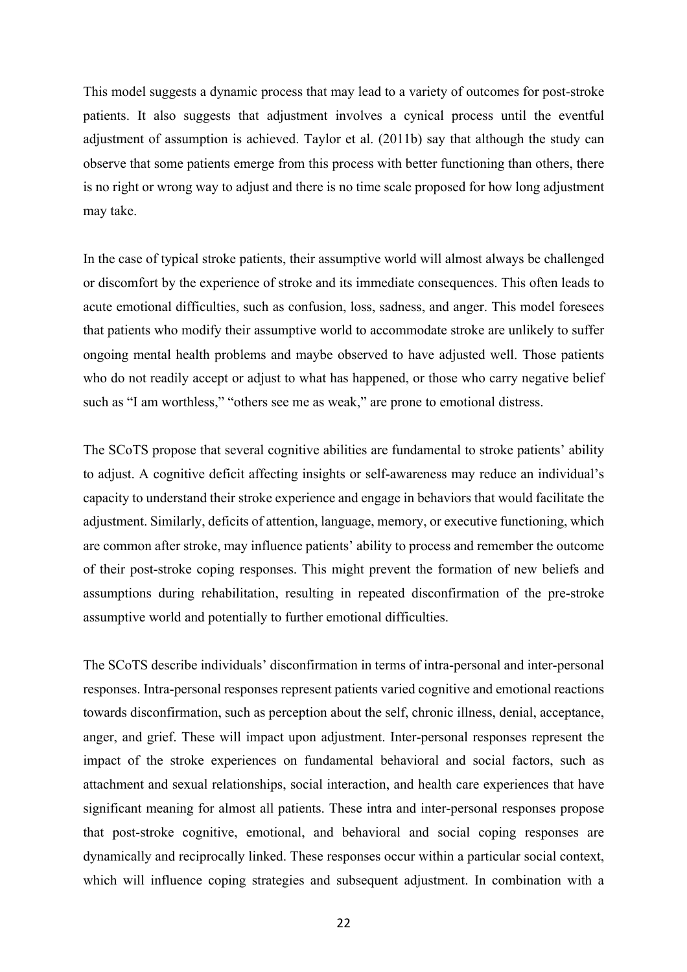This model suggests a dynamic process that may lead to a variety of outcomes for post-stroke patients. It also suggests that adjustment involves a cynical process until the eventful adjustment of assumption is achieved. Taylor et al. (2011b) say that although the study can observe that some patients emerge from this process with better functioning than others, there is no right or wrong way to adjust and there is no time scale proposed for how long adjustment may take.

In the case of typical stroke patients, their assumptive world will almost always be challenged or discomfort by the experience of stroke and its immediate consequences. This often leads to acute emotional difficulties, such as confusion, loss, sadness, and anger. This model foresees that patients who modify their assumptive world to accommodate stroke are unlikely to suffer ongoing mental health problems and maybe observed to have adjusted well. Those patients who do not readily accept or adjust to what has happened, or those who carry negative belief such as "I am worthless," "others see me as weak," are prone to emotional distress.

The SCoTS propose that several cognitive abilities are fundamental to stroke patients' ability to adjust. A cognitive deficit affecting insights or self-awareness may reduce an individual's capacity to understand their stroke experience and engage in behaviors that would facilitate the adjustment. Similarly, deficits of attention, language, memory, or executive functioning, which are common after stroke, may influence patients' ability to process and remember the outcome of their post-stroke coping responses. This might prevent the formation of new beliefs and assumptions during rehabilitation, resulting in repeated disconfirmation of the pre-stroke assumptive world and potentially to further emotional difficulties.

The SCoTS describe individuals' disconfirmation in terms of intra-personal and inter-personal responses. Intra-personal responses represent patients varied cognitive and emotional reactions towards disconfirmation, such as perception about the self, chronic illness, denial, acceptance, anger, and grief. These will impact upon adjustment. Inter-personal responses represent the impact of the stroke experiences on fundamental behavioral and social factors, such as attachment and sexual relationships, social interaction, and health care experiences that have significant meaning for almost all patients. These intra and inter-personal responses propose that post-stroke cognitive, emotional, and behavioral and social coping responses are dynamically and reciprocally linked. These responses occur within a particular social context, which will influence coping strategies and subsequent adjustment. In combination with a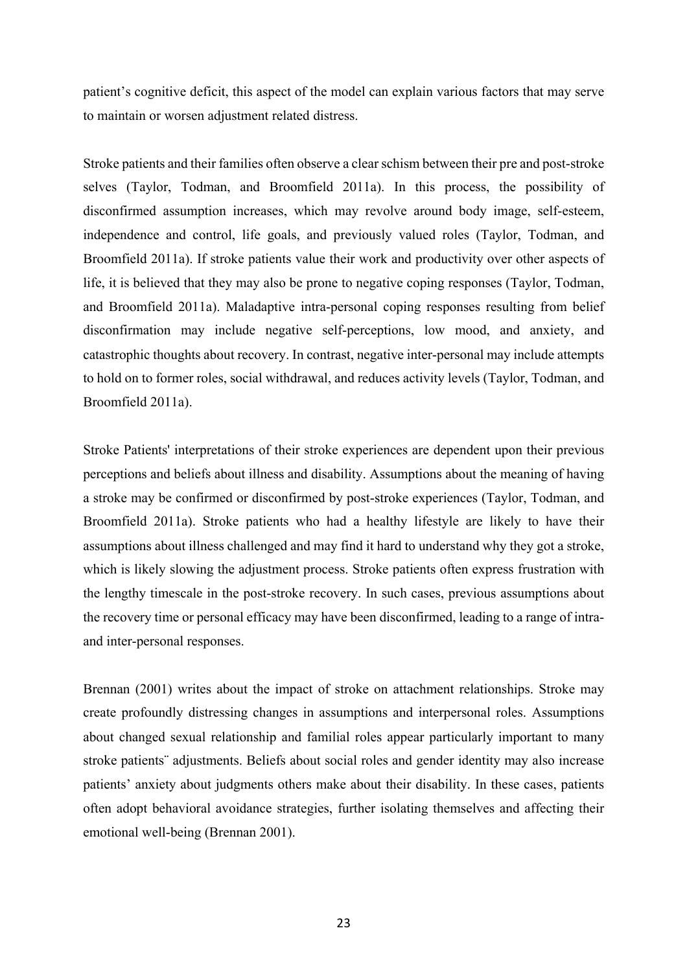patient's cognitive deficit, this aspect of the model can explain various factors that may serve to maintain or worsen adjustment related distress.

Stroke patients and their families often observe a clear schism between their pre and post-stroke selves (Taylor, Todman, and Broomfield 2011a). In this process, the possibility of disconfirmed assumption increases, which may revolve around body image, self-esteem, independence and control, life goals, and previously valued roles (Taylor, Todman, and Broomfield 2011a). If stroke patients value their work and productivity over other aspects of life, it is believed that they may also be prone to negative coping responses (Taylor, Todman, and Broomfield 2011a). Maladaptive intra-personal coping responses resulting from belief disconfirmation may include negative self-perceptions, low mood, and anxiety, and catastrophic thoughts about recovery. In contrast, negative inter-personal may include attempts to hold on to former roles, social withdrawal, and reduces activity levels (Taylor, Todman, and Broomfield 2011a).

Stroke Patients' interpretations of their stroke experiences are dependent upon their previous perceptions and beliefs about illness and disability. Assumptions about the meaning of having a stroke may be confirmed or disconfirmed by post-stroke experiences (Taylor, Todman, and Broomfield 2011a). Stroke patients who had a healthy lifestyle are likely to have their assumptions about illness challenged and may find it hard to understand why they got a stroke, which is likely slowing the adjustment process. Stroke patients often express frustration with the lengthy timescale in the post-stroke recovery. In such cases, previous assumptions about the recovery time or personal efficacy may have been disconfirmed, leading to a range of intraand inter-personal responses.

Brennan (2001) writes about the impact of stroke on attachment relationships. Stroke may create profoundly distressing changes in assumptions and interpersonal roles. Assumptions about changed sexual relationship and familial roles appear particularly important to many stroke patients¨ adjustments. Beliefs about social roles and gender identity may also increase patients' anxiety about judgments others make about their disability. In these cases, patients often adopt behavioral avoidance strategies, further isolating themselves and affecting their emotional well-being (Brennan 2001).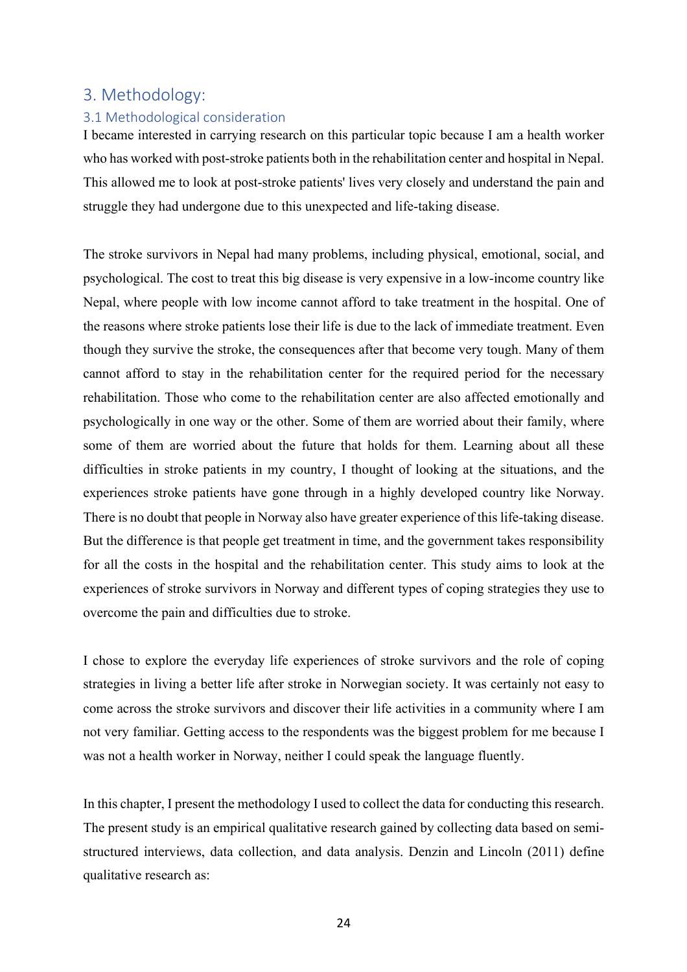# 3. Methodology:

# 3.1 Methodological consideration

I became interested in carrying research on this particular topic because I am a health worker who has worked with post-stroke patients both in the rehabilitation center and hospital in Nepal. This allowed me to look at post-stroke patients' lives very closely and understand the pain and struggle they had undergone due to this unexpected and life-taking disease.

The stroke survivors in Nepal had many problems, including physical, emotional, social, and psychological. The cost to treat this big disease is very expensive in a low-income country like Nepal, where people with low income cannot afford to take treatment in the hospital. One of the reasons where stroke patients lose their life is due to the lack of immediate treatment. Even though they survive the stroke, the consequences after that become very tough. Many of them cannot afford to stay in the rehabilitation center for the required period for the necessary rehabilitation. Those who come to the rehabilitation center are also affected emotionally and psychologically in one way or the other. Some of them are worried about their family, where some of them are worried about the future that holds for them. Learning about all these difficulties in stroke patients in my country, I thought of looking at the situations, and the experiences stroke patients have gone through in a highly developed country like Norway. There is no doubt that people in Norway also have greater experience of this life-taking disease. But the difference is that people get treatment in time, and the government takes responsibility for all the costs in the hospital and the rehabilitation center. This study aims to look at the experiences of stroke survivors in Norway and different types of coping strategies they use to overcome the pain and difficulties due to stroke.

I chose to explore the everyday life experiences of stroke survivors and the role of coping strategies in living a better life after stroke in Norwegian society. It was certainly not easy to come across the stroke survivors and discover their life activities in a community where I am not very familiar. Getting access to the respondents was the biggest problem for me because I was not a health worker in Norway, neither I could speak the language fluently.

In this chapter, I present the methodology I used to collect the data for conducting this research. The present study is an empirical qualitative research gained by collecting data based on semistructured interviews, data collection, and data analysis. Denzin and Lincoln (2011) define qualitative research as: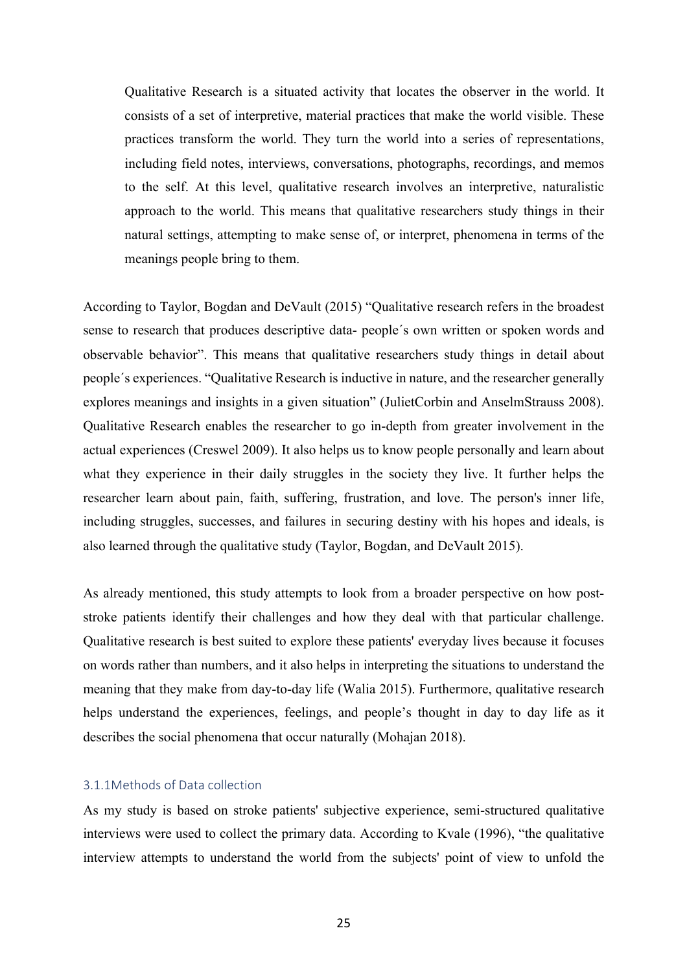Qualitative Research is a situated activity that locates the observer in the world. It consists of a set of interpretive, material practices that make the world visible. These practices transform the world. They turn the world into a series of representations, including field notes, interviews, conversations, photographs, recordings, and memos to the self. At this level, qualitative research involves an interpretive, naturalistic approach to the world. This means that qualitative researchers study things in their natural settings, attempting to make sense of, or interpret, phenomena in terms of the meanings people bring to them.

According to Taylor, Bogdan and DeVault (2015) "Qualitative research refers in the broadest sense to research that produces descriptive data- people´s own written or spoken words and observable behavior". This means that qualitative researchers study things in detail about people´s experiences. "Qualitative Research is inductive in nature, and the researcher generally explores meanings and insights in a given situation" (JulietCorbin and AnselmStrauss 2008). Qualitative Research enables the researcher to go in-depth from greater involvement in the actual experiences (Creswel 2009). It also helps us to know people personally and learn about what they experience in their daily struggles in the society they live. It further helps the researcher learn about pain, faith, suffering, frustration, and love. The person's inner life, including struggles, successes, and failures in securing destiny with his hopes and ideals, is also learned through the qualitative study (Taylor, Bogdan, and DeVault 2015).

As already mentioned, this study attempts to look from a broader perspective on how poststroke patients identify their challenges and how they deal with that particular challenge. Qualitative research is best suited to explore these patients' everyday lives because it focuses on words rather than numbers, and it also helps in interpreting the situations to understand the meaning that they make from day-to-day life (Walia 2015). Furthermore, qualitative research helps understand the experiences, feelings, and people's thought in day to day life as it describes the social phenomena that occur naturally (Mohajan 2018).

#### 3.1.1Methods of Data collection

As my study is based on stroke patients' subjective experience, semi-structured qualitative interviews were used to collect the primary data. According to Kvale (1996), "the qualitative interview attempts to understand the world from the subjects' point of view to unfold the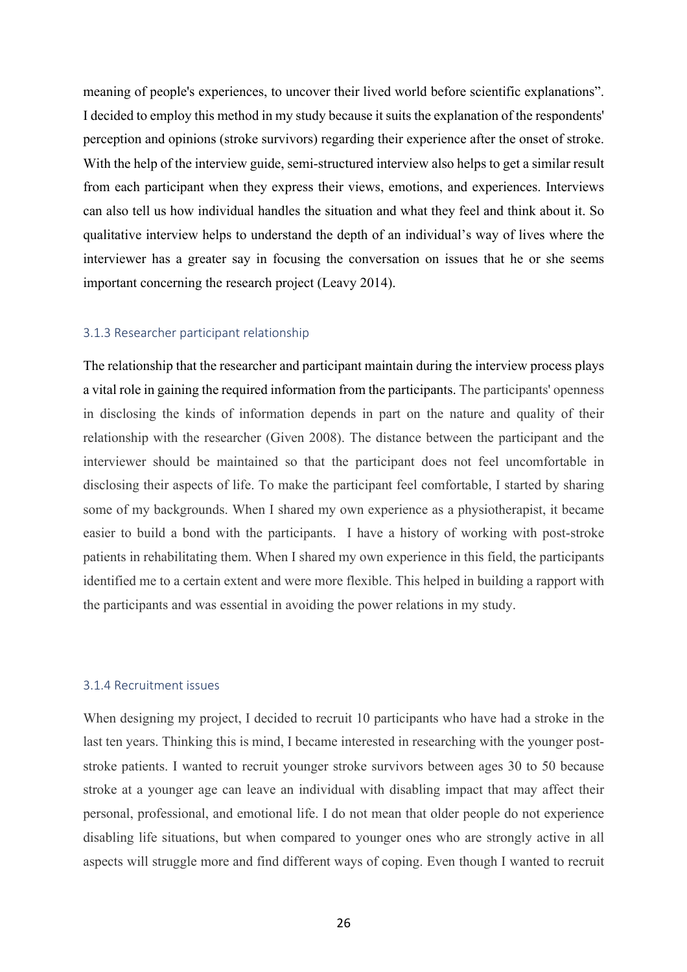meaning of people's experiences, to uncover their lived world before scientific explanations". I decided to employ this method in my study because it suits the explanation of the respondents' perception and opinions (stroke survivors) regarding their experience after the onset of stroke. With the help of the interview guide, semi-structured interview also helps to get a similar result from each participant when they express their views, emotions, and experiences. Interviews can also tell us how individual handles the situation and what they feel and think about it. So qualitative interview helps to understand the depth of an individual's way of lives where the interviewer has a greater say in focusing the conversation on issues that he or she seems important concerning the research project (Leavy 2014).

#### 3.1.3 Researcher participant relationship

The relationship that the researcher and participant maintain during the interview process plays a vital role in gaining the required information from the participants. The participants' openness in disclosing the kinds of information depends in part on the nature and quality of their relationship with the researcher (Given 2008). The distance between the participant and the interviewer should be maintained so that the participant does not feel uncomfortable in disclosing their aspects of life. To make the participant feel comfortable, I started by sharing some of my backgrounds. When I shared my own experience as a physiotherapist, it became easier to build a bond with the participants. I have a history of working with post-stroke patients in rehabilitating them. When I shared my own experience in this field, the participants identified me to a certain extent and were more flexible. This helped in building a rapport with the participants and was essential in avoiding the power relations in my study.

#### 3.1.4 Recruitment issues

When designing my project, I decided to recruit 10 participants who have had a stroke in the last ten years. Thinking this is mind, I became interested in researching with the younger poststroke patients. I wanted to recruit younger stroke survivors between ages 30 to 50 because stroke at a younger age can leave an individual with disabling impact that may affect their personal, professional, and emotional life. I do not mean that older people do not experience disabling life situations, but when compared to younger ones who are strongly active in all aspects will struggle more and find different ways of coping. Even though I wanted to recruit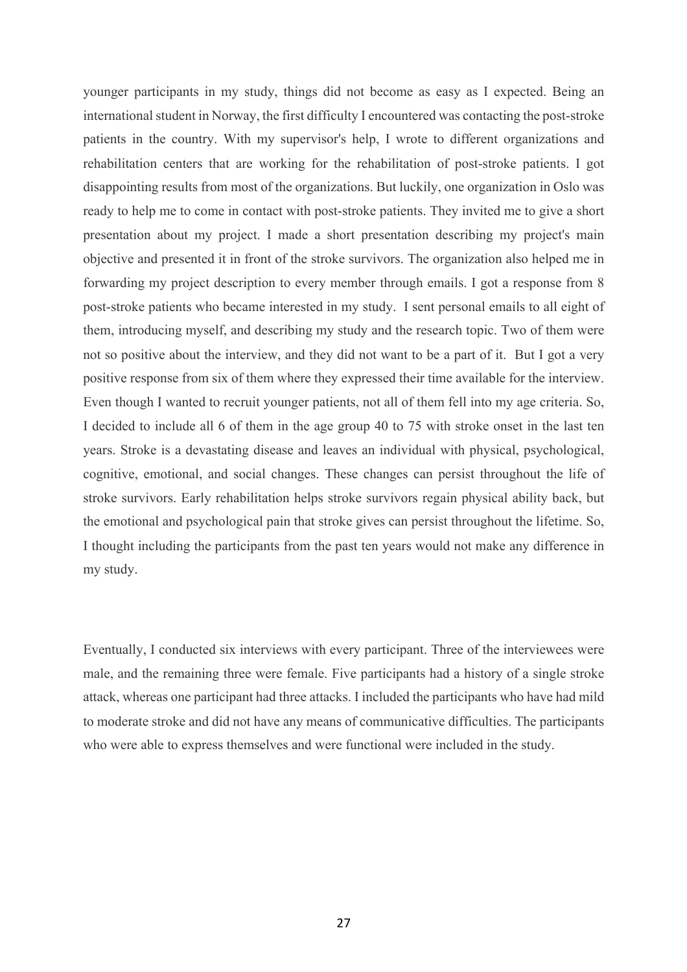younger participants in my study, things did not become as easy as I expected. Being an international student in Norway, the first difficulty I encountered was contacting the post-stroke patients in the country. With my supervisor's help, I wrote to different organizations and rehabilitation centers that are working for the rehabilitation of post-stroke patients. I got disappointing results from most of the organizations. But luckily, one organization in Oslo was ready to help me to come in contact with post-stroke patients. They invited me to give a short presentation about my project. I made a short presentation describing my project's main objective and presented it in front of the stroke survivors. The organization also helped me in forwarding my project description to every member through emails. I got a response from 8 post-stroke patients who became interested in my study. I sent personal emails to all eight of them, introducing myself, and describing my study and the research topic. Two of them were not so positive about the interview, and they did not want to be a part of it. But I got a very positive response from six of them where they expressed their time available for the interview. Even though I wanted to recruit younger patients, not all of them fell into my age criteria. So, I decided to include all 6 of them in the age group 40 to 75 with stroke onset in the last ten years. Stroke is a devastating disease and leaves an individual with physical, psychological, cognitive, emotional, and social changes. These changes can persist throughout the life of stroke survivors. Early rehabilitation helps stroke survivors regain physical ability back, but the emotional and psychological pain that stroke gives can persist throughout the lifetime. So, I thought including the participants from the past ten years would not make any difference in my study.

Eventually, I conducted six interviews with every participant. Three of the interviewees were male, and the remaining three were female. Five participants had a history of a single stroke attack, whereas one participant had three attacks. I included the participants who have had mild to moderate stroke and did not have any means of communicative difficulties. The participants who were able to express themselves and were functional were included in the study.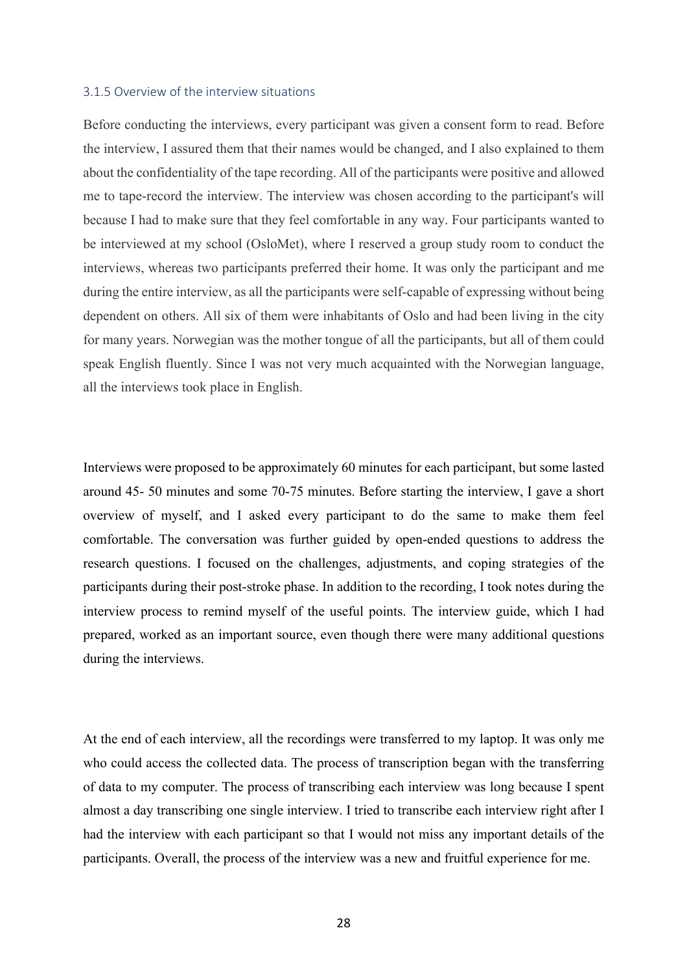#### 3.1.5 Overview of the interview situations

Before conducting the interviews, every participant was given a consent form to read. Before the interview, I assured them that their names would be changed, and I also explained to them about the confidentiality of the tape recording. All of the participants were positive and allowed me to tape-record the interview. The interview was chosen according to the participant's will because I had to make sure that they feel comfortable in any way. Four participants wanted to be interviewed at my school (OsloMet), where I reserved a group study room to conduct the interviews, whereas two participants preferred their home. It was only the participant and me during the entire interview, as all the participants were self-capable of expressing without being dependent on others. All six of them were inhabitants of Oslo and had been living in the city for many years. Norwegian was the mother tongue of all the participants, but all of them could speak English fluently. Since I was not very much acquainted with the Norwegian language, all the interviews took place in English.

Interviews were proposed to be approximately 60 minutes for each participant, but some lasted around 45- 50 minutes and some 70-75 minutes. Before starting the interview, I gave a short overview of myself, and I asked every participant to do the same to make them feel comfortable. The conversation was further guided by open-ended questions to address the research questions. I focused on the challenges, adjustments, and coping strategies of the participants during their post-stroke phase. In addition to the recording, I took notes during the interview process to remind myself of the useful points. The interview guide, which I had prepared, worked as an important source, even though there were many additional questions during the interviews.

At the end of each interview, all the recordings were transferred to my laptop. It was only me who could access the collected data. The process of transcription began with the transferring of data to my computer. The process of transcribing each interview was long because I spent almost a day transcribing one single interview. I tried to transcribe each interview right after I had the interview with each participant so that I would not miss any important details of the participants. Overall, the process of the interview was a new and fruitful experience for me.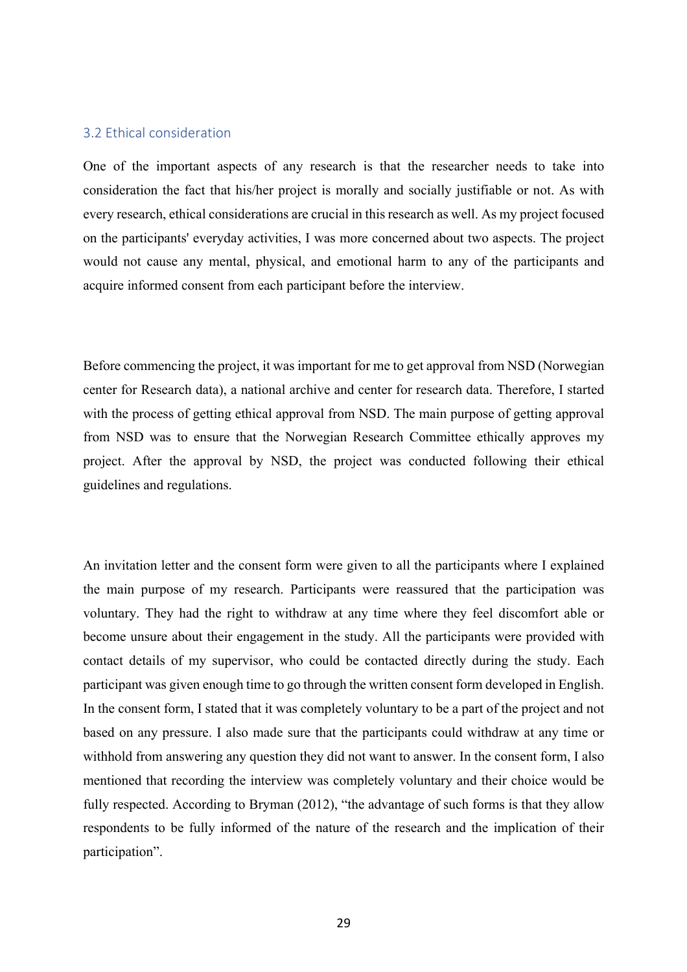# 3.2 Ethical consideration

One of the important aspects of any research is that the researcher needs to take into consideration the fact that his/her project is morally and socially justifiable or not. As with every research, ethical considerations are crucial in this research as well. As my project focused on the participants' everyday activities, I was more concerned about two aspects. The project would not cause any mental, physical, and emotional harm to any of the participants and acquire informed consent from each participant before the interview.

Before commencing the project, it was important for me to get approval from NSD (Norwegian center for Research data), a national archive and center for research data. Therefore, I started with the process of getting ethical approval from NSD. The main purpose of getting approval from NSD was to ensure that the Norwegian Research Committee ethically approves my project. After the approval by NSD, the project was conducted following their ethical guidelines and regulations.

An invitation letter and the consent form were given to all the participants where I explained the main purpose of my research. Participants were reassured that the participation was voluntary. They had the right to withdraw at any time where they feel discomfort able or become unsure about their engagement in the study. All the participants were provided with contact details of my supervisor, who could be contacted directly during the study. Each participant was given enough time to go through the written consent form developed in English. In the consent form, I stated that it was completely voluntary to be a part of the project and not based on any pressure. I also made sure that the participants could withdraw at any time or withhold from answering any question they did not want to answer. In the consent form, I also mentioned that recording the interview was completely voluntary and their choice would be fully respected. According to Bryman (2012), "the advantage of such forms is that they allow respondents to be fully informed of the nature of the research and the implication of their participation".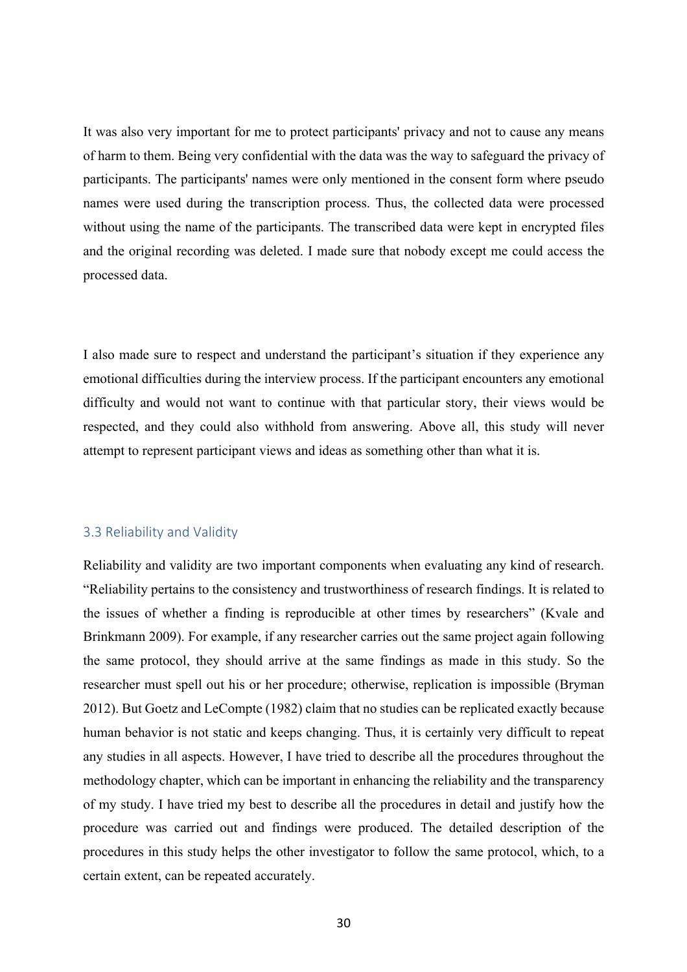It was also very important for me to protect participants' privacy and not to cause any means of harm to them. Being very confidential with the data was the way to safeguard the privacy of participants. The participants' names were only mentioned in the consent form where pseudo names were used during the transcription process. Thus, the collected data were processed without using the name of the participants. The transcribed data were kept in encrypted files and the original recording was deleted. I made sure that nobody except me could access the processed data.

I also made sure to respect and understand the participant's situation if they experience any emotional difficulties during the interview process. If the participant encounters any emotional difficulty and would not want to continue with that particular story, their views would be respected, and they could also withhold from answering. Above all, this study will never attempt to represent participant views and ideas as something other than what it is.

### 3.3 Reliability and Validity

Reliability and validity are two important components when evaluating any kind of research. "Reliability pertains to the consistency and trustworthiness of research findings. It is related to the issues of whether a finding is reproducible at other times by researchers" (Kvale and Brinkmann 2009). For example, if any researcher carries out the same project again following the same protocol, they should arrive at the same findings as made in this study. So the researcher must spell out his or her procedure; otherwise, replication is impossible (Bryman 2012). But Goetz and LeCompte (1982) claim that no studies can be replicated exactly because human behavior is not static and keeps changing. Thus, it is certainly very difficult to repeat any studies in all aspects. However, I have tried to describe all the procedures throughout the methodology chapter, which can be important in enhancing the reliability and the transparency of my study. I have tried my best to describe all the procedures in detail and justify how the procedure was carried out and findings were produced. The detailed description of the procedures in this study helps the other investigator to follow the same protocol, which, to a certain extent, can be repeated accurately.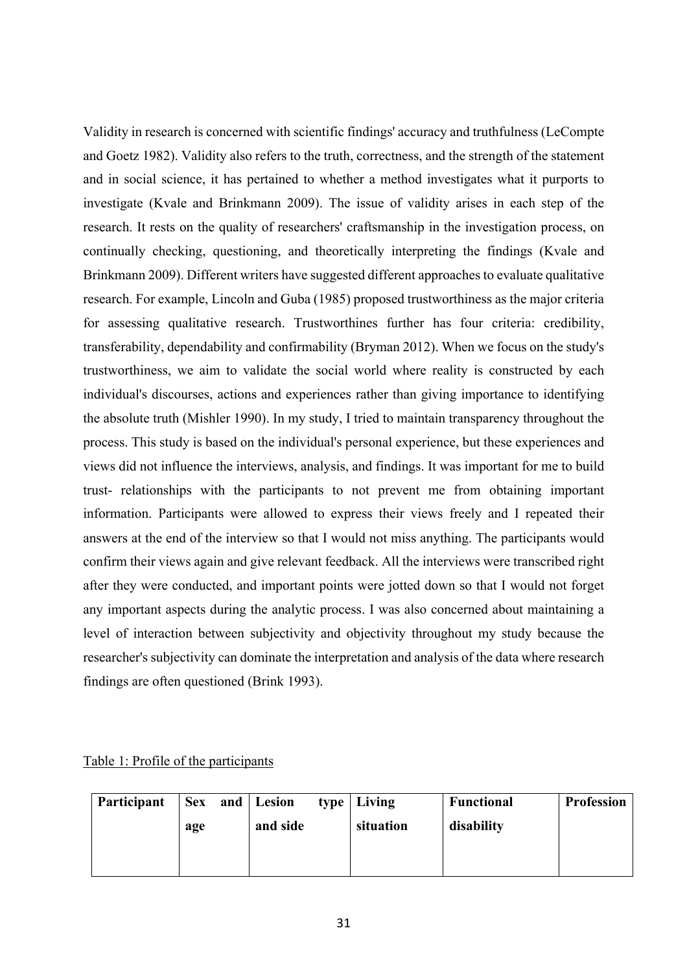Validity in research is concerned with scientific findings' accuracy and truthfulness (LeCompte and Goetz 1982). Validity also refers to the truth, correctness, and the strength of the statement and in social science, it has pertained to whether a method investigates what it purports to investigate (Kvale and Brinkmann 2009). The issue of validity arises in each step of the research. It rests on the quality of researchers' craftsmanship in the investigation process, on continually checking, questioning, and theoretically interpreting the findings (Kvale and Brinkmann 2009). Different writers have suggested different approaches to evaluate qualitative research. For example, Lincoln and Guba (1985) proposed trustworthiness as the major criteria for assessing qualitative research. Trustworthines further has four criteria: credibility, transferability, dependability and confirmability (Bryman 2012). When we focus on the study's trustworthiness, we aim to validate the social world where reality is constructed by each individual's discourses, actions and experiences rather than giving importance to identifying the absolute truth (Mishler 1990). In my study, I tried to maintain transparency throughout the process. This study is based on the individual's personal experience, but these experiences and views did not influence the interviews, analysis, and findings. It was important for me to build trust- relationships with the participants to not prevent me from obtaining important information. Participants were allowed to express their views freely and I repeated their answers at the end of the interview so that I would not miss anything. The participants would confirm their views again and give relevant feedback. All the interviews were transcribed right after they were conducted, and important points were jotted down so that I would not forget any important aspects during the analytic process. I was also concerned about maintaining a level of interaction between subjectivity and objectivity throughout my study because the researcher's subjectivity can dominate the interpretation and analysis of the data where research findings are often questioned (Brink 1993).

|  | Table 1: Profile of the participants |  |  |
|--|--------------------------------------|--|--|
|  |                                      |  |  |

| Participant |     | Sex and Lesion | type   Living | <b>Functional</b> | <b>Profession</b> |
|-------------|-----|----------------|---------------|-------------------|-------------------|
|             | age | and side       | situation     | disability        |                   |
|             |     |                |               |                   |                   |
|             |     |                |               |                   |                   |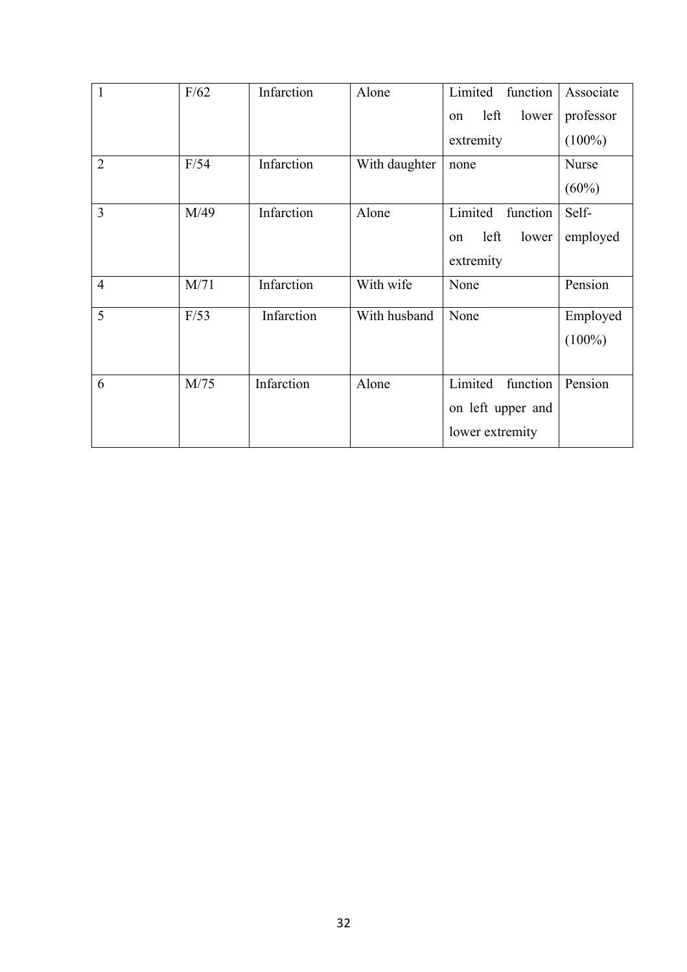| $\mathbf{1}$   | F/62 | Infarction | Alone         | Limited<br>function            | Associate |
|----------------|------|------------|---------------|--------------------------------|-----------|
|                |      |            |               | left<br>lower<br>on            | professor |
|                |      |            |               | extremity                      | $(100\%)$ |
| $\overline{2}$ | F/54 | Infarction | With daughter | none                           | Nurse     |
|                |      |            |               |                                | $(60\%)$  |
| 3              | M/49 | Infarction | Alone         | Limited<br>function            | Self-     |
|                |      |            |               | left<br>lower<br><sub>on</sub> | employed  |
|                |      |            |               | extremity                      |           |
| $\overline{4}$ | M/71 | Infarction | With wife     | None                           | Pension   |
| 5              | F/53 | Infarction | With husband  | None                           | Employed  |
|                |      |            |               |                                | $(100\%)$ |
|                |      |            |               |                                |           |
| 6              | M/75 | Infarction | Alone         | Limited<br>function            | Pension   |
|                |      |            |               | on left upper and              |           |
|                |      |            |               | lower extremity                |           |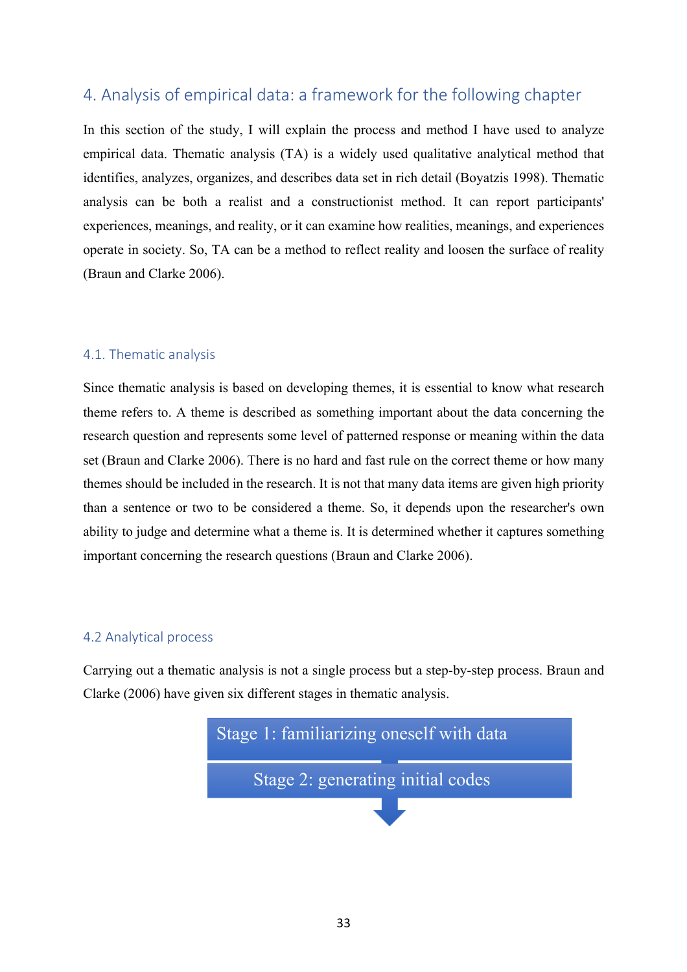# 4. Analysis of empirical data: a framework for the following chapter

In this section of the study, I will explain the process and method I have used to analyze empirical data. Thematic analysis (TA) is a widely used qualitative analytical method that identifies, analyzes, organizes, and describes data set in rich detail (Boyatzis 1998). Thematic analysis can be both a realist and a constructionist method. It can report participants' experiences, meanings, and reality, or it can examine how realities, meanings, and experiences operate in society. So, TA can be a method to reflect reality and loosen the surface of reality (Braun and Clarke 2006).

# 4.1. Thematic analysis

Since thematic analysis is based on developing themes, it is essential to know what research theme refers to. A theme is described as something important about the data concerning the research question and represents some level of patterned response or meaning within the data set (Braun and Clarke 2006). There is no hard and fast rule on the correct theme or how many themes should be included in the research. It is not that many data items are given high priority than a sentence or two to be considered a theme. So, it depends upon the researcher's own ability to judge and determine what a theme is. It is determined whether it captures something important concerning the research questions (Braun and Clarke 2006).

# 4.2 Analytical process

Carrying out a thematic analysis is not a single process but a step-by-step process. Braun and Clarke (2006) have given six different stages in thematic analysis.

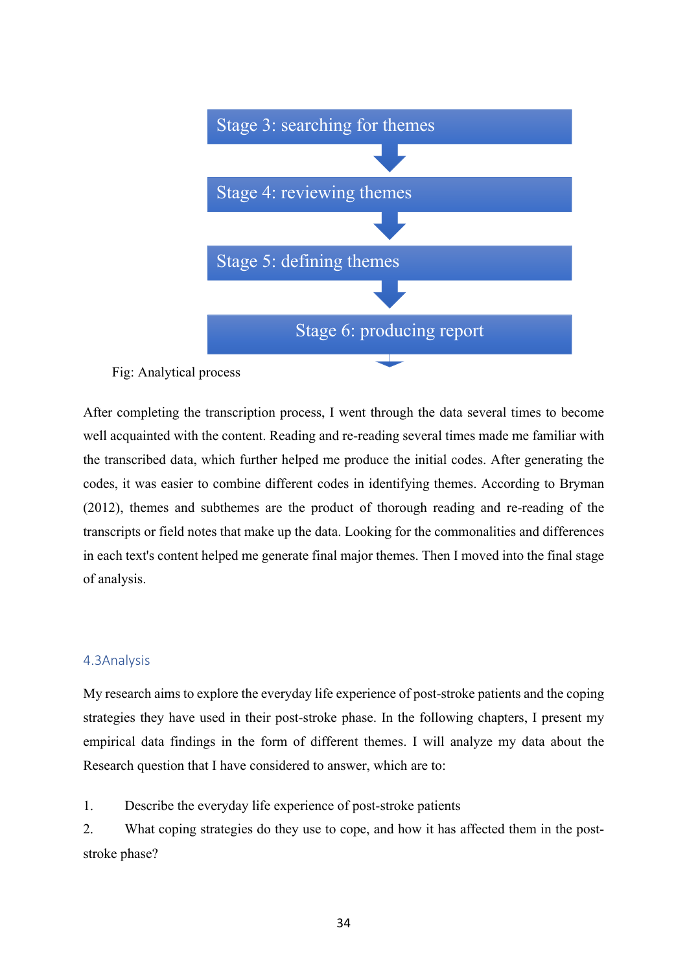

# Fig: Analytical process

After completing the transcription process, I went through the data several times to become well acquainted with the content. Reading and re-reading several times made me familiar with the transcribed data, which further helped me produce the initial codes. After generating the codes, it was easier to combine different codes in identifying themes. According to Bryman (2012), themes and subthemes are the product of thorough reading and re-reading of the transcripts or field notes that make up the data. Looking for the commonalities and differences in each text's content helped me generate final major themes. Then I moved into the final stage of analysis.

# 4.3Analysis

My research aims to explore the everyday life experience of post-stroke patients and the coping strategies they have used in their post-stroke phase. In the following chapters, I present my empirical data findings in the form of different themes. I will analyze my data about the Research question that I have considered to answer, which are to:

1. Describe the everyday life experience of post-stroke patients

2. What coping strategies do they use to cope, and how it has affected them in the poststroke phase?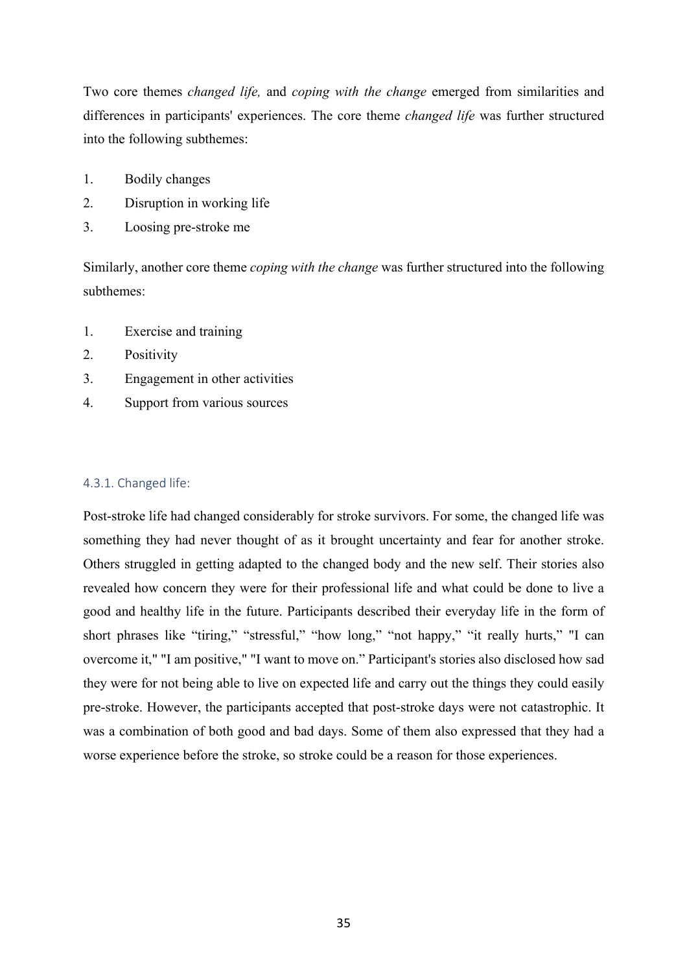Two core themes *changed life,* and *coping with the change* emerged from similarities and differences in participants' experiences. The core theme *changed life* was further structured into the following subthemes:

- 1. Bodily changes
- 2. Disruption in working life
- 3. Loosing pre-stroke me

Similarly, another core theme *coping with the change* was further structured into the following subthemes:

- 1. Exercise and training
- 2. Positivity
- 3. Engagement in other activities
- 4. Support from various sources

#### 4.3.1. Changed life:

Post-stroke life had changed considerably for stroke survivors. For some, the changed life was something they had never thought of as it brought uncertainty and fear for another stroke. Others struggled in getting adapted to the changed body and the new self. Their stories also revealed how concern they were for their professional life and what could be done to live a good and healthy life in the future. Participants described their everyday life in the form of short phrases like "tiring," "stressful," "how long," "not happy," "it really hurts," "I can overcome it," "I am positive," "I want to move on." Participant's stories also disclosed how sad they were for not being able to live on expected life and carry out the things they could easily pre-stroke. However, the participants accepted that post-stroke days were not catastrophic. It was a combination of both good and bad days. Some of them also expressed that they had a worse experience before the stroke, so stroke could be a reason for those experiences.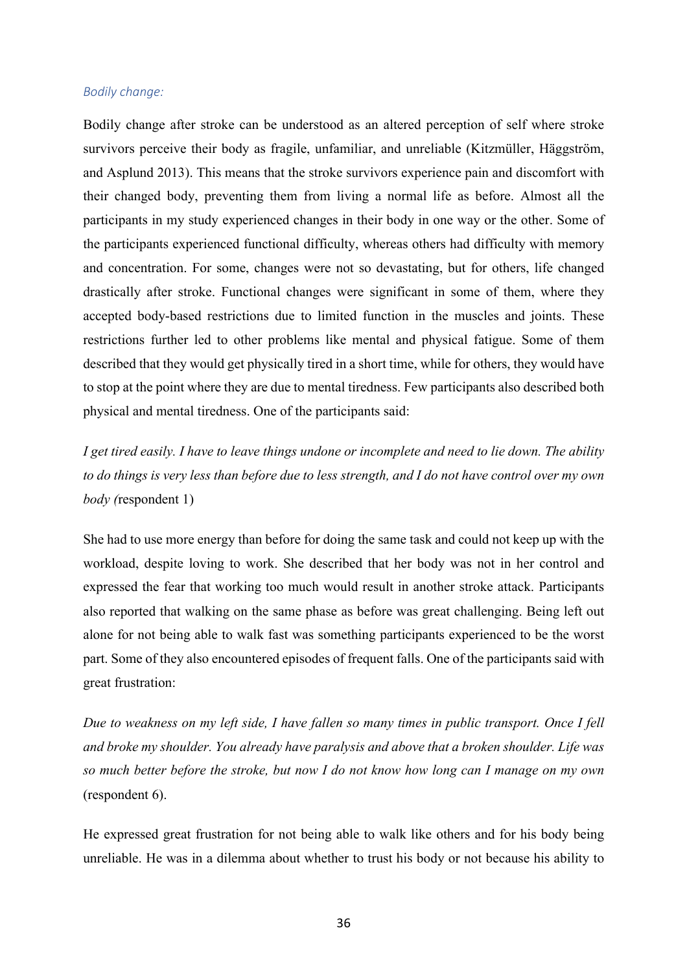#### *Bodily change:*

Bodily change after stroke can be understood as an altered perception of self where stroke survivors perceive their body as fragile, unfamiliar, and unreliable (Kitzmüller, Häggström, and Asplund 2013). This means that the stroke survivors experience pain and discomfort with their changed body, preventing them from living a normal life as before. Almost all the participants in my study experienced changes in their body in one way or the other. Some of the participants experienced functional difficulty, whereas others had difficulty with memory and concentration. For some, changes were not so devastating, but for others, life changed drastically after stroke. Functional changes were significant in some of them, where they accepted body-based restrictions due to limited function in the muscles and joints. These restrictions further led to other problems like mental and physical fatigue. Some of them described that they would get physically tired in a short time, while for others, they would have to stop at the point where they are due to mental tiredness. Few participants also described both physical and mental tiredness. One of the participants said:

*I get tired easily. I have to leave things undone or incomplete and need to lie down. The ability to do things is very less than before due to less strength, and I do not have control over my own body (*respondent 1)

She had to use more energy than before for doing the same task and could not keep up with the workload, despite loving to work. She described that her body was not in her control and expressed the fear that working too much would result in another stroke attack. Participants also reported that walking on the same phase as before was great challenging. Being left out alone for not being able to walk fast was something participants experienced to be the worst part. Some of they also encountered episodes of frequent falls. One of the participants said with great frustration:

*Due to weakness on my left side, I have fallen so many times in public transport. Once I fell and broke my shoulder. You already have paralysis and above that a broken shoulder. Life was so much better before the stroke, but now I do not know how long can I manage on my own* (respondent 6).

He expressed great frustration for not being able to walk like others and for his body being unreliable. He was in a dilemma about whether to trust his body or not because his ability to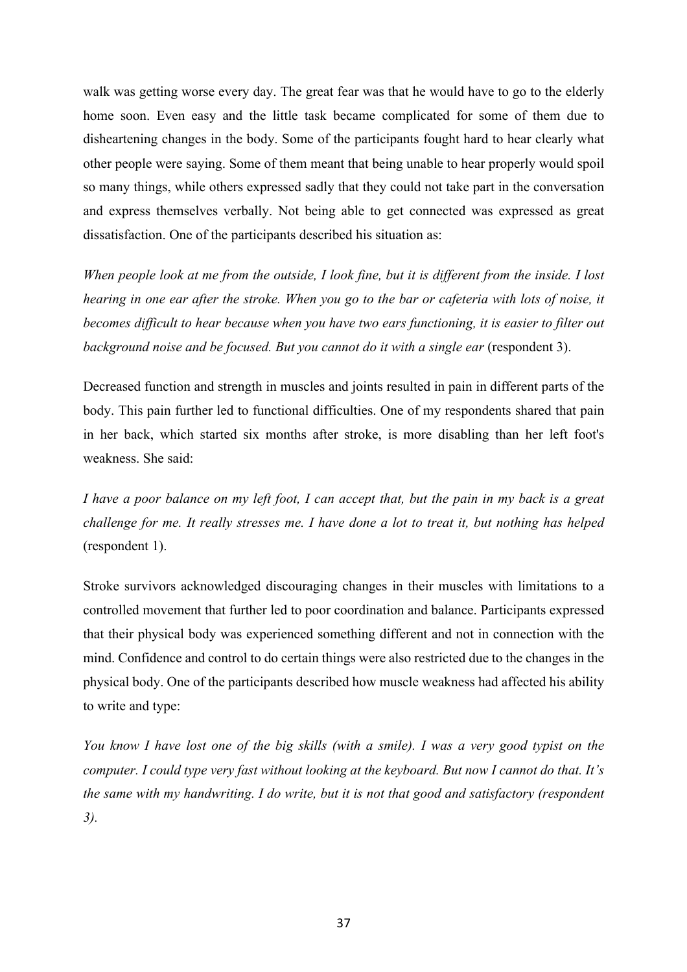walk was getting worse every day. The great fear was that he would have to go to the elderly home soon. Even easy and the little task became complicated for some of them due to disheartening changes in the body. Some of the participants fought hard to hear clearly what other people were saying. Some of them meant that being unable to hear properly would spoil so many things, while others expressed sadly that they could not take part in the conversation and express themselves verbally. Not being able to get connected was expressed as great dissatisfaction. One of the participants described his situation as:

*When people look at me from the outside, I look fine, but it is different from the inside. I lost hearing in one ear after the stroke. When you go to the bar or cafeteria with lots of noise, it becomes difficult to hear because when you have two ears functioning, it is easier to filter out background noise and be focused. But you cannot do it with a single ear* (respondent 3).

Decreased function and strength in muscles and joints resulted in pain in different parts of the body. This pain further led to functional difficulties. One of my respondents shared that pain in her back, which started six months after stroke, is more disabling than her left foot's weakness. She said:

*I have a poor balance on my left foot, I can accept that, but the pain in my back is a great challenge for me. It really stresses me. I have done a lot to treat it, but nothing has helped* (respondent 1).

Stroke survivors acknowledged discouraging changes in their muscles with limitations to a controlled movement that further led to poor coordination and balance. Participants expressed that their physical body was experienced something different and not in connection with the mind. Confidence and control to do certain things were also restricted due to the changes in the physical body. One of the participants described how muscle weakness had affected his ability to write and type:

*You know I have lost one of the big skills (with a smile). I was a very good typist on the computer. I could type very fast without looking at the keyboard. But now I cannot do that. It's the same with my handwriting. I do write, but it is not that good and satisfactory (respondent 3).*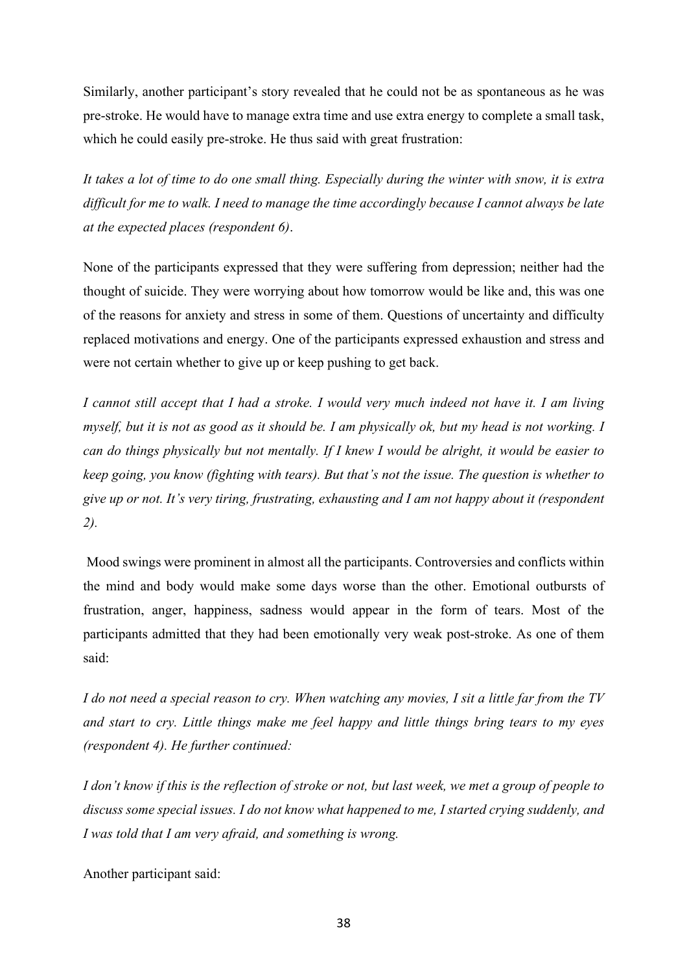Similarly, another participant's story revealed that he could not be as spontaneous as he was pre-stroke. He would have to manage extra time and use extra energy to complete a small task, which he could easily pre-stroke. He thus said with great frustration:

*It takes a lot of time to do one small thing. Especially during the winter with snow, it is extra difficult for me to walk. I need to manage the time accordingly because I cannot always be late at the expected places (respondent 6)*.

None of the participants expressed that they were suffering from depression; neither had the thought of suicide. They were worrying about how tomorrow would be like and, this was one of the reasons for anxiety and stress in some of them. Questions of uncertainty and difficulty replaced motivations and energy. One of the participants expressed exhaustion and stress and were not certain whether to give up or keep pushing to get back.

*I cannot still accept that I had a stroke. I would very much indeed not have it. I am living myself, but it is not as good as it should be. I am physically ok, but my head is not working. I can do things physically but not mentally. If I knew I would be alright, it would be easier to keep going, you know (fighting with tears). But that's not the issue. The question is whether to give up or not. It's very tiring, frustrating, exhausting and I am not happy about it (respondent 2).*

Mood swings were prominent in almost all the participants. Controversies and conflicts within the mind and body would make some days worse than the other. Emotional outbursts of frustration, anger, happiness, sadness would appear in the form of tears. Most of the participants admitted that they had been emotionally very weak post-stroke. As one of them said:

*I do not need a special reason to cry. When watching any movies, I sit a little far from the TV and start to cry. Little things make me feel happy and little things bring tears to my eyes (respondent 4). He further continued:*

*I don't know if this is the reflection of stroke or not, but last week, we met a group of people to discuss some special issues. I do not know what happened to me, I started crying suddenly, and I was told that I am very afraid, and something is wrong.* 

Another participant said: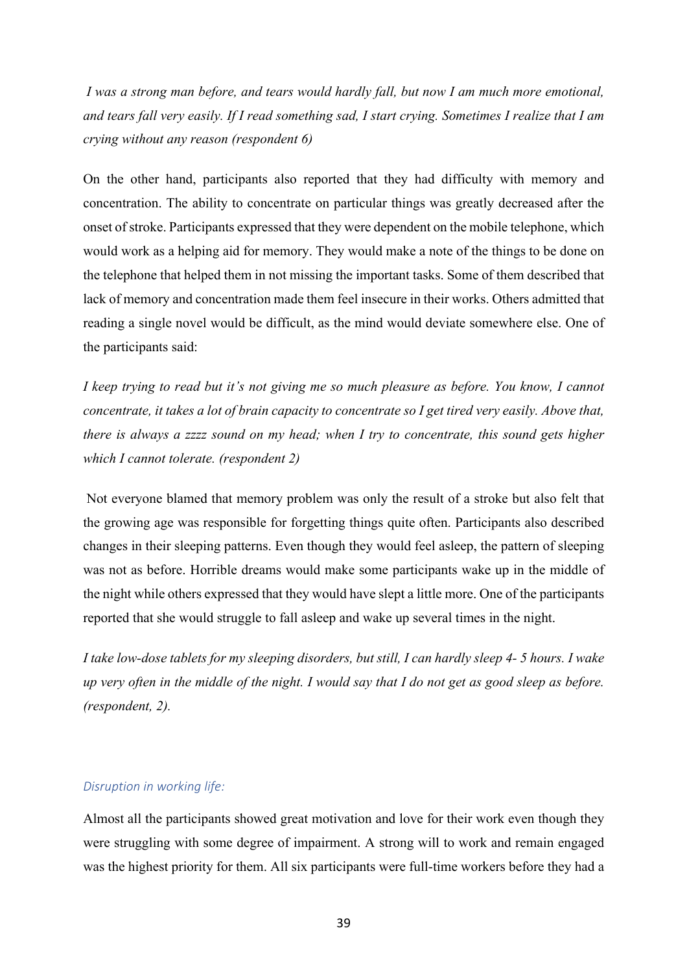*I was a strong man before, and tears would hardly fall, but now I am much more emotional, and tears fall very easily. If I read something sad, I start crying. Sometimes I realize that I am crying without any reason (respondent 6)*

On the other hand, participants also reported that they had difficulty with memory and concentration. The ability to concentrate on particular things was greatly decreased after the onset of stroke. Participants expressed that they were dependent on the mobile telephone, which would work as a helping aid for memory. They would make a note of the things to be done on the telephone that helped them in not missing the important tasks. Some of them described that lack of memory and concentration made them feel insecure in their works. Others admitted that reading a single novel would be difficult, as the mind would deviate somewhere else. One of the participants said:

*I keep trying to read but it's not giving me so much pleasure as before. You know, I cannot concentrate, it takes a lot of brain capacity to concentrate so I get tired very easily. Above that, there is always a zzzz sound on my head; when I try to concentrate, this sound gets higher which I cannot tolerate. (respondent 2)*

Not everyone blamed that memory problem was only the result of a stroke but also felt that the growing age was responsible for forgetting things quite often. Participants also described changes in their sleeping patterns. Even though they would feel asleep, the pattern of sleeping was not as before. Horrible dreams would make some participants wake up in the middle of the night while others expressed that they would have slept a little more. One of the participants reported that she would struggle to fall asleep and wake up several times in the night.

*I take low-dose tablets for my sleeping disorders, but still, I can hardly sleep 4- 5 hours. I wake up very often in the middle of the night. I would say that I do not get as good sleep as before. (respondent, 2).*

#### *Disruption in working life:*

Almost all the participants showed great motivation and love for their work even though they were struggling with some degree of impairment. A strong will to work and remain engaged was the highest priority for them. All six participants were full-time workers before they had a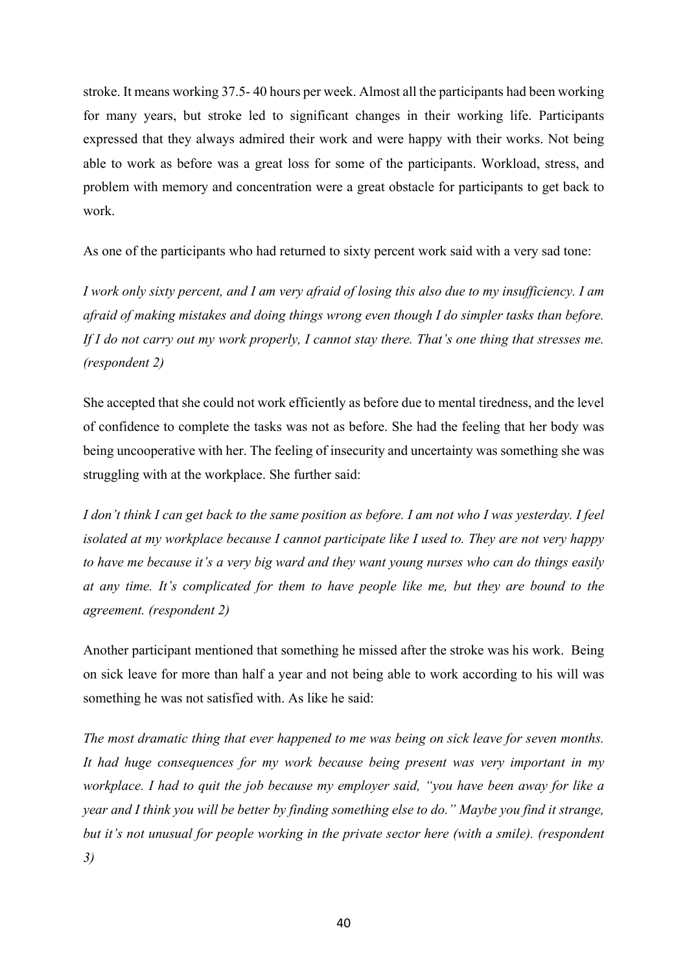stroke. It means working 37.5- 40 hours per week. Almost all the participants had been working for many years, but stroke led to significant changes in their working life. Participants expressed that they always admired their work and were happy with their works. Not being able to work as before was a great loss for some of the participants. Workload, stress, and problem with memory and concentration were a great obstacle for participants to get back to work.

As one of the participants who had returned to sixty percent work said with a very sad tone:

*I work only sixty percent, and I am very afraid of losing this also due to my insufficiency. I am afraid of making mistakes and doing things wrong even though I do simpler tasks than before. If I do not carry out my work properly, I cannot stay there. That's one thing that stresses me. (respondent 2)*

She accepted that she could not work efficiently as before due to mental tiredness, and the level of confidence to complete the tasks was not as before. She had the feeling that her body was being uncooperative with her. The feeling of insecurity and uncertainty was something she was struggling with at the workplace. She further said:

*I don't think I can get back to the same position as before. I am not who I was yesterday. I feel isolated at my workplace because I cannot participate like I used to. They are not very happy to have me because it's a very big ward and they want young nurses who can do things easily at any time. It's complicated for them to have people like me, but they are bound to the agreement. (respondent 2)*

Another participant mentioned that something he missed after the stroke was his work. Being on sick leave for more than half a year and not being able to work according to his will was something he was not satisfied with. As like he said:

*The most dramatic thing that ever happened to me was being on sick leave for seven months. It had huge consequences for my work because being present was very important in my workplace. I had to quit the job because my employer said, "you have been away for like a year and I think you will be better by finding something else to do." Maybe you find it strange, but it's not unusual for people working in the private sector here (with a smile). (respondent 3)*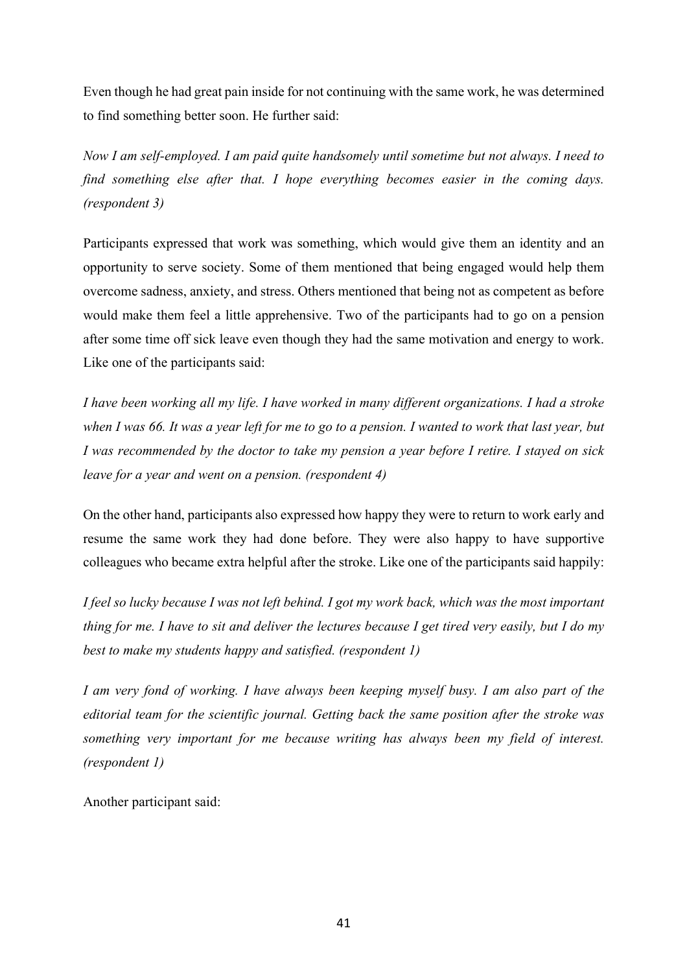Even though he had great pain inside for not continuing with the same work, he was determined to find something better soon. He further said:

*Now I am self-employed. I am paid quite handsomely until sometime but not always. I need to find something else after that. I hope everything becomes easier in the coming days. (respondent 3)*

Participants expressed that work was something, which would give them an identity and an opportunity to serve society. Some of them mentioned that being engaged would help them overcome sadness, anxiety, and stress. Others mentioned that being not as competent as before would make them feel a little apprehensive. Two of the participants had to go on a pension after some time off sick leave even though they had the same motivation and energy to work. Like one of the participants said:

*I have been working all my life. I have worked in many different organizations. I had a stroke when I was 66. It was a year left for me to go to a pension. I wanted to work that last year, but I was recommended by the doctor to take my pension a year before I retire. I stayed on sick leave for a year and went on a pension. (respondent 4)*

On the other hand, participants also expressed how happy they were to return to work early and resume the same work they had done before. They were also happy to have supportive colleagues who became extra helpful after the stroke. Like one of the participants said happily:

*I feel so lucky because I was not left behind. I got my work back, which was the most important thing for me. I have to sit and deliver the lectures because I get tired very easily, but I do my best to make my students happy and satisfied. (respondent 1)*

*I am very fond of working. I have always been keeping myself busy. I am also part of the editorial team for the scientific journal. Getting back the same position after the stroke was something very important for me because writing has always been my field of interest. (respondent 1)*

Another participant said: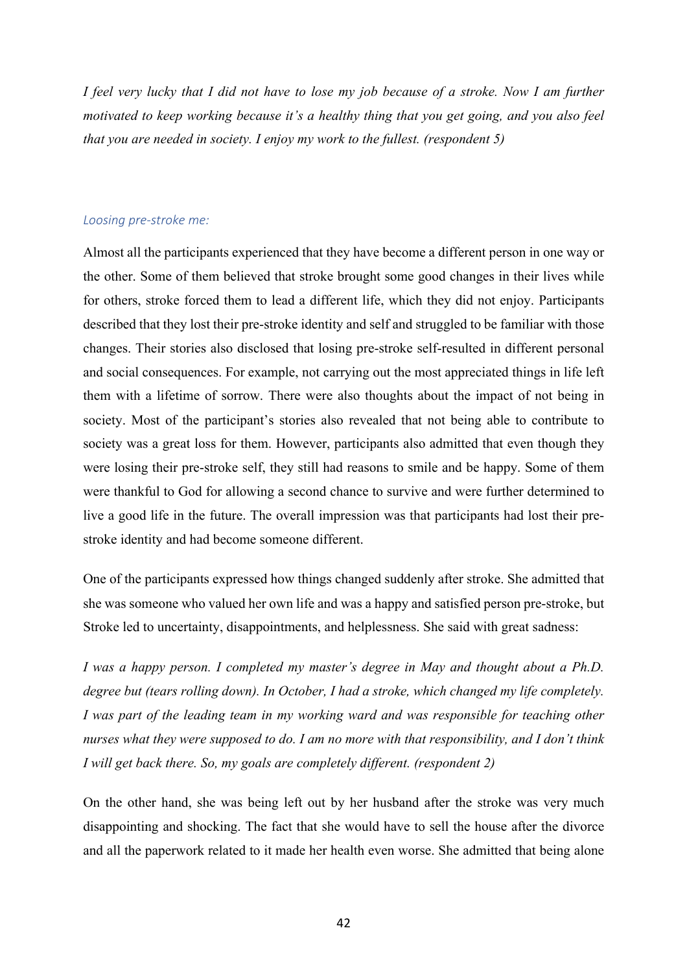*I feel very lucky that I did not have to lose my job because of a stroke. Now I am further motivated to keep working because it's a healthy thing that you get going, and you also feel that you are needed in society. I enjoy my work to the fullest. (respondent 5)*

#### *Loosing pre-stroke me:*

Almost all the participants experienced that they have become a different person in one way or the other. Some of them believed that stroke brought some good changes in their lives while for others, stroke forced them to lead a different life, which they did not enjoy. Participants described that they lost their pre-stroke identity and self and struggled to be familiar with those changes. Their stories also disclosed that losing pre-stroke self-resulted in different personal and social consequences. For example, not carrying out the most appreciated things in life left them with a lifetime of sorrow. There were also thoughts about the impact of not being in society. Most of the participant's stories also revealed that not being able to contribute to society was a great loss for them. However, participants also admitted that even though they were losing their pre-stroke self, they still had reasons to smile and be happy. Some of them were thankful to God for allowing a second chance to survive and were further determined to live a good life in the future. The overall impression was that participants had lost their prestroke identity and had become someone different.

One of the participants expressed how things changed suddenly after stroke. She admitted that she was someone who valued her own life and was a happy and satisfied person pre-stroke, but Stroke led to uncertainty, disappointments, and helplessness. She said with great sadness:

*I was a happy person. I completed my master's degree in May and thought about a Ph.D. degree but (tears rolling down). In October, I had a stroke, which changed my life completely. I was part of the leading team in my working ward and was responsible for teaching other nurses what they were supposed to do. I am no more with that responsibility, and I don't think I will get back there. So, my goals are completely different. (respondent 2)*

On the other hand, she was being left out by her husband after the stroke was very much disappointing and shocking. The fact that she would have to sell the house after the divorce and all the paperwork related to it made her health even worse. She admitted that being alone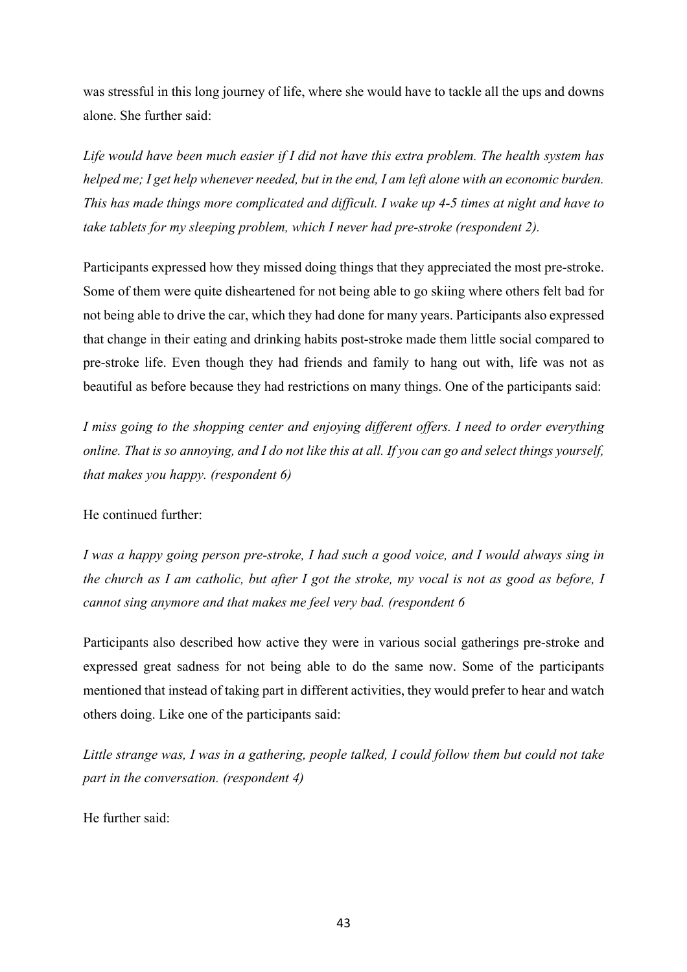was stressful in this long journey of life, where she would have to tackle all the ups and downs alone. She further said:

*Life would have been much easier if I did not have this extra problem. The health system has helped me; I get help whenever needed, but in the end, I am left alone with an economic burden. This has made things more complicated and difficult. I wake up 4-5 times at night and have to take tablets for my sleeping problem, which I never had pre-stroke (respondent 2).*

Participants expressed how they missed doing things that they appreciated the most pre-stroke. Some of them were quite disheartened for not being able to go skiing where others felt bad for not being able to drive the car, which they had done for many years. Participants also expressed that change in their eating and drinking habits post-stroke made them little social compared to pre-stroke life. Even though they had friends and family to hang out with, life was not as beautiful as before because they had restrictions on many things. One of the participants said:

*I miss going to the shopping center and enjoying different offers. I need to order everything online. That is so annoying, and I do not like this at all. If you can go and select things yourself, that makes you happy. (respondent 6)*

He continued further:

*I was a happy going person pre-stroke, I had such a good voice, and I would always sing in the church as I am catholic, but after I got the stroke, my vocal is not as good as before, I cannot sing anymore and that makes me feel very bad. (respondent 6*

Participants also described how active they were in various social gatherings pre-stroke and expressed great sadness for not being able to do the same now. Some of the participants mentioned that instead of taking part in different activities, they would prefer to hear and watch others doing. Like one of the participants said:

*Little strange was, I was in a gathering, people talked, I could follow them but could not take part in the conversation. (respondent 4)*

He further said: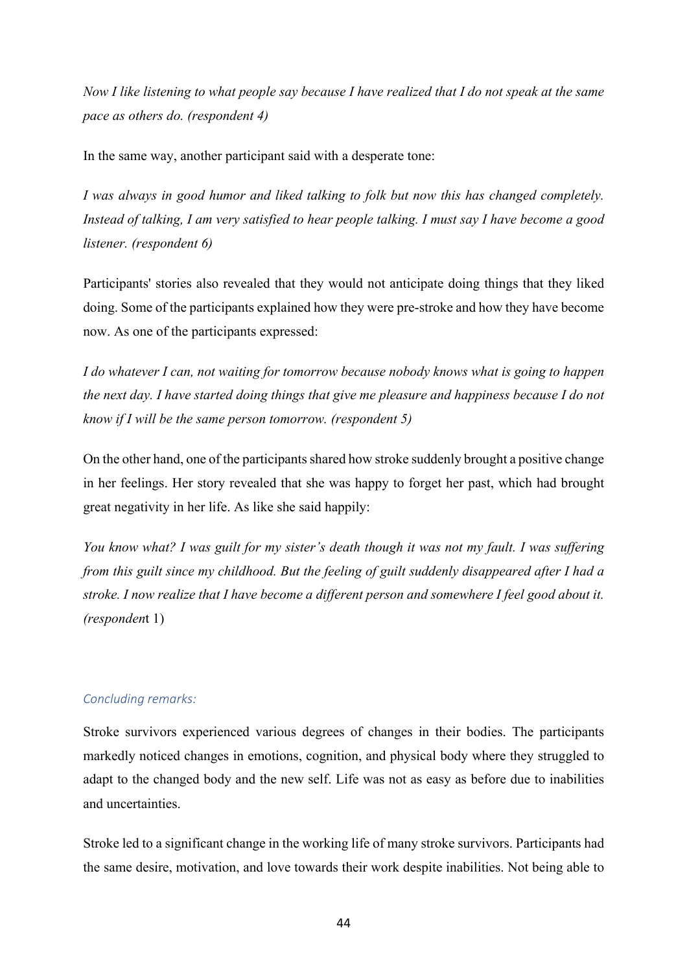*Now I like listening to what people say because I have realized that I do not speak at the same pace as others do. (respondent 4)*

In the same way, another participant said with a desperate tone:

*I was always in good humor and liked talking to folk but now this has changed completely. Instead of talking, I am very satisfied to hear people talking. I must say I have become a good listener. (respondent 6)*

Participants' stories also revealed that they would not anticipate doing things that they liked doing. Some of the participants explained how they were pre-stroke and how they have become now. As one of the participants expressed:

*I do whatever I can, not waiting for tomorrow because nobody knows what is going to happen the next day. I have started doing things that give me pleasure and happiness because I do not know if I will be the same person tomorrow. (respondent 5)* 

On the other hand, one of the participants shared how stroke suddenly brought a positive change in her feelings. Her story revealed that she was happy to forget her past, which had brought great negativity in her life. As like she said happily:

*You know what? I was guilt for my sister's death though it was not my fault. I was suffering from this guilt since my childhood. But the feeling of guilt suddenly disappeared after I had a stroke. I now realize that I have become a different person and somewhere I feel good about it. (responden*t 1)

#### *Concluding remarks:*

Stroke survivors experienced various degrees of changes in their bodies. The participants markedly noticed changes in emotions, cognition, and physical body where they struggled to adapt to the changed body and the new self. Life was not as easy as before due to inabilities and uncertainties.

Stroke led to a significant change in the working life of many stroke survivors. Participants had the same desire, motivation, and love towards their work despite inabilities. Not being able to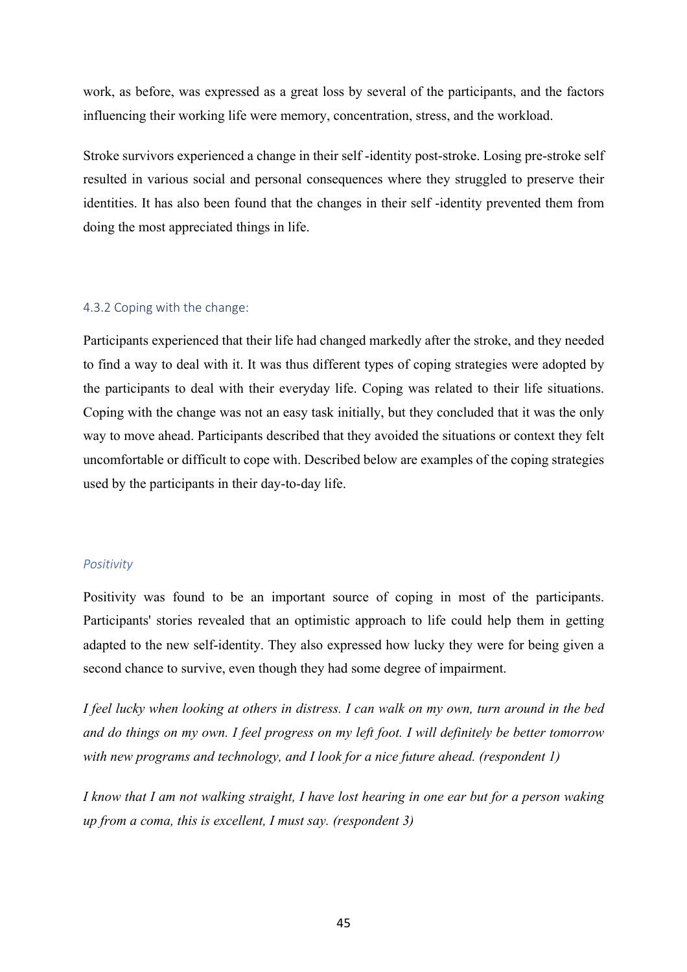work, as before, was expressed as a great loss by several of the participants, and the factors influencing their working life were memory, concentration, stress, and the workload.

Stroke survivors experienced a change in their self -identity post-stroke. Losing pre-stroke self resulted in various social and personal consequences where they struggled to preserve their identities. It has also been found that the changes in their self -identity prevented them from doing the most appreciated things in life.

#### 4.3.2 Coping with the change:

Participants experienced that their life had changed markedly after the stroke, and they needed to find a way to deal with it. It was thus different types of coping strategies were adopted by the participants to deal with their everyday life. Coping was related to their life situations. Coping with the change was not an easy task initially, but they concluded that it was the only way to move ahead. Participants described that they avoided the situations or context they felt uncomfortable or difficult to cope with. Described below are examples of the coping strategies used by the participants in their day-to-day life.

#### *Positivity*

Positivity was found to be an important source of coping in most of the participants. Participants' stories revealed that an optimistic approach to life could help them in getting adapted to the new self-identity. They also expressed how lucky they were for being given a second chance to survive, even though they had some degree of impairment.

*I feel lucky when looking at others in distress. I can walk on my own, turn around in the bed and do things on my own. I feel progress on my left foot. I will definitely be better tomorrow with new programs and technology, and I look for a nice future ahead. (respondent 1)*

*I know that I am not walking straight, I have lost hearing in one ear but for a person waking up from a coma, this is excellent, I must say. (respondent 3)*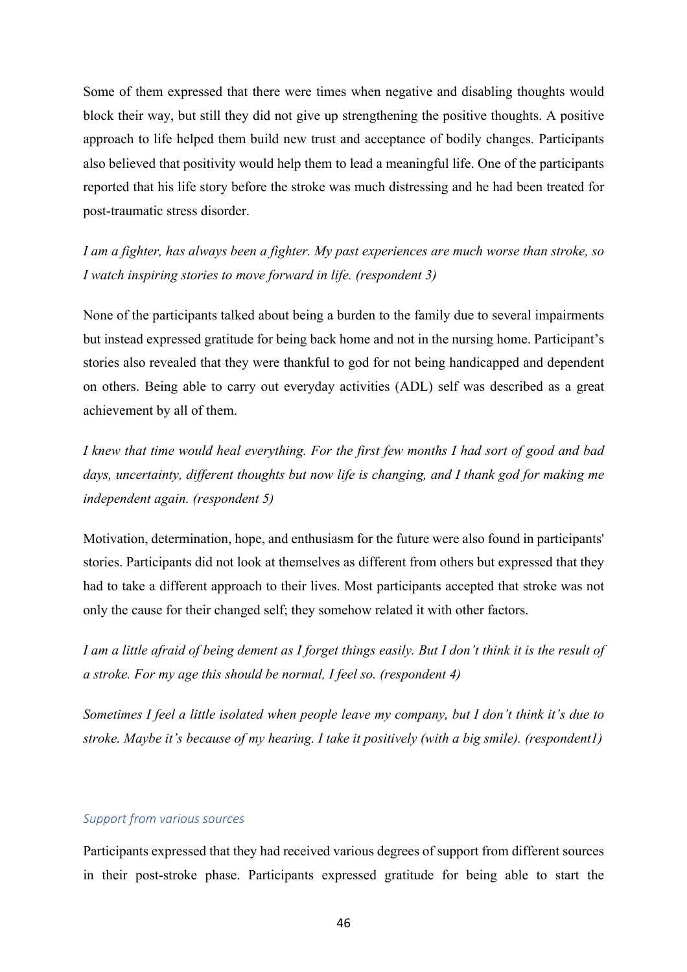Some of them expressed that there were times when negative and disabling thoughts would block their way, but still they did not give up strengthening the positive thoughts. A positive approach to life helped them build new trust and acceptance of bodily changes. Participants also believed that positivity would help them to lead a meaningful life. One of the participants reported that his life story before the stroke was much distressing and he had been treated for post-traumatic stress disorder.

*I am a fighter, has always been a fighter. My past experiences are much worse than stroke, so I watch inspiring stories to move forward in life. (respondent 3)*

None of the participants talked about being a burden to the family due to several impairments but instead expressed gratitude for being back home and not in the nursing home. Participant's stories also revealed that they were thankful to god for not being handicapped and dependent on others. Being able to carry out everyday activities (ADL) self was described as a great achievement by all of them.

*I knew that time would heal everything. For the first few months I had sort of good and bad days, uncertainty, different thoughts but now life is changing, and I thank god for making me independent again. (respondent 5)*

Motivation, determination, hope, and enthusiasm for the future were also found in participants' stories. Participants did not look at themselves as different from others but expressed that they had to take a different approach to their lives. Most participants accepted that stroke was not only the cause for their changed self; they somehow related it with other factors.

*I am a little afraid of being dement as I forget things easily. But I don't think it is the result of a stroke. For my age this should be normal, I feel so. (respondent 4)*

*Sometimes I feel a little isolated when people leave my company, but I don't think it's due to stroke. Maybe it's because of my hearing. I take it positively (with a big smile). (respondent1)*

# *Support from various sources*

Participants expressed that they had received various degrees of support from different sources in their post-stroke phase. Participants expressed gratitude for being able to start the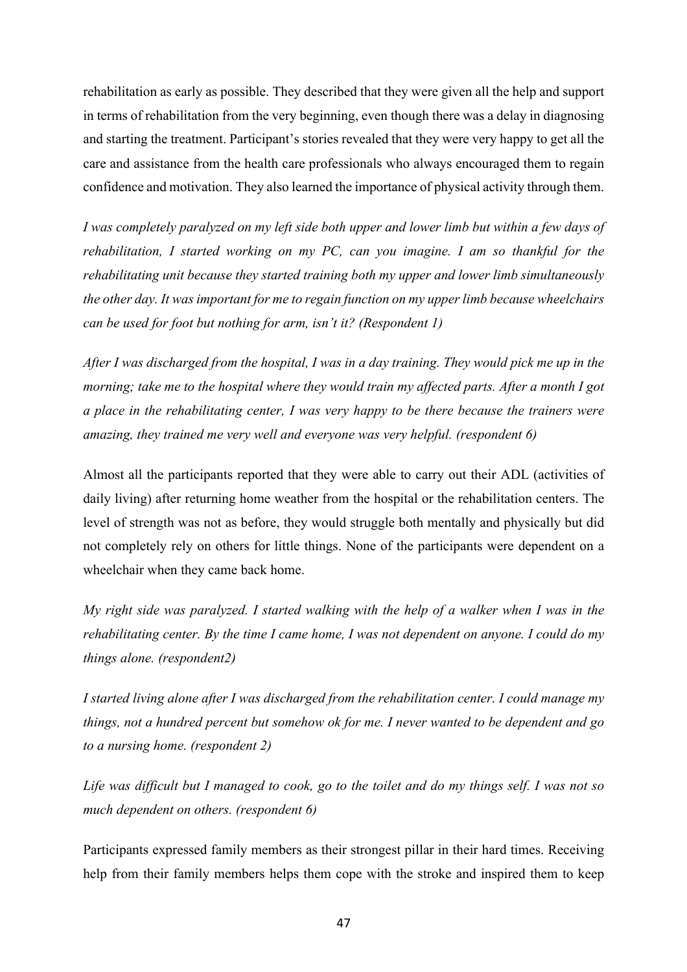rehabilitation as early as possible. They described that they were given all the help and support in terms of rehabilitation from the very beginning, even though there was a delay in diagnosing and starting the treatment. Participant's stories revealed that they were very happy to get all the care and assistance from the health care professionals who always encouraged them to regain confidence and motivation. They also learned the importance of physical activity through them.

*I was completely paralyzed on my left side both upper and lower limb but within a few days of rehabilitation, I started working on my PC, can you imagine. I am so thankful for the rehabilitating unit because they started training both my upper and lower limb simultaneously the other day. It was important for me to regain function on my upper limb because wheelchairs can be used for foot but nothing for arm, isn't it? (Respondent 1)*

*After I was discharged from the hospital, I was in a day training. They would pick me up in the morning; take me to the hospital where they would train my affected parts. After a month I got a place in the rehabilitating center, I was very happy to be there because the trainers were amazing, they trained me very well and everyone was very helpful. (respondent 6)*

Almost all the participants reported that they were able to carry out their ADL (activities of daily living) after returning home weather from the hospital or the rehabilitation centers. The level of strength was not as before, they would struggle both mentally and physically but did not completely rely on others for little things. None of the participants were dependent on a wheelchair when they came back home.

*My right side was paralyzed. I started walking with the help of a walker when I was in the rehabilitating center. By the time I came home, I was not dependent on anyone. I could do my things alone. (respondent2)*

*I started living alone after I was discharged from the rehabilitation center. I could manage my things, not a hundred percent but somehow ok for me. I never wanted to be dependent and go to a nursing home. (respondent 2)*

*Life was difficult but I managed to cook, go to the toilet and do my things self. I was not so much dependent on others. (respondent 6)*

Participants expressed family members as their strongest pillar in their hard times. Receiving help from their family members helps them cope with the stroke and inspired them to keep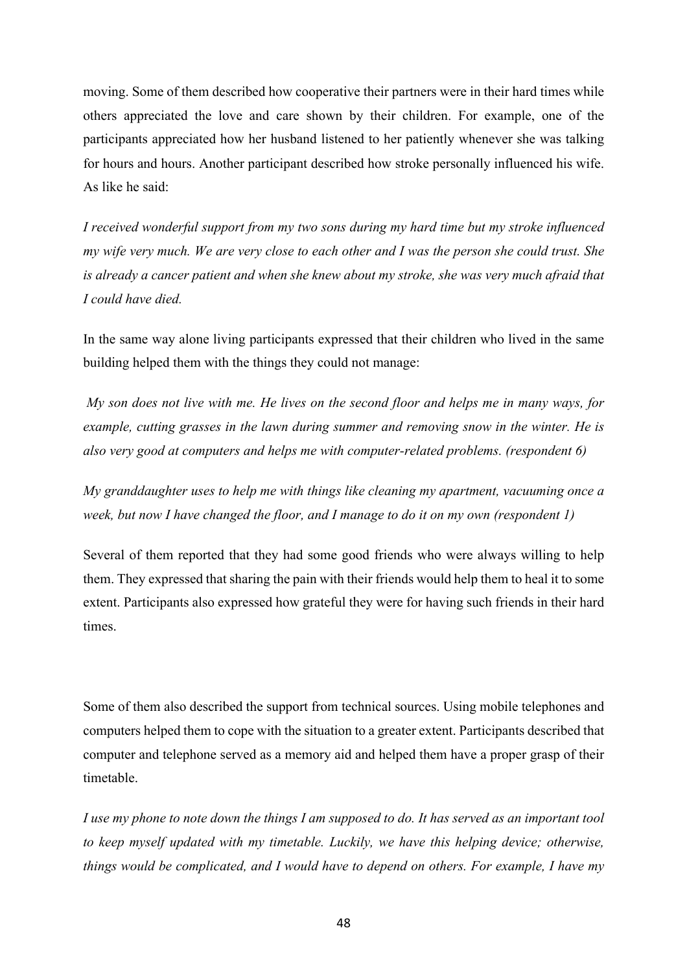moving. Some of them described how cooperative their partners were in their hard times while others appreciated the love and care shown by their children. For example, one of the participants appreciated how her husband listened to her patiently whenever she was talking for hours and hours. Another participant described how stroke personally influenced his wife. As like he said:

*I received wonderful support from my two sons during my hard time but my stroke influenced my wife very much. We are very close to each other and I was the person she could trust. She is already a cancer patient and when she knew about my stroke, she was very much afraid that I could have died.*

In the same way alone living participants expressed that their children who lived in the same building helped them with the things they could not manage:

*My son does not live with me. He lives on the second floor and helps me in many ways, for example, cutting grasses in the lawn during summer and removing snow in the winter. He is also very good at computers and helps me with computer-related problems. (respondent 6)*

*My granddaughter uses to help me with things like cleaning my apartment, vacuuming once a week, but now I have changed the floor, and I manage to do it on my own (respondent 1)* 

Several of them reported that they had some good friends who were always willing to help them. They expressed that sharing the pain with their friends would help them to heal it to some extent. Participants also expressed how grateful they were for having such friends in their hard times.

Some of them also described the support from technical sources. Using mobile telephones and computers helped them to cope with the situation to a greater extent. Participants described that computer and telephone served as a memory aid and helped them have a proper grasp of their timetable.

*I use my phone to note down the things I am supposed to do. It has served as an important tool to keep myself updated with my timetable. Luckily, we have this helping device; otherwise, things would be complicated, and I would have to depend on others. For example, I have my*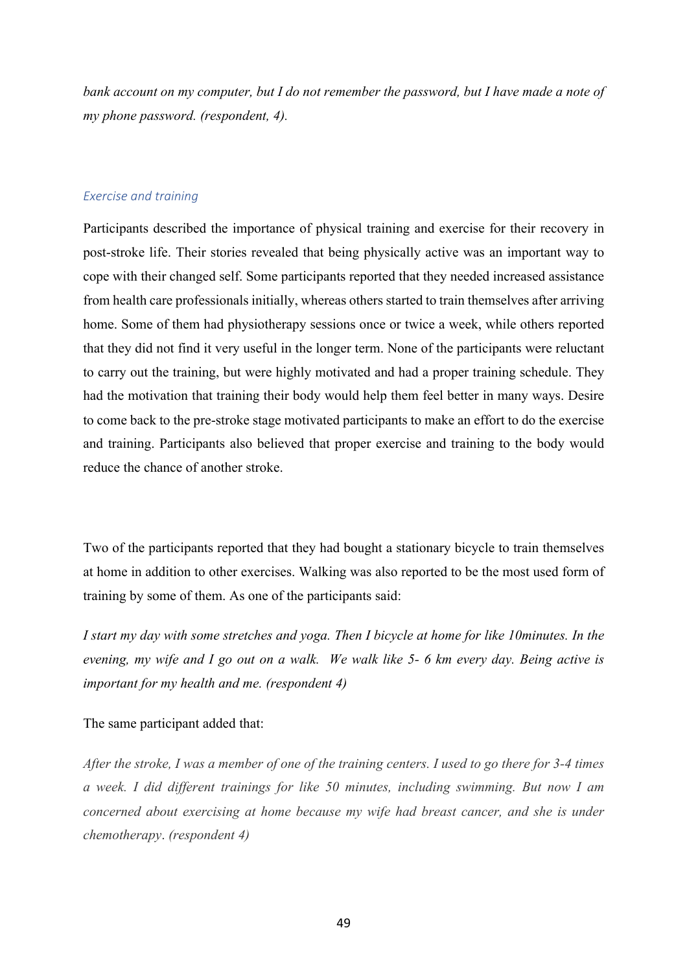*bank account on my computer, but I do not remember the password, but I have made a note of my phone password. (respondent, 4).*

#### *Exercise and training*

Participants described the importance of physical training and exercise for their recovery in post-stroke life. Their stories revealed that being physically active was an important way to cope with their changed self. Some participants reported that they needed increased assistance from health care professionals initially, whereas others started to train themselves after arriving home. Some of them had physiotherapy sessions once or twice a week, while others reported that they did not find it very useful in the longer term. None of the participants were reluctant to carry out the training, but were highly motivated and had a proper training schedule. They had the motivation that training their body would help them feel better in many ways. Desire to come back to the pre-stroke stage motivated participants to make an effort to do the exercise and training. Participants also believed that proper exercise and training to the body would reduce the chance of another stroke.

Two of the participants reported that they had bought a stationary bicycle to train themselves at home in addition to other exercises. Walking was also reported to be the most used form of training by some of them. As one of the participants said:

*I start my day with some stretches and yoga. Then I bicycle at home for like 10minutes. In the evening, my wife and I go out on a walk. We walk like 5- 6 km every day. Being active is important for my health and me. (respondent 4)*

The same participant added that:

*After the stroke, I was a member of one of the training centers. I used to go there for 3-4 times a week. I did different trainings for like 50 minutes, including swimming. But now I am concerned about exercising at home because my wife had breast cancer, and she is under chemotherapy*. *(respondent 4)*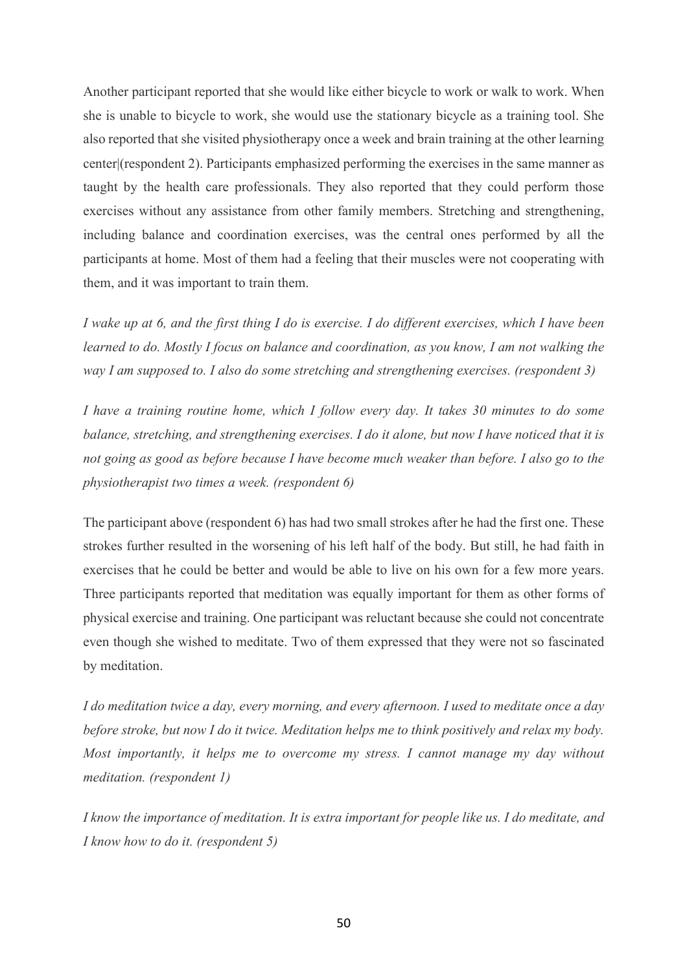Another participant reported that she would like either bicycle to work or walk to work. When she is unable to bicycle to work, she would use the stationary bicycle as a training tool. She also reported that she visited physiotherapy once a week and brain training at the other learning center|(respondent 2). Participants emphasized performing the exercises in the same manner as taught by the health care professionals. They also reported that they could perform those exercises without any assistance from other family members. Stretching and strengthening, including balance and coordination exercises, was the central ones performed by all the participants at home. Most of them had a feeling that their muscles were not cooperating with them, and it was important to train them.

*I wake up at 6, and the first thing I do is exercise. I do different exercises, which I have been learned to do. Mostly I focus on balance and coordination, as you know, I am not walking the way I am supposed to. I also do some stretching and strengthening exercises. (respondent 3)*

*I have a training routine home, which I follow every day. It takes 30 minutes to do some balance, stretching, and strengthening exercises. I do it alone, but now I have noticed that it is not going as good as before because I have become much weaker than before. I also go to the physiotherapist two times a week. (respondent 6)*

The participant above (respondent 6) has had two small strokes after he had the first one. These strokes further resulted in the worsening of his left half of the body. But still, he had faith in exercises that he could be better and would be able to live on his own for a few more years. Three participants reported that meditation was equally important for them as other forms of physical exercise and training. One participant was reluctant because she could not concentrate even though she wished to meditate. Two of them expressed that they were not so fascinated by meditation.

*I do meditation twice a day, every morning, and every afternoon. I used to meditate once a day before stroke, but now I do it twice. Meditation helps me to think positively and relax my body. Most importantly, it helps me to overcome my stress. I cannot manage my day without meditation. (respondent 1)*

*I know the importance of meditation. It is extra important for people like us. I do meditate, and I know how to do it. (respondent 5)*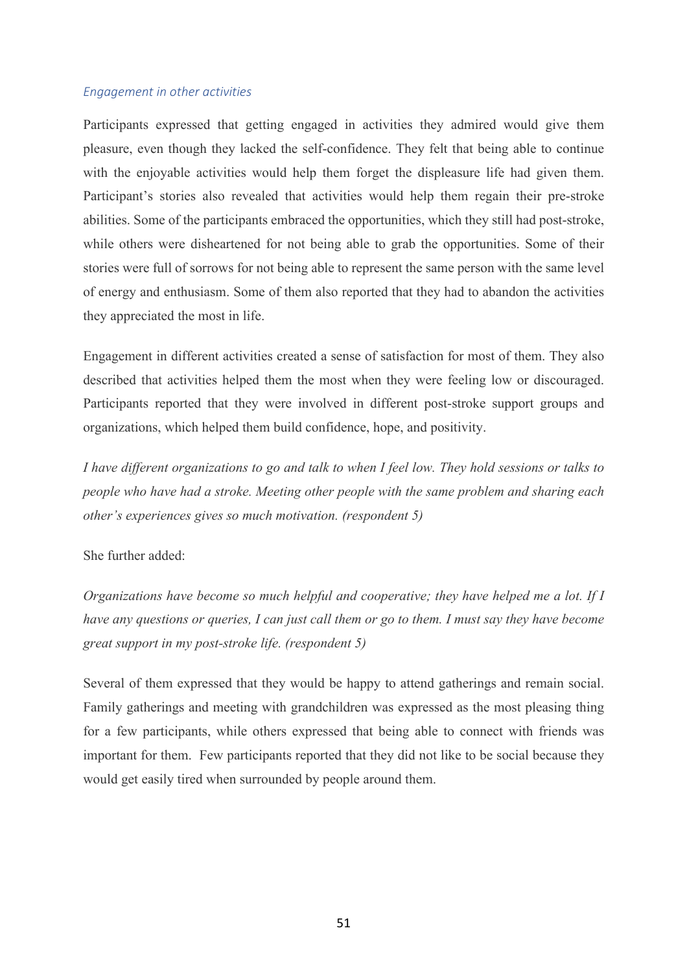#### *Engagement in other activities*

Participants expressed that getting engaged in activities they admired would give them pleasure, even though they lacked the self-confidence. They felt that being able to continue with the enjoyable activities would help them forget the displeasure life had given them. Participant's stories also revealed that activities would help them regain their pre-stroke abilities. Some of the participants embraced the opportunities, which they still had post-stroke, while others were disheartened for not being able to grab the opportunities. Some of their stories were full of sorrows for not being able to represent the same person with the same level of energy and enthusiasm. Some of them also reported that they had to abandon the activities they appreciated the most in life.

Engagement in different activities created a sense of satisfaction for most of them. They also described that activities helped them the most when they were feeling low or discouraged. Participants reported that they were involved in different post-stroke support groups and organizations, which helped them build confidence, hope, and positivity.

*I have different organizations to go and talk to when I feel low. They hold sessions or talks to people who have had a stroke. Meeting other people with the same problem and sharing each other's experiences gives so much motivation. (respondent 5)*

# She further added:

*Organizations have become so much helpful and cooperative; they have helped me a lot. If I have any questions or queries, I can just call them or go to them. I must say they have become great support in my post-stroke life. (respondent 5)*

Several of them expressed that they would be happy to attend gatherings and remain social. Family gatherings and meeting with grandchildren was expressed as the most pleasing thing for a few participants, while others expressed that being able to connect with friends was important for them. Few participants reported that they did not like to be social because they would get easily tired when surrounded by people around them.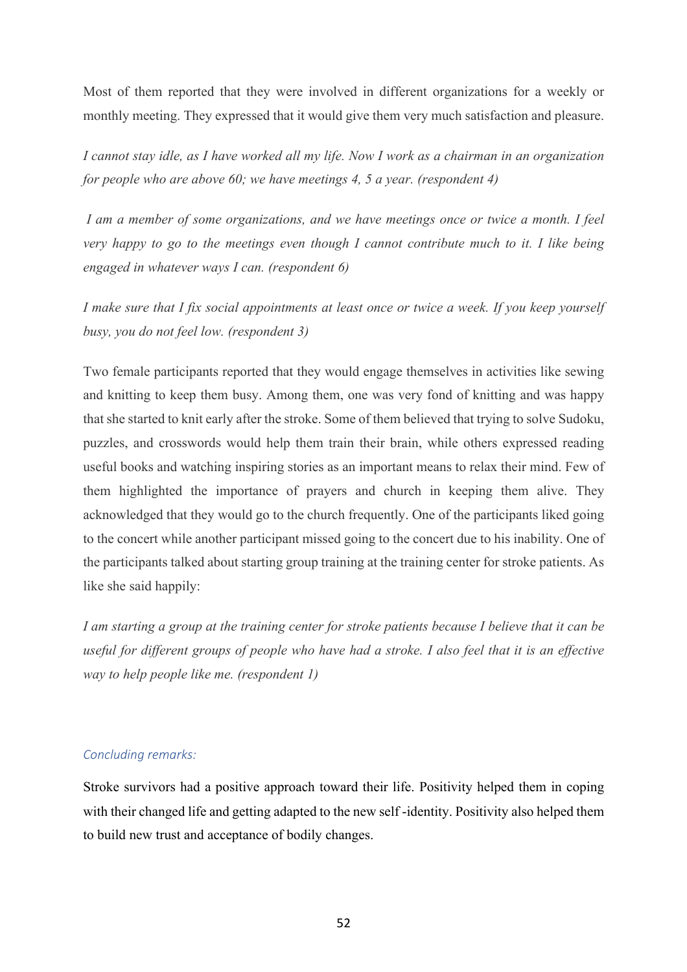Most of them reported that they were involved in different organizations for a weekly or monthly meeting. They expressed that it would give them very much satisfaction and pleasure.

*I cannot stay idle, as I have worked all my life. Now I work as a chairman in an organization for people who are above 60; we have meetings 4, 5 a year. (respondent 4)*

*I am a member of some organizations, and we have meetings once or twice a month. I feel very happy to go to the meetings even though I cannot contribute much to it. I like being engaged in whatever ways I can. (respondent 6)*

*I make sure that I fix social appointments at least once or twice a week. If you keep yourself busy, you do not feel low. (respondent 3)*

Two female participants reported that they would engage themselves in activities like sewing and knitting to keep them busy. Among them, one was very fond of knitting and was happy that she started to knit early after the stroke. Some of them believed that trying to solve Sudoku, puzzles, and crosswords would help them train their brain, while others expressed reading useful books and watching inspiring stories as an important means to relax their mind. Few of them highlighted the importance of prayers and church in keeping them alive. They acknowledged that they would go to the church frequently. One of the participants liked going to the concert while another participant missed going to the concert due to his inability. One of the participants talked about starting group training at the training center for stroke patients. As like she said happily:

*I am starting a group at the training center for stroke patients because I believe that it can be useful for different groups of people who have had a stroke. I also feel that it is an effective way to help people like me. (respondent 1)*

# *Concluding remarks:*

Stroke survivors had a positive approach toward their life. Positivity helped them in coping with their changed life and getting adapted to the new self -identity. Positivity also helped them to build new trust and acceptance of bodily changes.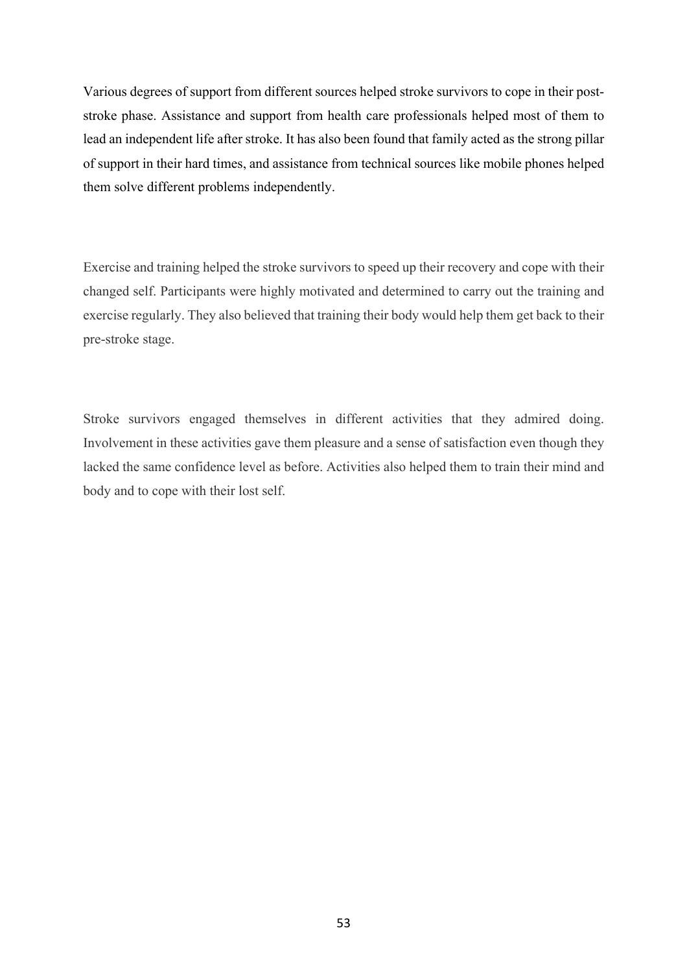Various degrees of support from different sources helped stroke survivors to cope in their poststroke phase. Assistance and support from health care professionals helped most of them to lead an independent life after stroke. It has also been found that family acted as the strong pillar of support in their hard times, and assistance from technical sources like mobile phones helped them solve different problems independently.

Exercise and training helped the stroke survivors to speed up their recovery and cope with their changed self. Participants were highly motivated and determined to carry out the training and exercise regularly. They also believed that training their body would help them get back to their pre-stroke stage.

Stroke survivors engaged themselves in different activities that they admired doing. Involvement in these activities gave them pleasure and a sense of satisfaction even though they lacked the same confidence level as before. Activities also helped them to train their mind and body and to cope with their lost self.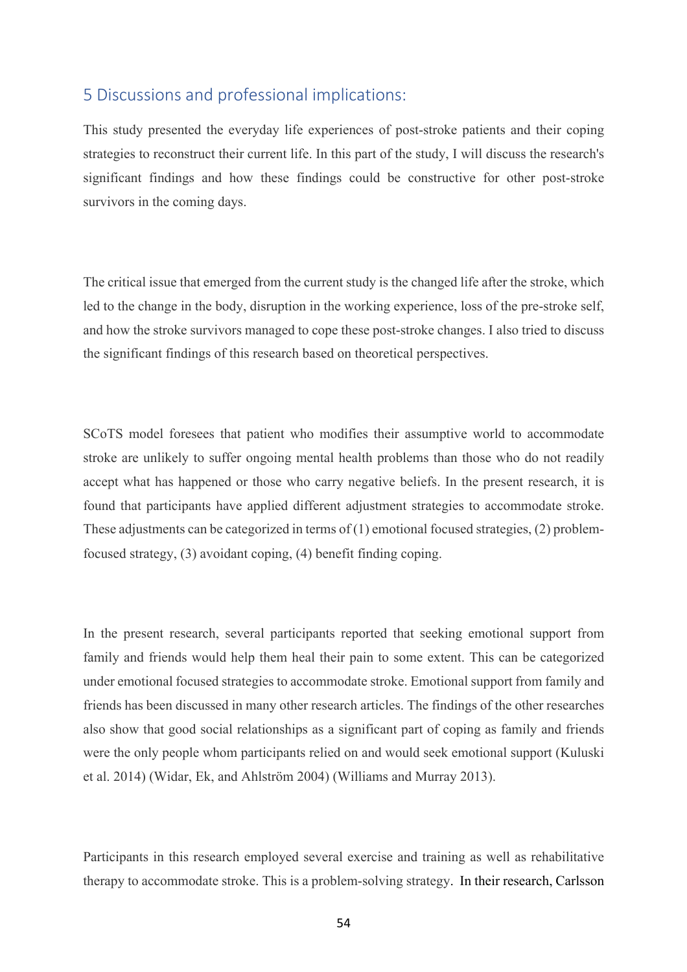# 5 Discussions and professional implications:

This study presented the everyday life experiences of post-stroke patients and their coping strategies to reconstruct their current life. In this part of the study, I will discuss the research's significant findings and how these findings could be constructive for other post-stroke survivors in the coming days.

The critical issue that emerged from the current study is the changed life after the stroke, which led to the change in the body, disruption in the working experience, loss of the pre-stroke self, and how the stroke survivors managed to cope these post-stroke changes. I also tried to discuss the significant findings of this research based on theoretical perspectives.

SCoTS model foresees that patient who modifies their assumptive world to accommodate stroke are unlikely to suffer ongoing mental health problems than those who do not readily accept what has happened or those who carry negative beliefs. In the present research, it is found that participants have applied different adjustment strategies to accommodate stroke. These adjustments can be categorized in terms of  $(1)$  emotional focused strategies,  $(2)$  problemfocused strategy, (3) avoidant coping, (4) benefit finding coping.

In the present research, several participants reported that seeking emotional support from family and friends would help them heal their pain to some extent. This can be categorized under emotional focused strategies to accommodate stroke. Emotional support from family and friends has been discussed in many other research articles. The findings of the other researches also show that good social relationships as a significant part of coping as family and friends were the only people whom participants relied on and would seek emotional support (Kuluski et al. 2014) (Widar, Ek, and Ahlström 2004) (Williams and Murray 2013).

Participants in this research employed several exercise and training as well as rehabilitative therapy to accommodate stroke. This is a problem-solving strategy. In their research, Carlsson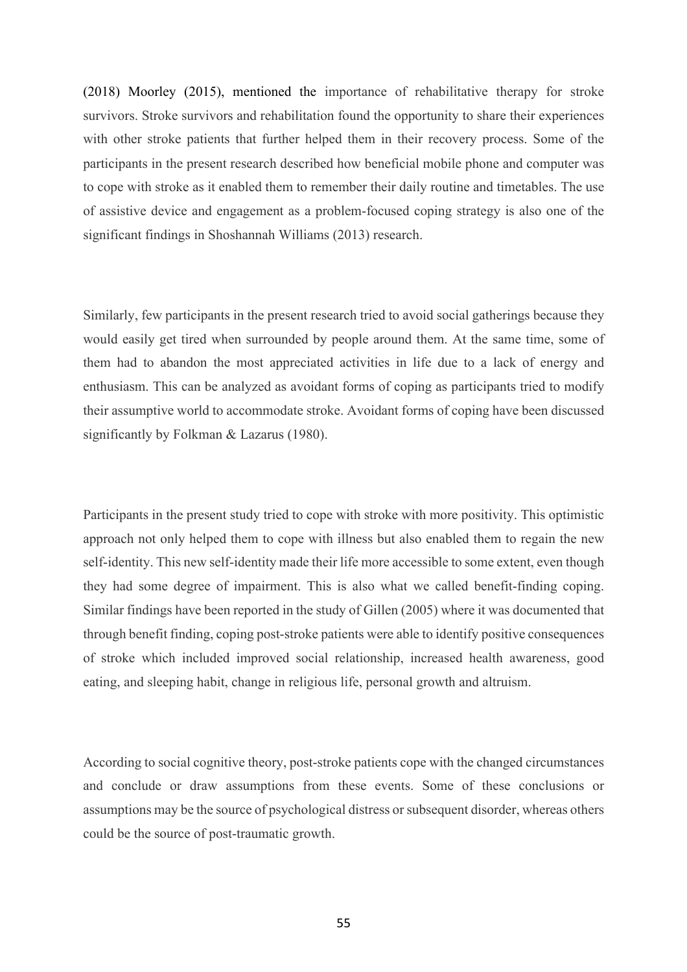(2018) Moorley (2015), mentioned the importance of rehabilitative therapy for stroke survivors. Stroke survivors and rehabilitation found the opportunity to share their experiences with other stroke patients that further helped them in their recovery process. Some of the participants in the present research described how beneficial mobile phone and computer was to cope with stroke as it enabled them to remember their daily routine and timetables. The use of assistive device and engagement as a problem-focused coping strategy is also one of the significant findings in Shoshannah Williams (2013) research.

Similarly, few participants in the present research tried to avoid social gatherings because they would easily get tired when surrounded by people around them. At the same time, some of them had to abandon the most appreciated activities in life due to a lack of energy and enthusiasm. This can be analyzed as avoidant forms of coping as participants tried to modify their assumptive world to accommodate stroke. Avoidant forms of coping have been discussed significantly by Folkman & Lazarus (1980).

Participants in the present study tried to cope with stroke with more positivity. This optimistic approach not only helped them to cope with illness but also enabled them to regain the new self-identity. This new self-identity made their life more accessible to some extent, even though they had some degree of impairment. This is also what we called benefit-finding coping. Similar findings have been reported in the study of Gillen (2005) where it was documented that through benefit finding, coping post-stroke patients were able to identify positive consequences of stroke which included improved social relationship, increased health awareness, good eating, and sleeping habit, change in religious life, personal growth and altruism.

According to social cognitive theory, post-stroke patients cope with the changed circumstances and conclude or draw assumptions from these events. Some of these conclusions or assumptions may be the source of psychological distress or subsequent disorder, whereas others could be the source of post-traumatic growth.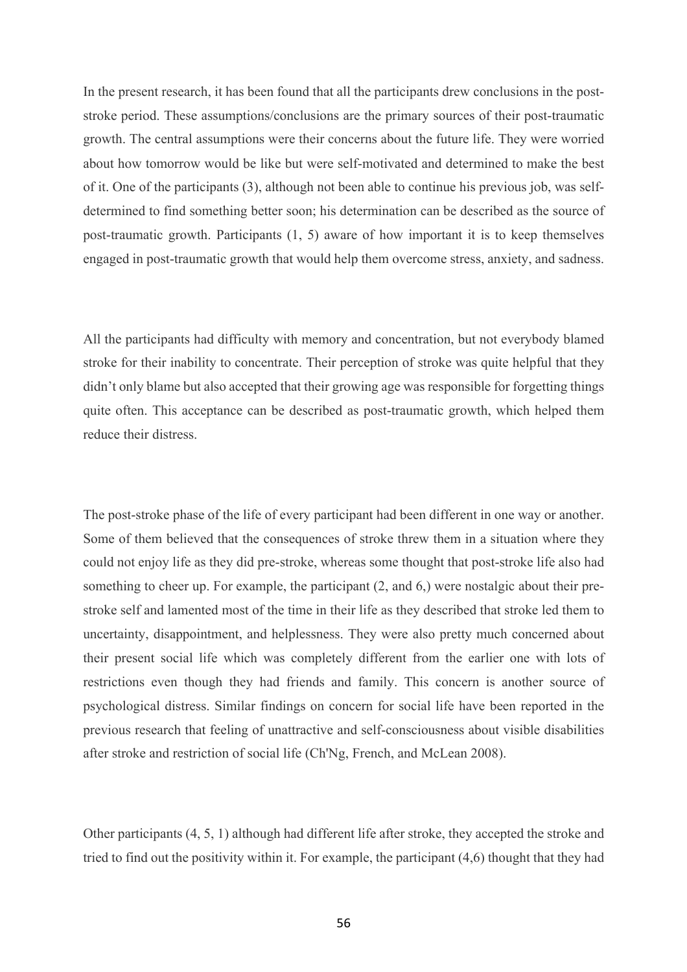In the present research, it has been found that all the participants drew conclusions in the poststroke period. These assumptions/conclusions are the primary sources of their post-traumatic growth. The central assumptions were their concerns about the future life. They were worried about how tomorrow would be like but were self-motivated and determined to make the best of it. One of the participants (3), although not been able to continue his previous job, was selfdetermined to find something better soon; his determination can be described as the source of post-traumatic growth. Participants (1, 5) aware of how important it is to keep themselves engaged in post-traumatic growth that would help them overcome stress, anxiety, and sadness.

All the participants had difficulty with memory and concentration, but not everybody blamed stroke for their inability to concentrate. Their perception of stroke was quite helpful that they didn't only blame but also accepted that their growing age was responsible for forgetting things quite often. This acceptance can be described as post-traumatic growth, which helped them reduce their distress.

The post-stroke phase of the life of every participant had been different in one way or another. Some of them believed that the consequences of stroke threw them in a situation where they could not enjoy life as they did pre-stroke, whereas some thought that post-stroke life also had something to cheer up. For example, the participant (2, and 6,) were nostalgic about their prestroke self and lamented most of the time in their life as they described that stroke led them to uncertainty, disappointment, and helplessness. They were also pretty much concerned about their present social life which was completely different from the earlier one with lots of restrictions even though they had friends and family. This concern is another source of psychological distress. Similar findings on concern for social life have been reported in the previous research that feeling of unattractive and self-consciousness about visible disabilities after stroke and restriction of social life (Ch'Ng, French, and McLean 2008).

Other participants (4, 5, 1) although had different life after stroke, they accepted the stroke and tried to find out the positivity within it. For example, the participant (4,6) thought that they had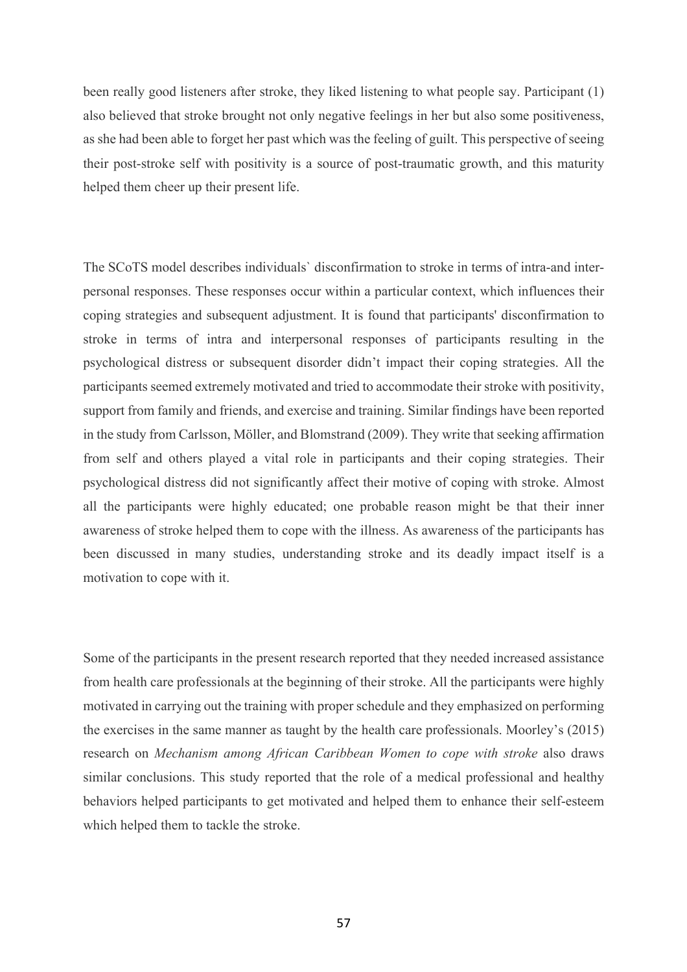been really good listeners after stroke, they liked listening to what people say. Participant (1) also believed that stroke brought not only negative feelings in her but also some positiveness, as she had been able to forget her past which was the feeling of guilt. This perspective of seeing their post-stroke self with positivity is a source of post-traumatic growth, and this maturity helped them cheer up their present life.

The SCoTS model describes individuals` disconfirmation to stroke in terms of intra-and interpersonal responses. These responses occur within a particular context, which influences their coping strategies and subsequent adjustment. It is found that participants' disconfirmation to stroke in terms of intra and interpersonal responses of participants resulting in the psychological distress or subsequent disorder didn't impact their coping strategies. All the participants seemed extremely motivated and tried to accommodate their stroke with positivity, support from family and friends, and exercise and training. Similar findings have been reported in the study from Carlsson, Möller, and Blomstrand (2009). They write that seeking affirmation from self and others played a vital role in participants and their coping strategies. Their psychological distress did not significantly affect their motive of coping with stroke. Almost all the participants were highly educated; one probable reason might be that their inner awareness of stroke helped them to cope with the illness. As awareness of the participants has been discussed in many studies, understanding stroke and its deadly impact itself is a motivation to cope with it.

Some of the participants in the present research reported that they needed increased assistance from health care professionals at the beginning of their stroke. All the participants were highly motivated in carrying out the training with proper schedule and they emphasized on performing the exercises in the same manner as taught by the health care professionals. Moorley's (2015) research on *Mechanism among African Caribbean Women to cope with stroke* also draws similar conclusions. This study reported that the role of a medical professional and healthy behaviors helped participants to get motivated and helped them to enhance their self-esteem which helped them to tackle the stroke.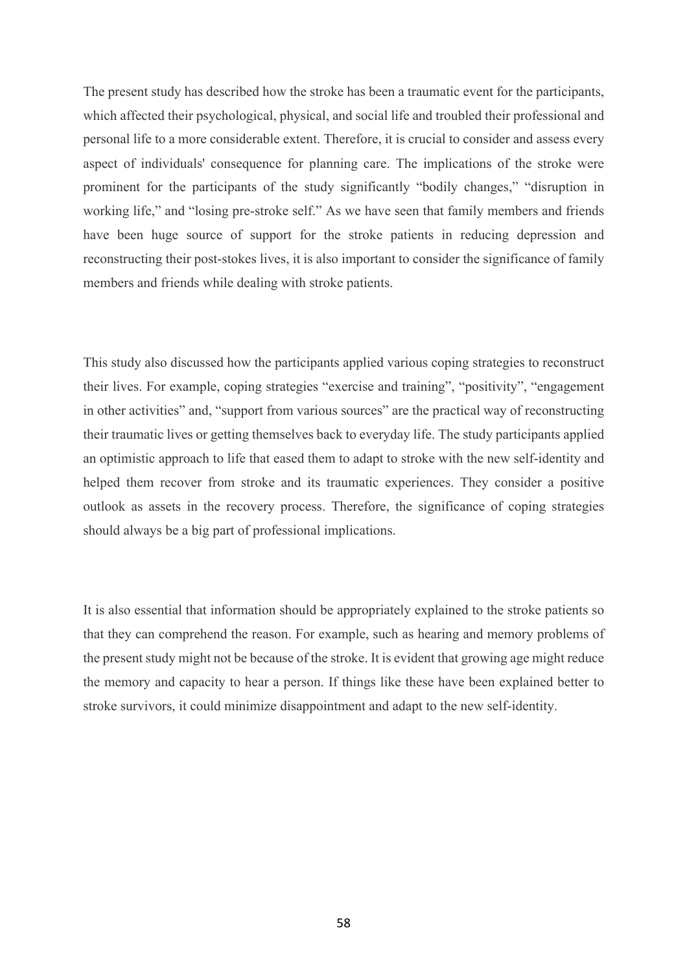The present study has described how the stroke has been a traumatic event for the participants, which affected their psychological, physical, and social life and troubled their professional and personal life to a more considerable extent. Therefore, it is crucial to consider and assess every aspect of individuals' consequence for planning care. The implications of the stroke were prominent for the participants of the study significantly "bodily changes," "disruption in working life," and "losing pre-stroke self." As we have seen that family members and friends have been huge source of support for the stroke patients in reducing depression and reconstructing their post-stokes lives, it is also important to consider the significance of family members and friends while dealing with stroke patients.

This study also discussed how the participants applied various coping strategies to reconstruct their lives. For example, coping strategies "exercise and training", "positivity", "engagement in other activities" and, "support from various sources" are the practical way of reconstructing their traumatic lives or getting themselves back to everyday life. The study participants applied an optimistic approach to life that eased them to adapt to stroke with the new self-identity and helped them recover from stroke and its traumatic experiences. They consider a positive outlook as assets in the recovery process. Therefore, the significance of coping strategies should always be a big part of professional implications.

It is also essential that information should be appropriately explained to the stroke patients so that they can comprehend the reason. For example, such as hearing and memory problems of the present study might not be because of the stroke. It is evident that growing age might reduce the memory and capacity to hear a person. If things like these have been explained better to stroke survivors, it could minimize disappointment and adapt to the new self-identity.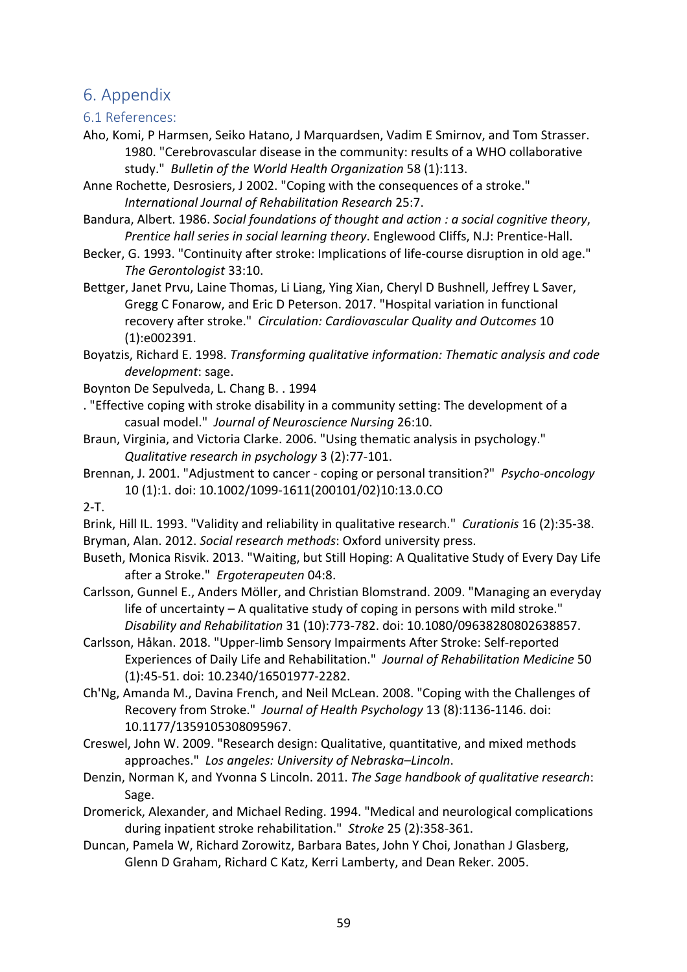# 6. Appendix

# 6.1 References:

- Aho, Komi, P Harmsen, Seiko Hatano, J Marquardsen, Vadim E Smirnov, and Tom Strasser. 1980. "Cerebrovascular disease in the community: results of a WHO collaborative study." *Bulletin of the World Health Organization* 58 (1):113.
- Anne Rochette, Desrosiers, J 2002. "Coping with the consequences of a stroke." *International Journal of Rehabilitation Research* 25:7.
- Bandura, Albert. 1986. *Social foundations of thought and action : a social cognitive theory*, *Prentice hall series in social learning theory*. Englewood Cliffs, N.J: Prentice-Hall.
- Becker, G. 1993. "Continuity after stroke: Implications of life-course disruption in old age." *The Gerontologist* 33:10.
- Bettger, Janet Prvu, Laine Thomas, Li Liang, Ying Xian, Cheryl D Bushnell, Jeffrey L Saver, Gregg C Fonarow, and Eric D Peterson. 2017. "Hospital variation in functional recovery after stroke." *Circulation: Cardiovascular Quality and Outcomes* 10 (1):e002391.

Boyatzis, Richard E. 1998. *Transforming qualitative information: Thematic analysis and code development*: sage.

- Boynton De Sepulveda, L. Chang B. . 1994
- . "Effective coping with stroke disability in a community setting: The development of a casual model." *Journal of Neuroscience Nursing* 26:10.
- Braun, Virginia, and Victoria Clarke. 2006. "Using thematic analysis in psychology." *Qualitative research in psychology* 3 (2):77-101.
- Brennan, J. 2001. "Adjustment to cancer coping or personal transition?" *Psycho-oncology* 10 (1):1. doi: 10.1002/1099-1611(200101/02)10:13.0.CO

2-T.

- Brink, Hill IL. 1993. "Validity and reliability in qualitative research." *Curationis* 16 (2):35-38. Bryman, Alan. 2012. *Social research methods*: Oxford university press.
- Buseth, Monica Risvik. 2013. "Waiting, but Still Hoping: A Qualitative Study of Every Day Life after a Stroke." *Ergoterapeuten* 04:8.
- Carlsson, Gunnel E., Anders Möller, and Christian Blomstrand. 2009. "Managing an everyday life of uncertainty – A qualitative study of coping in persons with mild stroke." *Disability and Rehabilitation* 31 (10):773-782. doi: 10.1080/09638280802638857.
- Carlsson, Håkan. 2018. "Upper-limb Sensory Impairments After Stroke: Self-reported Experiences of Daily Life and Rehabilitation." *Journal of Rehabilitation Medicine* 50 (1):45-51. doi: 10.2340/16501977-2282.
- Ch'Ng, Amanda M., Davina French, and Neil McLean. 2008. "Coping with the Challenges of Recovery from Stroke." *Journal of Health Psychology* 13 (8):1136-1146. doi: 10.1177/1359105308095967.
- Creswel, John W. 2009. "Research design: Qualitative, quantitative, and mixed methods approaches." *Los angeles: University of Nebraska–Lincoln*.
- Denzin, Norman K, and Yvonna S Lincoln. 2011. *The Sage handbook of qualitative research*: Sage.
- Dromerick, Alexander, and Michael Reding. 1994. "Medical and neurological complications during inpatient stroke rehabilitation." *Stroke* 25 (2):358-361.
- Duncan, Pamela W, Richard Zorowitz, Barbara Bates, John Y Choi, Jonathan J Glasberg, Glenn D Graham, Richard C Katz, Kerri Lamberty, and Dean Reker. 2005.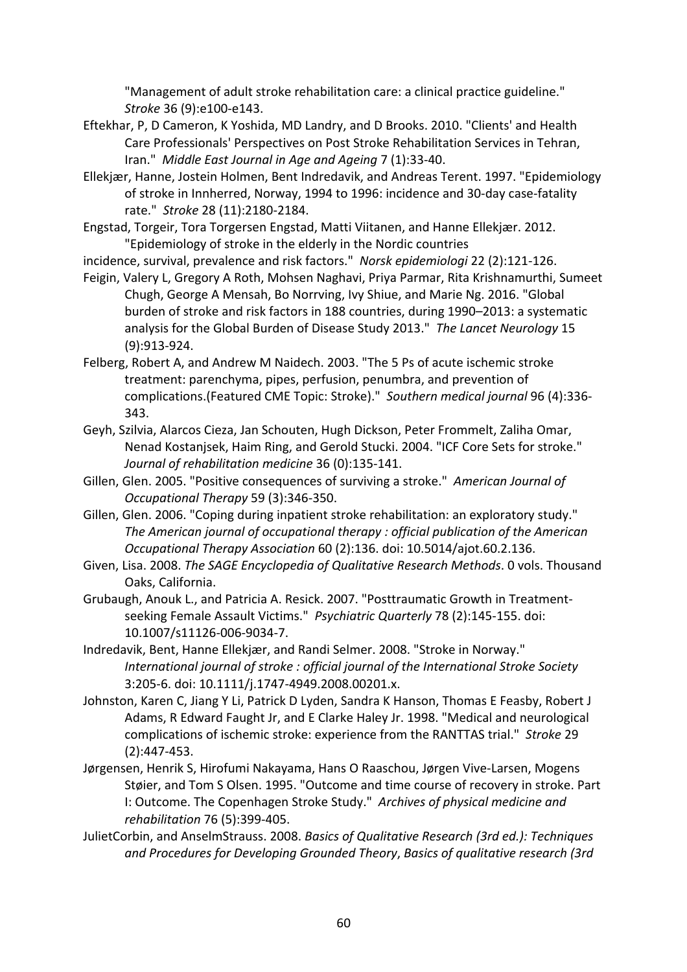"Management of adult stroke rehabilitation care: a clinical practice guideline." *Stroke* 36 (9):e100-e143.

- Eftekhar, P, D Cameron, K Yoshida, MD Landry, and D Brooks. 2010. "Clients' and Health Care Professionals' Perspectives on Post Stroke Rehabilitation Services in Tehran, Iran." *Middle East Journal in Age and Ageing* 7 (1):33-40.
- Ellekjær, Hanne, Jostein Holmen, Bent Indredavik, and Andreas Terent. 1997. "Epidemiology of stroke in Innherred, Norway, 1994 to 1996: incidence and 30-day case-fatality rate." *Stroke* 28 (11):2180-2184.
- Engstad, Torgeir, Tora Torgersen Engstad, Matti Viitanen, and Hanne Ellekjær. 2012. "Epidemiology of stroke in the elderly in the Nordic countries
- incidence, survival, prevalence and risk factors." *Norsk epidemiologi* 22 (2):121-126.
- Feigin, Valery L, Gregory A Roth, Mohsen Naghavi, Priya Parmar, Rita Krishnamurthi, Sumeet Chugh, George A Mensah, Bo Norrving, Ivy Shiue, and Marie Ng. 2016. "Global burden of stroke and risk factors in 188 countries, during 1990–2013: a systematic analysis for the Global Burden of Disease Study 2013." *The Lancet Neurology* 15 (9):913-924.
- Felberg, Robert A, and Andrew M Naidech. 2003. "The 5 Ps of acute ischemic stroke treatment: parenchyma, pipes, perfusion, penumbra, and prevention of complications.(Featured CME Topic: Stroke)." *Southern medical journal* 96 (4):336- 343.
- Geyh, Szilvia, Alarcos Cieza, Jan Schouten, Hugh Dickson, Peter Frommelt, Zaliha Omar, Nenad Kostanjsek, Haim Ring, and Gerold Stucki. 2004. "ICF Core Sets for stroke." *Journal of rehabilitation medicine* 36 (0):135-141.
- Gillen, Glen. 2005. "Positive consequences of surviving a stroke." *American Journal of Occupational Therapy* 59 (3):346-350.
- Gillen, Glen. 2006. "Coping during inpatient stroke rehabilitation: an exploratory study." *The American journal of occupational therapy : official publication of the American Occupational Therapy Association* 60 (2):136. doi: 10.5014/ajot.60.2.136.
- Given, Lisa. 2008. *The SAGE Encyclopedia of Qualitative Research Methods*. 0 vols. Thousand Oaks, California.
- Grubaugh, Anouk L., and Patricia A. Resick. 2007. "Posttraumatic Growth in Treatmentseeking Female Assault Victims." *Psychiatric Quarterly* 78 (2):145-155. doi: 10.1007/s11126-006-9034-7.
- Indredavik, Bent, Hanne Ellekjær, and Randi Selmer. 2008. "Stroke in Norway." *International journal of stroke : official journal of the International Stroke Society* 3:205-6. doi: 10.1111/j.1747-4949.2008.00201.x.
- Johnston, Karen C, Jiang Y Li, Patrick D Lyden, Sandra K Hanson, Thomas E Feasby, Robert J Adams, R Edward Faught Jr, and E Clarke Haley Jr. 1998. "Medical and neurological complications of ischemic stroke: experience from the RANTTAS trial." *Stroke* 29 (2):447-453.
- Jørgensen, Henrik S, Hirofumi Nakayama, Hans O Raaschou, Jørgen Vive-Larsen, Mogens Støier, and Tom S Olsen. 1995. "Outcome and time course of recovery in stroke. Part I: Outcome. The Copenhagen Stroke Study." *Archives of physical medicine and rehabilitation* 76 (5):399-405.
- JulietCorbin, and AnselmStrauss. 2008. *Basics of Qualitative Research (3rd ed.): Techniques and Procedures for Developing Grounded Theory*, *Basics of qualitative research (3rd*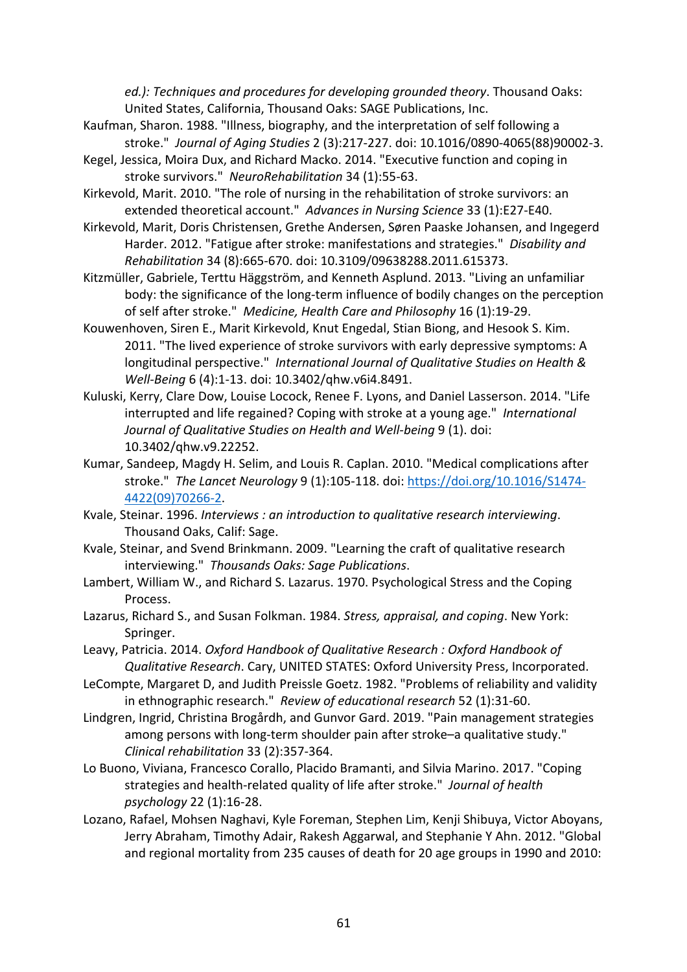*ed.): Techniques and procedures for developing grounded theory*. Thousand Oaks: United States, California, Thousand Oaks: SAGE Publications, Inc.

- Kaufman, Sharon. 1988. "Illness, biography, and the interpretation of self following a stroke." *Journal of Aging Studies* 2 (3):217-227. doi: 10.1016/0890-4065(88)90002-3.
- Kegel, Jessica, Moira Dux, and Richard Macko. 2014. "Executive function and coping in stroke survivors." *NeuroRehabilitation* 34 (1):55-63.
- Kirkevold, Marit. 2010. "The role of nursing in the rehabilitation of stroke survivors: an extended theoretical account." *Advances in Nursing Science* 33 (1):E27-E40.
- Kirkevold, Marit, Doris Christensen, Grethe Andersen, Søren Paaske Johansen, and Ingegerd Harder. 2012. "Fatigue after stroke: manifestations and strategies." *Disability and Rehabilitation* 34 (8):665-670. doi: 10.3109/09638288.2011.615373.
- Kitzmüller, Gabriele, Terttu Häggström, and Kenneth Asplund. 2013. "Living an unfamiliar body: the significance of the long-term influence of bodily changes on the perception of self after stroke." *Medicine, Health Care and Philosophy* 16 (1):19-29.
- Kouwenhoven, Siren E., Marit Kirkevold, Knut Engedal, Stian Biong, and Hesook S. Kim. 2011. "The lived experience of stroke survivors with early depressive symptoms: A longitudinal perspective." *International Journal of Qualitative Studies on Health & Well-Being* 6 (4):1-13. doi: 10.3402/qhw.v6i4.8491.
- Kuluski, Kerry, Clare Dow, Louise Locock, Renee F. Lyons, and Daniel Lasserson. 2014. "Life interrupted and life regained? Coping with stroke at a young age." *International Journal of Qualitative Studies on Health and Well-being* 9 (1). doi: 10.3402/qhw.v9.22252.
- Kumar, Sandeep, Magdy H. Selim, and Louis R. Caplan. 2010. "Medical complications after stroke." *The Lancet Neurology* 9 (1):105-118. doi: https://doi.org/10.1016/S1474- 4422(09)70266-2.
- Kvale, Steinar. 1996. *Interviews : an introduction to qualitative research interviewing*. Thousand Oaks, Calif: Sage.
- Kvale, Steinar, and Svend Brinkmann. 2009. "Learning the craft of qualitative research interviewing." *Thousands Oaks: Sage Publications*.
- Lambert, William W., and Richard S. Lazarus. 1970. Psychological Stress and the Coping Process.
- Lazarus, Richard S., and Susan Folkman. 1984. *Stress, appraisal, and coping*. New York: Springer.
- Leavy, Patricia. 2014. *Oxford Handbook of Qualitative Research : Oxford Handbook of Qualitative Research*. Cary, UNITED STATES: Oxford University Press, Incorporated.
- LeCompte, Margaret D, and Judith Preissle Goetz. 1982. "Problems of reliability and validity in ethnographic research." *Review of educational research* 52 (1):31-60.
- Lindgren, Ingrid, Christina Brogårdh, and Gunvor Gard. 2019. "Pain management strategies among persons with long-term shoulder pain after stroke–a qualitative study." *Clinical rehabilitation* 33 (2):357-364.
- Lo Buono, Viviana, Francesco Corallo, Placido Bramanti, and Silvia Marino. 2017. "Coping strategies and health-related quality of life after stroke." *Journal of health psychology* 22 (1):16-28.
- Lozano, Rafael, Mohsen Naghavi, Kyle Foreman, Stephen Lim, Kenji Shibuya, Victor Aboyans, Jerry Abraham, Timothy Adair, Rakesh Aggarwal, and Stephanie Y Ahn. 2012. "Global and regional mortality from 235 causes of death for 20 age groups in 1990 and 2010: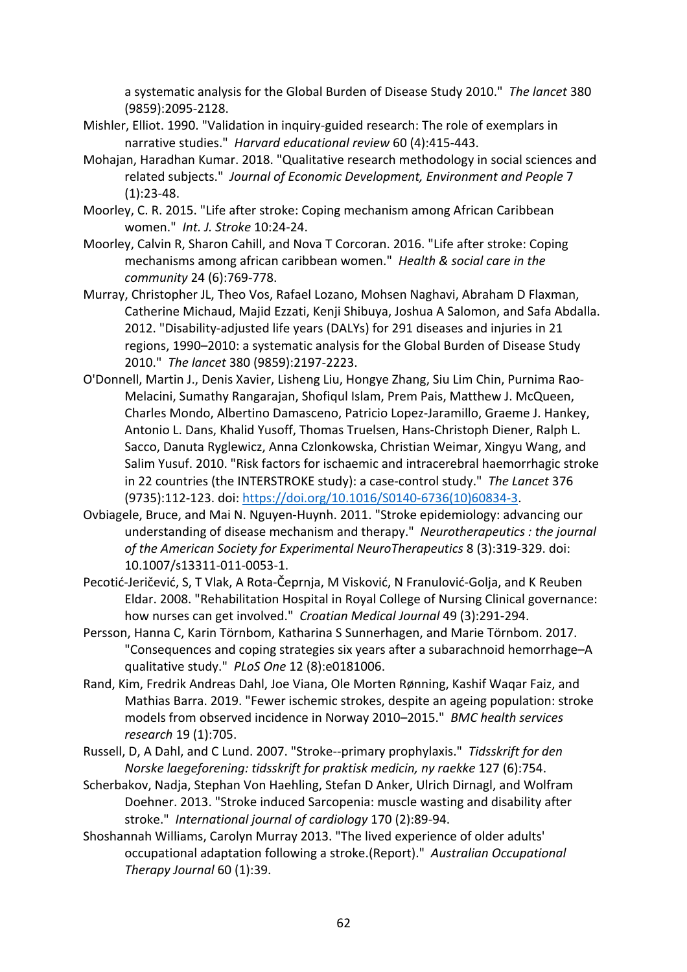a systematic analysis for the Global Burden of Disease Study 2010." *The lancet* 380 (9859):2095-2128.

- Mishler, Elliot. 1990. "Validation in inquiry-guided research: The role of exemplars in narrative studies." *Harvard educational review* 60 (4):415-443.
- Mohajan, Haradhan Kumar. 2018. "Qualitative research methodology in social sciences and related subjects." *Journal of Economic Development, Environment and People* 7 (1):23-48.
- Moorley, C. R. 2015. "Life after stroke: Coping mechanism among African Caribbean women." *Int. J. Stroke* 10:24-24.
- Moorley, Calvin R, Sharon Cahill, and Nova T Corcoran. 2016. "Life after stroke: Coping mechanisms among african caribbean women." *Health & social care in the community* 24 (6):769-778.
- Murray, Christopher JL, Theo Vos, Rafael Lozano, Mohsen Naghavi, Abraham D Flaxman, Catherine Michaud, Majid Ezzati, Kenji Shibuya, Joshua A Salomon, and Safa Abdalla. 2012. "Disability-adjusted life years (DALYs) for 291 diseases and injuries in 21 regions, 1990–2010: a systematic analysis for the Global Burden of Disease Study 2010." *The lancet* 380 (9859):2197-2223.
- O'Donnell, Martin J., Denis Xavier, Lisheng Liu, Hongye Zhang, Siu Lim Chin, Purnima Rao-Melacini, Sumathy Rangarajan, Shofiqul Islam, Prem Pais, Matthew J. McQueen, Charles Mondo, Albertino Damasceno, Patricio Lopez-Jaramillo, Graeme J. Hankey, Antonio L. Dans, Khalid Yusoff, Thomas Truelsen, Hans-Christoph Diener, Ralph L. Sacco, Danuta Ryglewicz, Anna Czlonkowska, Christian Weimar, Xingyu Wang, and Salim Yusuf. 2010. "Risk factors for ischaemic and intracerebral haemorrhagic stroke in 22 countries (the INTERSTROKE study): a case-control study." *The Lancet* 376 (9735):112-123. doi: https://doi.org/10.1016/S0140-6736(10)60834-3.
- Ovbiagele, Bruce, and Mai N. Nguyen-Huynh. 2011. "Stroke epidemiology: advancing our understanding of disease mechanism and therapy." *Neurotherapeutics : the journal of the American Society for Experimental NeuroTherapeutics* 8 (3):319-329. doi: 10.1007/s13311-011-0053-1.
- Pecotić-Jeričević, S, T Vlak, A Rota-Čeprnja, M Visković, N Franulović-Golja, and K Reuben Eldar. 2008. "Rehabilitation Hospital in Royal College of Nursing Clinical governance: how nurses can get involved." *Croatian Medical Journal* 49 (3):291-294.
- Persson, Hanna C, Karin Törnbom, Katharina S Sunnerhagen, and Marie Törnbom. 2017. "Consequences and coping strategies six years after a subarachnoid hemorrhage–A qualitative study." *PLoS One* 12 (8):e0181006.
- Rand, Kim, Fredrik Andreas Dahl, Joe Viana, Ole Morten Rønning, Kashif Waqar Faiz, and Mathias Barra. 2019. "Fewer ischemic strokes, despite an ageing population: stroke models from observed incidence in Norway 2010–2015." *BMC health services research* 19 (1):705.
- Russell, D, A Dahl, and C Lund. 2007. "Stroke--primary prophylaxis." *Tidsskrift for den Norske laegeforening: tidsskrift for praktisk medicin, ny raekke* 127 (6):754.
- Scherbakov, Nadja, Stephan Von Haehling, Stefan D Anker, Ulrich Dirnagl, and Wolfram Doehner. 2013. "Stroke induced Sarcopenia: muscle wasting and disability after stroke." *International journal of cardiology* 170 (2):89-94.
- Shoshannah Williams, Carolyn Murray 2013. "The lived experience of older adults' occupational adaptation following a stroke.(Report)." *Australian Occupational Therapy Journal* 60 (1):39.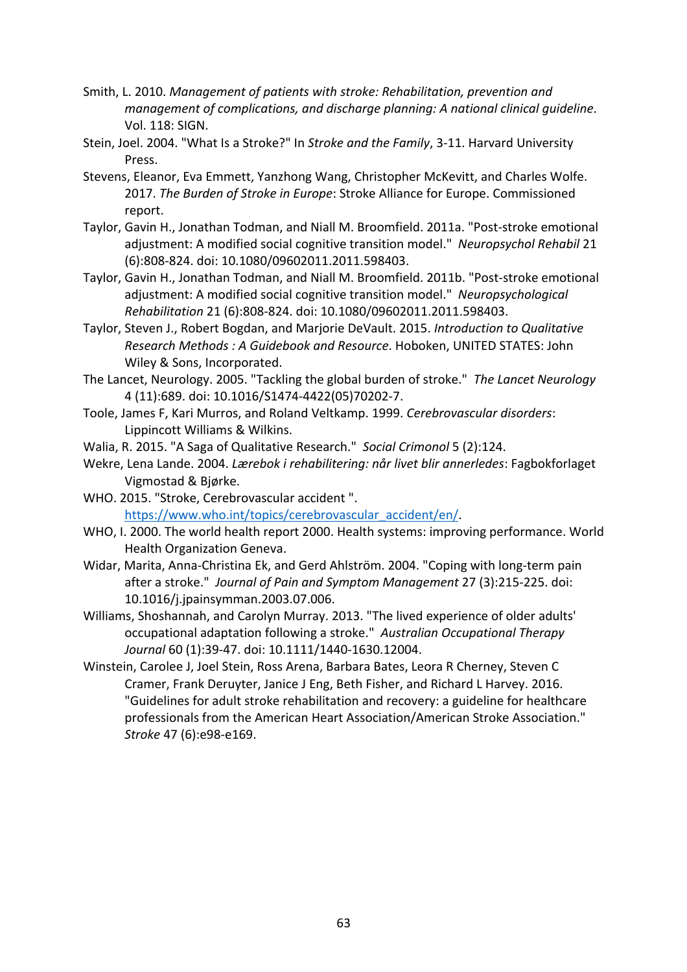- Smith, L. 2010. *Management of patients with stroke: Rehabilitation, prevention and management of complications, and discharge planning: A national clinical guideline*. Vol. 118: SIGN.
- Stein, Joel. 2004. "What Is a Stroke?" In *Stroke and the Family*, 3-11. Harvard University Press.
- Stevens, Eleanor, Eva Emmett, Yanzhong Wang, Christopher McKevitt, and Charles Wolfe. 2017. *The Burden of Stroke in Europe*: Stroke Alliance for Europe. Commissioned report.
- Taylor, Gavin H., Jonathan Todman, and Niall M. Broomfield. 2011a. "Post-stroke emotional adjustment: A modified social cognitive transition model." *Neuropsychol Rehabil* 21 (6):808-824. doi: 10.1080/09602011.2011.598403.
- Taylor, Gavin H., Jonathan Todman, and Niall M. Broomfield. 2011b. "Post-stroke emotional adjustment: A modified social cognitive transition model." *Neuropsychological Rehabilitation* 21 (6):808-824. doi: 10.1080/09602011.2011.598403.
- Taylor, Steven J., Robert Bogdan, and Marjorie DeVault. 2015. *Introduction to Qualitative Research Methods : A Guidebook and Resource*. Hoboken, UNITED STATES: John Wiley & Sons, Incorporated.
- The Lancet, Neurology. 2005. "Tackling the global burden of stroke." *The Lancet Neurology* 4 (11):689. doi: 10.1016/S1474-4422(05)70202-7.
- Toole, James F, Kari Murros, and Roland Veltkamp. 1999. *Cerebrovascular disorders*: Lippincott Williams & Wilkins.
- Walia, R. 2015. "A Saga of Qualitative Research." *Social Crimonol* 5 (2):124.
- Wekre, Lena Lande. 2004. *Lærebok i rehabilitering: når livet blir annerledes*: Fagbokforlaget Vigmostad & Bjørke.
- WHO. 2015. "Stroke, Cerebrovascular accident ". https://www.who.int/topics/cerebrovascular\_accident/en/.
- WHO, I. 2000. The world health report 2000. Health systems: improving performance. World Health Organization Geneva.
- Widar, Marita, Anna-Christina Ek, and Gerd Ahlström. 2004. "Coping with long-term pain after a stroke." *Journal of Pain and Symptom Management* 27 (3):215-225. doi: 10.1016/j.jpainsymman.2003.07.006.
- Williams, Shoshannah, and Carolyn Murray. 2013. "The lived experience of older adults' occupational adaptation following a stroke." *Australian Occupational Therapy Journal* 60 (1):39-47. doi: 10.1111/1440-1630.12004.
- Winstein, Carolee J, Joel Stein, Ross Arena, Barbara Bates, Leora R Cherney, Steven C Cramer, Frank Deruyter, Janice J Eng, Beth Fisher, and Richard L Harvey. 2016. "Guidelines for adult stroke rehabilitation and recovery: a guideline for healthcare professionals from the American Heart Association/American Stroke Association." *Stroke* 47 (6):e98-e169.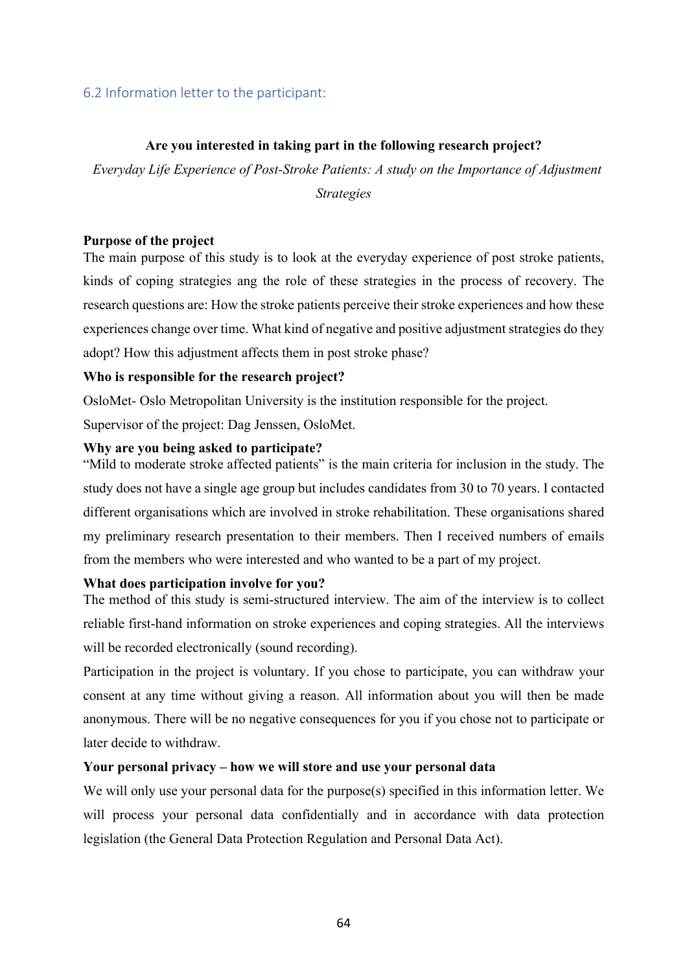# 6.2 Information letter to the participant:

# **Are you interested in taking part in the following research project?**

*Everyday Life Experience of Post-Stroke Patients: A study on the Importance of Adjustment* 

*Strategies*

### **Purpose of the project**

The main purpose of this study is to look at the everyday experience of post stroke patients, kinds of coping strategies ang the role of these strategies in the process of recovery. The research questions are: How the stroke patients perceive their stroke experiences and how these experiences change over time. What kind of negative and positive adjustment strategies do they adopt? How this adjustment affects them in post stroke phase?

# **Who is responsible for the research project?**

OsloMet- Oslo Metropolitan University is the institution responsible for the project.

Supervisor of the project: Dag Jenssen, OsloMet.

# **Why are you being asked to participate?**

"Mild to moderate stroke affected patients" is the main criteria for inclusion in the study. The study does not have a single age group but includes candidates from 30 to 70 years. I contacted different organisations which are involved in stroke rehabilitation. These organisations shared my preliminary research presentation to their members. Then I received numbers of emails from the members who were interested and who wanted to be a part of my project.

# **What does participation involve for you?**

The method of this study is semi-structured interview. The aim of the interview is to collect reliable first-hand information on stroke experiences and coping strategies. All the interviews will be recorded electronically (sound recording).

Participation in the project is voluntary. If you chose to participate, you can withdraw your consent at any time without giving a reason. All information about you will then be made anonymous. There will be no negative consequences for you if you chose not to participate or later decide to withdraw.

# **Your personal privacy – how we will store and use your personal data**

We will only use your personal data for the purpose(s) specified in this information letter. We will process your personal data confidentially and in accordance with data protection legislation (the General Data Protection Regulation and Personal Data Act).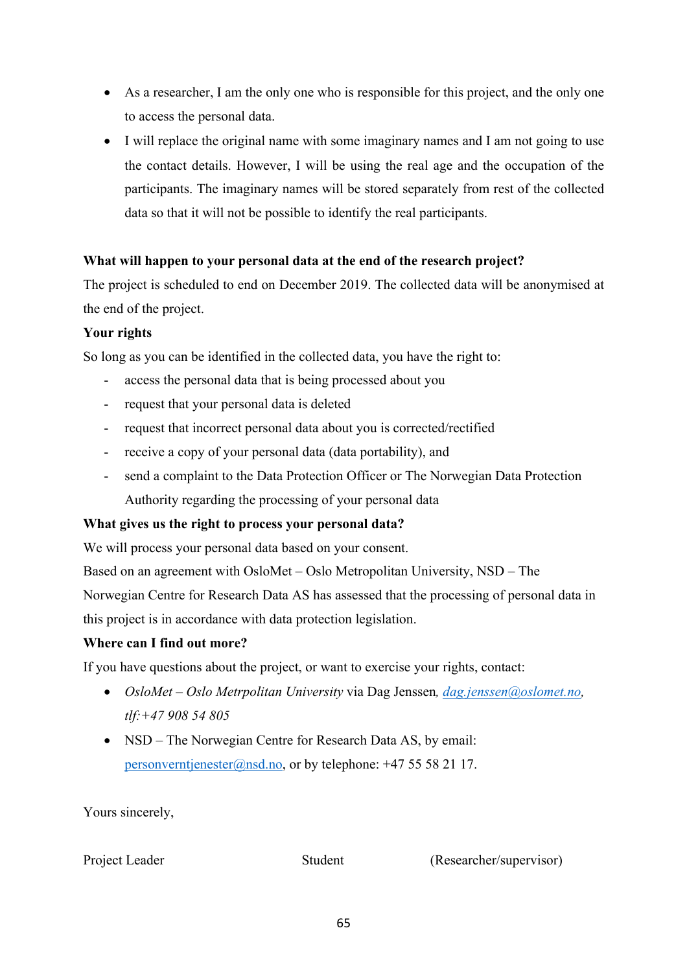- As a researcher, I am the only one who is responsible for this project, and the only one to access the personal data.
- I will replace the original name with some imaginary names and I am not going to use the contact details. However, I will be using the real age and the occupation of the participants. The imaginary names will be stored separately from rest of the collected data so that it will not be possible to identify the real participants.

# **What will happen to your personal data at the end of the research project?**

The project is scheduled to end on December 2019. The collected data will be anonymised at the end of the project.

# **Your rights**

So long as you can be identified in the collected data, you have the right to:

- access the personal data that is being processed about you
- request that your personal data is deleted
- request that incorrect personal data about you is corrected/rectified
- receive a copy of your personal data (data portability), and
- send a complaint to the Data Protection Officer or The Norwegian Data Protection Authority regarding the processing of your personal data

# **What gives us the right to process your personal data?**

We will process your personal data based on your consent.

Based on an agreement with OsloMet – Oslo Metropolitan University, NSD – The

Norwegian Centre for Research Data AS has assessed that the processing of personal data in this project is in accordance with data protection legislation.

# **Where can I find out more?**

If you have questions about the project, or want to exercise your rights, contact:

- *OsloMet – Oslo Metrpolitan University* via Dag Jenssen*, dag.jenssen@oslomet.no, tlf:+47 908 54 805*
- NSD The Norwegian Centre for Research Data AS, by email: personverntjenester@nsd.no, or by telephone:  $+4755582117$ .

Yours sincerely,

Project Leader Student (Researcher/supervisor)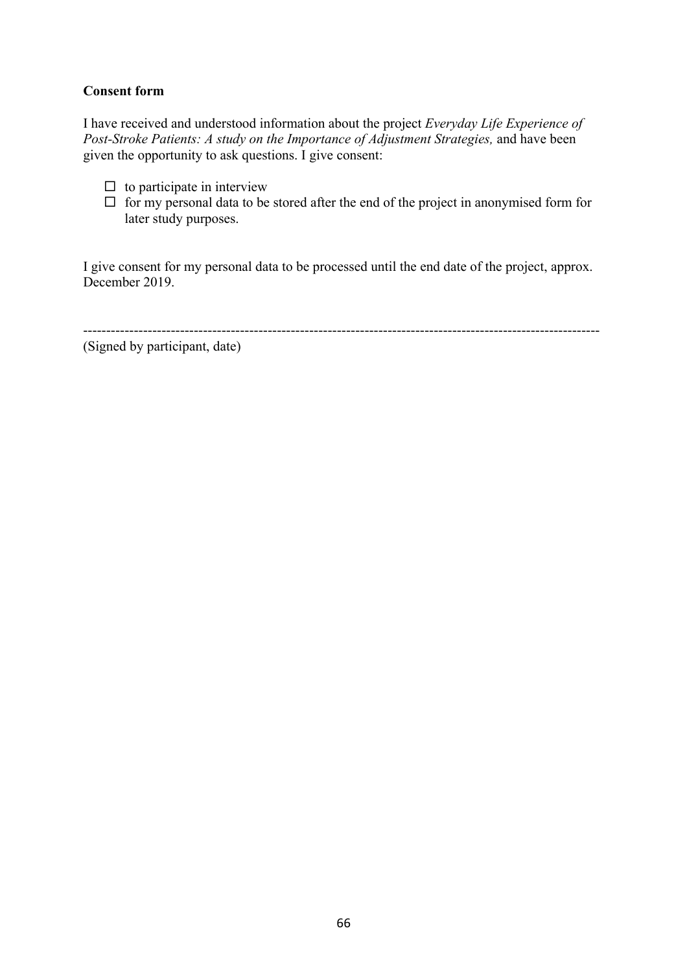# **Consent form**

I have received and understood information about the project *Everyday Life Experience of Post-Stroke Patients: A study on the Importance of Adjustment Strategies,* and have been given the opportunity to ask questions. I give consent:

- $\square$  to participate in interview
- $\Box$  for my personal data to be stored after the end of the project in anonymised form for later study purposes.

I give consent for my personal data to be processed until the end date of the project, approx. December 2019.

----------------------------------------------------------------------------------------------------------------

(Signed by participant, date)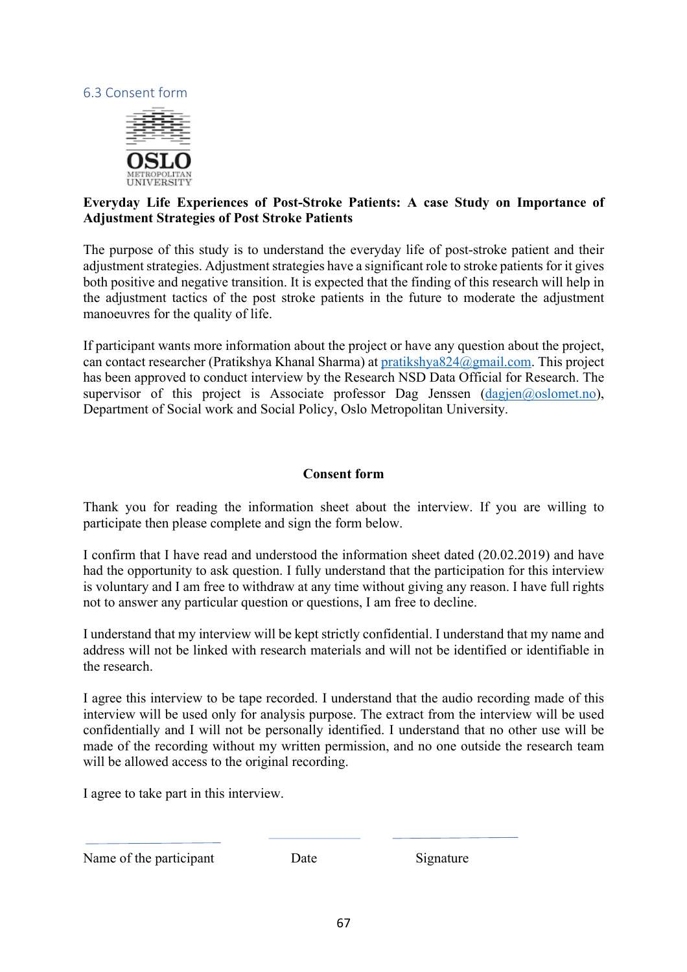# 6.3 Consent form



# **Everyday Life Experiences of Post-Stroke Patients: A case Study on Importance of Adjustment Strategies of Post Stroke Patients**

The purpose of this study is to understand the everyday life of post-stroke patient and their adjustment strategies. Adjustment strategies have a significant role to stroke patients for it gives both positive and negative transition. It is expected that the finding of this research will help in the adjustment tactics of the post stroke patients in the future to moderate the adjustment manoeuvres for the quality of life.

If participant wants more information about the project or have any question about the project, can contact researcher (Pratikshya Khanal Sharma) at pratikshya824@gmail.com. This project has been approved to conduct interview by the Research NSD Data Official for Research. The supervisor of this project is Associate professor Dag Jenssen  $(dagjen@oslomet.no)$ , Department of Social work and Social Policy, Oslo Metropolitan University.

# **Consent form**

Thank you for reading the information sheet about the interview. If you are willing to participate then please complete and sign the form below.

I confirm that I have read and understood the information sheet dated (20.02.2019) and have had the opportunity to ask question. I fully understand that the participation for this interview is voluntary and I am free to withdraw at any time without giving any reason. I have full rights not to answer any particular question or questions, I am free to decline.

I understand that my interview will be kept strictly confidential. I understand that my name and address will not be linked with research materials and will not be identified or identifiable in the research.

I agree this interview to be tape recorded. I understand that the audio recording made of this interview will be used only for analysis purpose. The extract from the interview will be used confidentially and I will not be personally identified. I understand that no other use will be made of the recording without my written permission, and no one outside the research team will be allowed access to the original recording.

I agree to take part in this interview.

Name of the participant Date Signature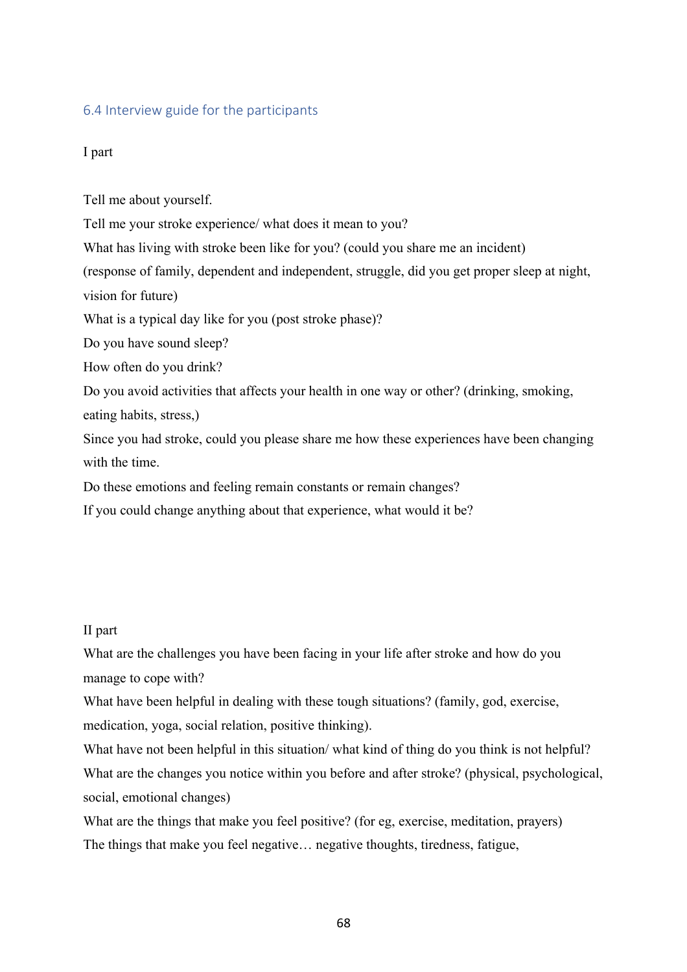# 6.4 Interview guide for the participants

# I part

Tell me about yourself.

Tell me your stroke experience/ what does it mean to you?

What has living with stroke been like for you? (could you share me an incident)

(response of family, dependent and independent, struggle, did you get proper sleep at night,

vision for future)

What is a typical day like for you (post stroke phase)?

Do you have sound sleep?

How often do you drink?

Do you avoid activities that affects your health in one way or other? (drinking, smoking,

eating habits, stress,)

Since you had stroke, could you please share me how these experiences have been changing with the time.

Do these emotions and feeling remain constants or remain changes?

If you could change anything about that experience, what would it be?

### II part

What are the challenges you have been facing in your life after stroke and how do you manage to cope with?

What have been helpful in dealing with these tough situations? (family, god, exercise, medication, yoga, social relation, positive thinking).

What have not been helpful in this situation/ what kind of thing do you think is not helpful? What are the changes you notice within you before and after stroke? (physical, psychological, social, emotional changes)

What are the things that make you feel positive? (for eg, exercise, meditation, prayers) The things that make you feel negative… negative thoughts, tiredness, fatigue,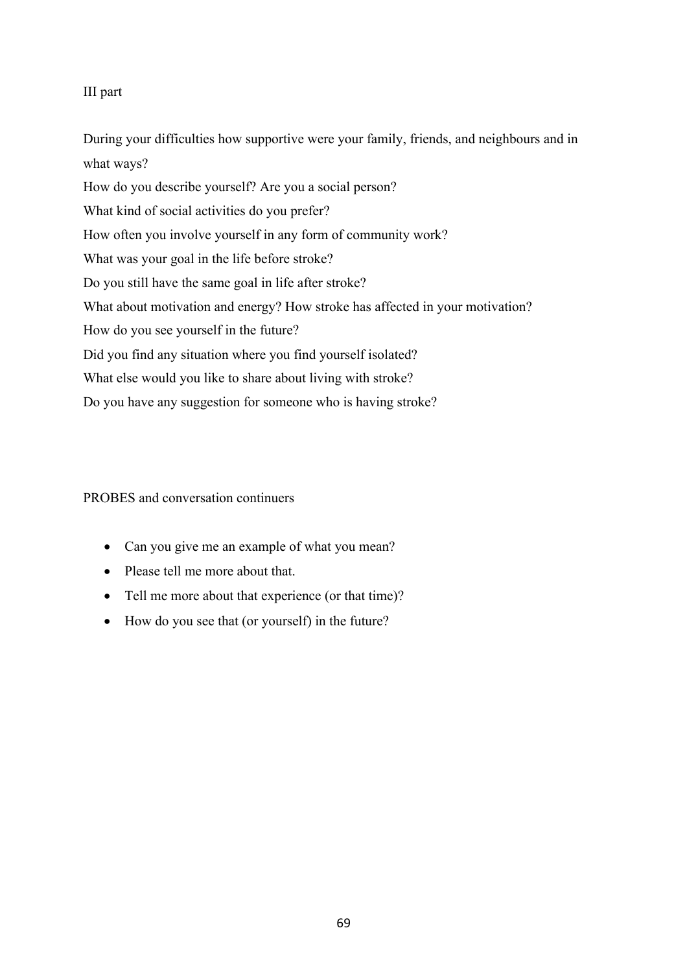# III part

During your difficulties how supportive were your family, friends, and neighbours and in what ways? How do you describe yourself? Are you a social person? What kind of social activities do you prefer? How often you involve yourself in any form of community work? What was your goal in the life before stroke? Do you still have the same goal in life after stroke? What about motivation and energy? How stroke has affected in your motivation? How do you see yourself in the future? Did you find any situation where you find yourself isolated? What else would you like to share about living with stroke? Do you have any suggestion for someone who is having stroke?

# PROBES and conversation continuers

- Can you give me an example of what you mean?
- Please tell me more about that.
- Tell me more about that experience (or that time)?
- How do you see that (or yourself) in the future?